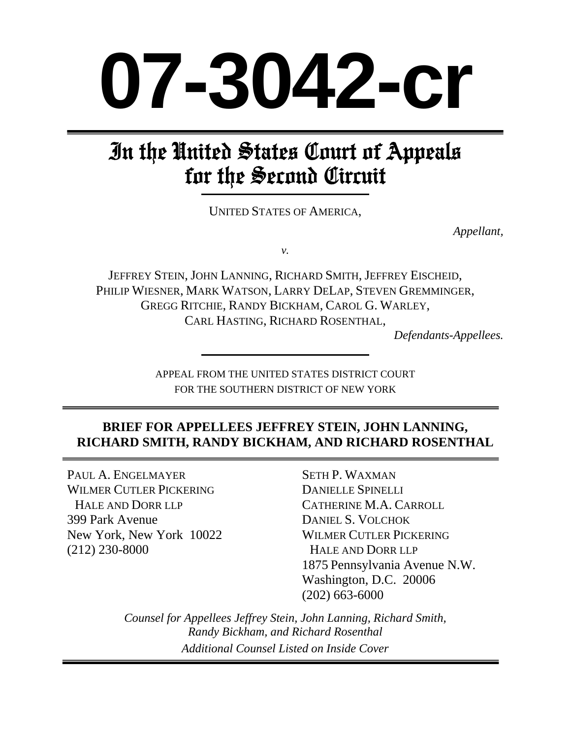# **07-3042-cr**

# In the United States Court of Appeals for the Second Circuit

UNITED STATES OF AMERICA,

*Appellant,* 

*v.* 

JEFFREY STEIN, JOHN LANNING, RICHARD SMITH, JEFFREY EISCHEID, PHILIP WIESNER, MARK WATSON, LARRY DELAP, STEVEN GREMMINGER, GREGG RITCHIE, RANDY BICKHAM, CAROL G. WARLEY, CARL HASTING, RICHARD ROSENTHAL,

*Defendants-Appellees.* 

APPEAL FROM THE UNITED STATES DISTRICT COURT FOR THE SOUTHERN DISTRICT OF NEW YORK

# **BRIEF FOR APPELLEES JEFFREY STEIN, JOHN LANNING, RICHARD SMITH, RANDY BICKHAM, AND RICHARD ROSENTHAL**

PAUL A. ENGELMAYER WILMER CUTLER PICKERING HALE AND DORR LLP 399 Park Avenue New York, New York 10022 (212) 230-8000

SETH P. WAXMAN DANIELLE SPINELLI CATHERINE M.A. CARROLL DANIEL S. VOLCHOK WILMER CUTLER PICKERING HALE AND DORR LLP 1875 Pennsylvania Avenue N.W. Washington, D.C. 20006 (202) 663-6000

*Counsel for Appellees Jeffrey Stein, John Lanning, Richard Smith, Randy Bickham, and Richard Rosenthal Additional Counsel Listed on Inside Cover*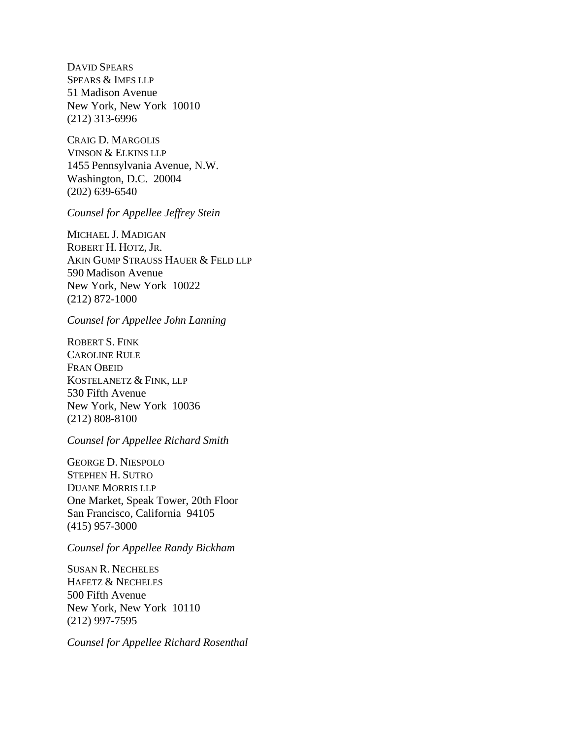DAVID SPEARS SPEARS & IMES LLP 51 Madison Avenue New York, New York 10010 (212) 313-6996

CRAIG D. MARGOLIS VINSON & ELKINS LLP 1455 Pennsylvania Avenue, N.W. Washington, D.C. 20004 (202) 639-6540

*Counsel for Appellee Jeffrey Stein* 

MICHAEL J. MADIGAN ROBERT H. HOTZ, JR. AKIN GUMP STRAUSS HAUER & FELD LLP 590 Madison Avenue New York, New York 10022 (212) 872-1000

*Counsel for Appellee John Lanning* 

ROBERT S. FINK CAROLINE RULE FRAN OBEID KOSTELANETZ & FINK, LLP 530 Fifth Avenue New York, New York 10036 (212) 808-8100

*Counsel for Appellee Richard Smith*

GEORGE D. NIESPOLO STEPHEN H. SUTRO DUANE MORRIS LLP One Market, Speak Tower, 20th Floor San Francisco, California 94105 (415) 957-3000

*Counsel for Appellee Randy Bickham*

SUSAN R. NECHELES HAFETZ & NECHELES 500 Fifth Avenue New York, New York 10110 (212) 997-7595

*Counsel for Appellee Richard Rosenthal*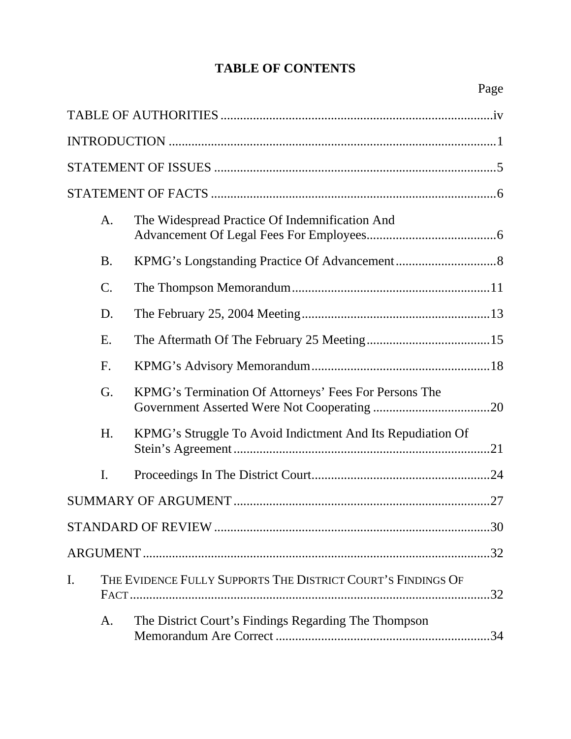# **TABLE OF CONTENTS**

|    | A.              | The Widespread Practice Of Indemnification And                    |
|----|-----------------|-------------------------------------------------------------------|
|    | <b>B.</b>       |                                                                   |
|    | $\mathcal{C}$ . |                                                                   |
|    | D.              |                                                                   |
|    | Ε.              |                                                                   |
|    | F.              |                                                                   |
|    | G.              | KPMG's Termination Of Attorneys' Fees For Persons The             |
|    | H.              | KPMG's Struggle To Avoid Indictment And Its Repudiation Of<br>.21 |
|    | I.              |                                                                   |
|    |                 |                                                                   |
|    |                 | .30                                                               |
|    |                 |                                                                   |
| I. |                 | THE EVIDENCE FULLY SUPPORTS THE DISTRICT COURT'S FINDINGS OF      |
|    | A.              | The District Court's Findings Regarding The Thompson              |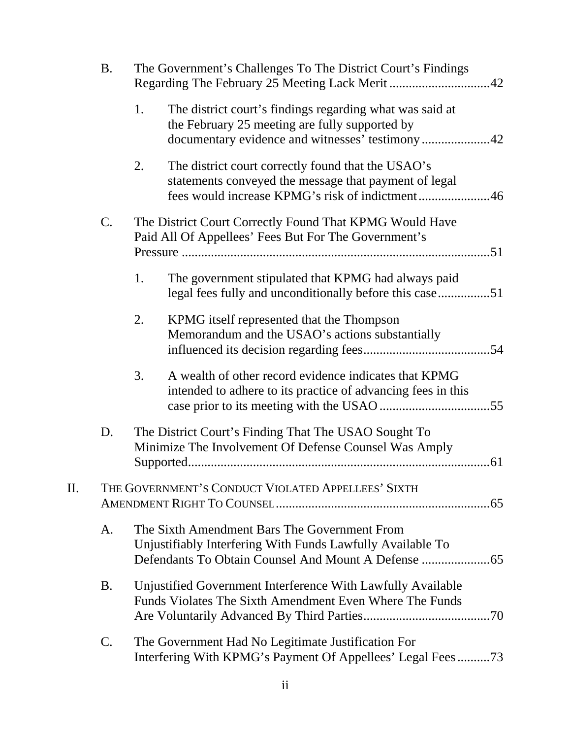|     | <b>B.</b>                                          |    | The Government's Challenges To The District Court's Findings                                                                                                   |  |  |
|-----|----------------------------------------------------|----|----------------------------------------------------------------------------------------------------------------------------------------------------------------|--|--|
|     |                                                    | 1. | The district court's findings regarding what was said at<br>the February 25 meeting are fully supported by<br>documentary evidence and witnesses' testimony42  |  |  |
|     |                                                    | 2. | The district court correctly found that the USAO's<br>statements conveyed the message that payment of legal<br>fees would increase KPMG's risk of indictment46 |  |  |
|     | $\mathcal{C}$ .                                    |    | The District Court Correctly Found That KPMG Would Have<br>Paid All Of Appellees' Fees But For The Government's                                                |  |  |
|     |                                                    | 1. | The government stipulated that KPMG had always paid<br>legal fees fully and unconditionally before this case51                                                 |  |  |
|     |                                                    | 2. | KPMG itself represented that the Thompson<br>Memorandum and the USAO's actions substantially                                                                   |  |  |
|     |                                                    | 3. | A wealth of other record evidence indicates that KPMG<br>intended to adhere to its practice of advancing fees in this                                          |  |  |
|     | D.                                                 |    | The District Court's Finding That The USAO Sought To<br>Minimize The Involvement Of Defense Counsel Was Amply                                                  |  |  |
| II. | THE GOVERNMENT'S CONDUCT VIOLATED APPELLEES' SIXTH |    |                                                                                                                                                                |  |  |
|     | A.                                                 |    | The Sixth Amendment Bars The Government From<br>Unjustifiably Interfering With Funds Lawfully Available To                                                     |  |  |
|     | <b>B.</b>                                          |    | Unjustified Government Interference With Lawfully Available<br>Funds Violates The Sixth Amendment Even Where The Funds                                         |  |  |
|     | C.                                                 |    | The Government Had No Legitimate Justification For<br>Interfering With KPMG's Payment Of Appellees' Legal Fees73                                               |  |  |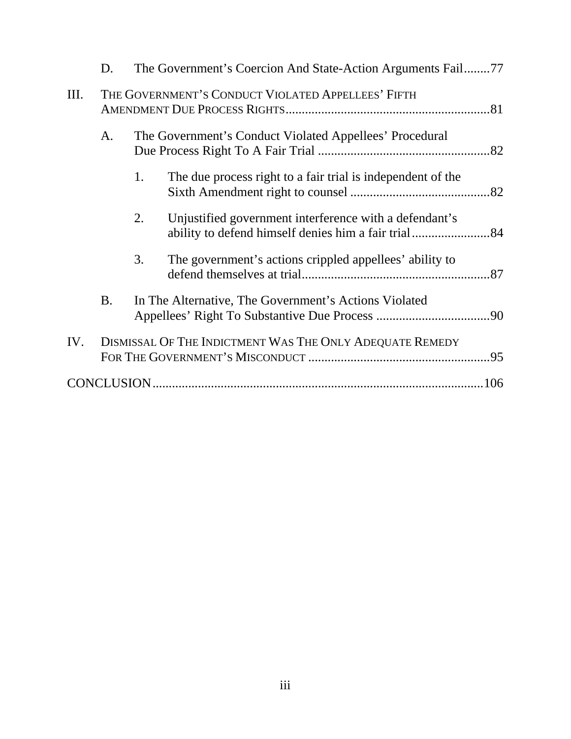|      | D.                                                 |                                                       | The Government's Coercion And State-Action Arguments Fail77 |  |
|------|----------------------------------------------------|-------------------------------------------------------|-------------------------------------------------------------|--|
| III. | THE GOVERNMENT'S CONDUCT VIOLATED APPELLEES' FIFTH |                                                       |                                                             |  |
|      | A.                                                 |                                                       | The Government's Conduct Violated Appellees' Procedural     |  |
|      |                                                    | 1.                                                    | The due process right to a fair trial is independent of the |  |
|      |                                                    | 2.                                                    | Unjustified government interference with a defendant's      |  |
|      |                                                    | 3.                                                    | The government's actions crippled appellees' ability to     |  |
|      | <b>B.</b>                                          | In The Alternative, The Government's Actions Violated |                                                             |  |
| IV.  |                                                    |                                                       | DISMISSAL OF THE INDICTMENT WAS THE ONLY ADEQUATE REMEDY    |  |
|      |                                                    |                                                       |                                                             |  |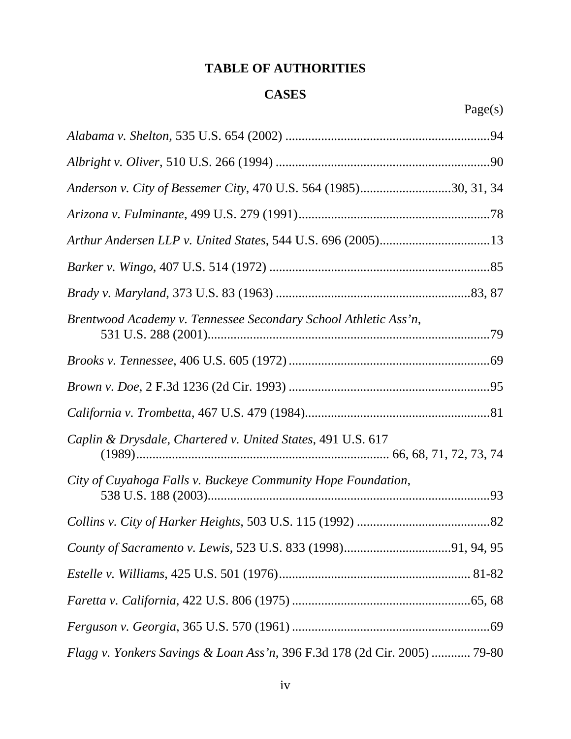# **TABLE OF AUTHORITIES**

### **CASES**

| Anderson v. City of Bessemer City, 470 U.S. 564 (1985)30, 31, 34          |
|---------------------------------------------------------------------------|
|                                                                           |
|                                                                           |
|                                                                           |
|                                                                           |
| Brentwood Academy v. Tennessee Secondary School Athletic Ass'n,           |
|                                                                           |
|                                                                           |
|                                                                           |
| Caplin & Drysdale, Chartered v. United States, 491 U.S. 617               |
| City of Cuyahoga Falls v. Buckeye Community Hope Foundation,              |
|                                                                           |
|                                                                           |
|                                                                           |
|                                                                           |
|                                                                           |
| Flagg v. Yonkers Savings & Loan Ass'n, 396 F.3d 178 (2d Cir. 2005)  79-80 |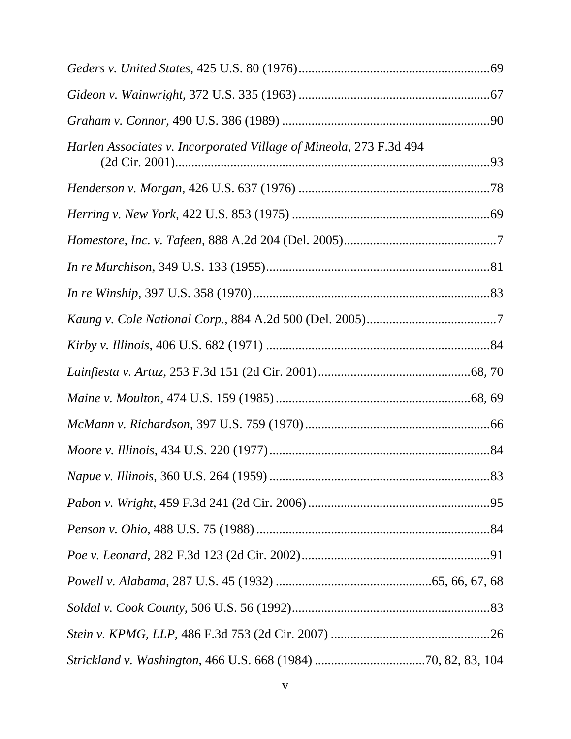| Harlen Associates v. Incorporated Village of Mineola, 273 F.3d 494 |  |
|--------------------------------------------------------------------|--|
|                                                                    |  |
|                                                                    |  |
|                                                                    |  |
|                                                                    |  |
|                                                                    |  |
|                                                                    |  |
|                                                                    |  |
|                                                                    |  |
|                                                                    |  |
|                                                                    |  |
|                                                                    |  |
|                                                                    |  |
|                                                                    |  |
|                                                                    |  |
|                                                                    |  |
|                                                                    |  |
|                                                                    |  |
|                                                                    |  |
|                                                                    |  |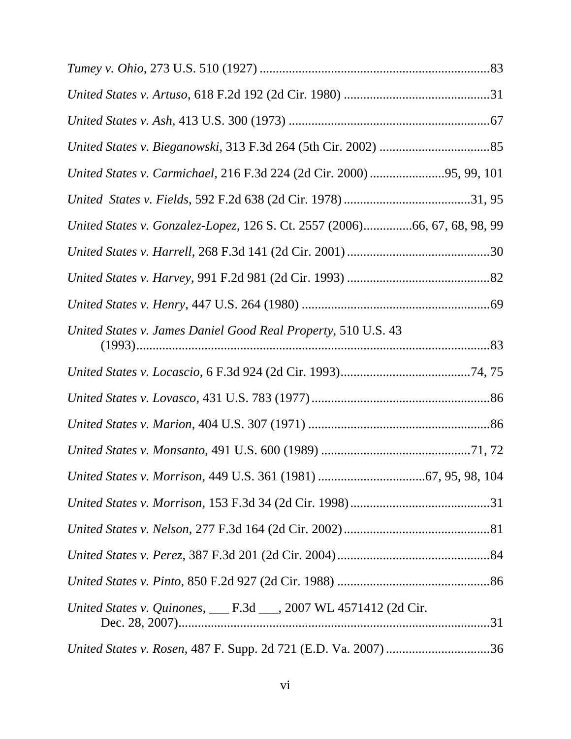| United States v. Carmichael, 216 F.3d 224 (2d Cir. 2000) 95, 99, 101      |
|---------------------------------------------------------------------------|
|                                                                           |
| United States v. Gonzalez-Lopez, 126 S. Ct. 2557 (2006)66, 67, 68, 98, 99 |
|                                                                           |
|                                                                           |
|                                                                           |
| United States v. James Daniel Good Real Property, 510 U.S. 43             |
|                                                                           |
|                                                                           |
|                                                                           |
|                                                                           |
|                                                                           |
|                                                                           |
|                                                                           |
|                                                                           |
|                                                                           |
| United States v. Quinones, ___ F.3d ___, 2007 WL 4571412 (2d Cir.         |
|                                                                           |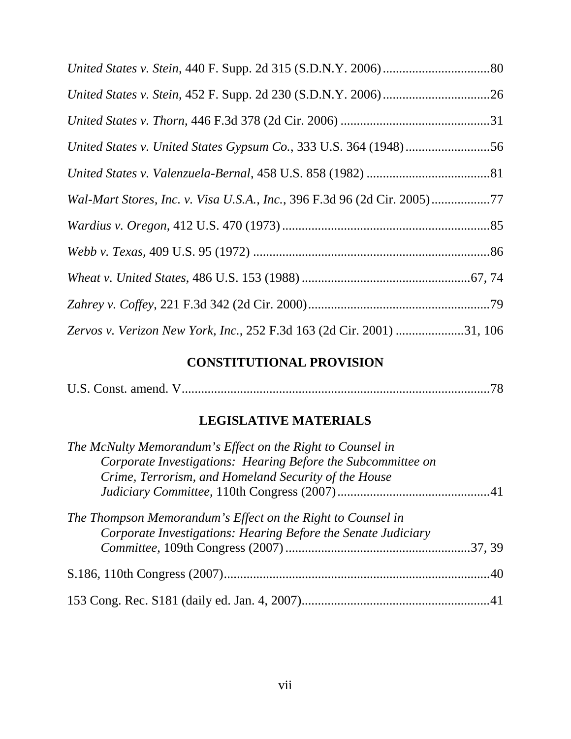| Wal-Mart Stores, Inc. v. Visa U.S.A., Inc., 396 F.3d 96 (2d Cir. 2005)77 |  |
|--------------------------------------------------------------------------|--|
|                                                                          |  |
|                                                                          |  |
|                                                                          |  |
|                                                                          |  |
| Zervos v. Verizon New York, Inc., 252 F.3d 163 (2d Cir. 2001) 31, 106    |  |

# **CONSTITUTIONAL PROVISION**

|  | U.S. Const. amend. V. |  |  |
|--|-----------------------|--|--|
|--|-----------------------|--|--|

# **LEGISLATIVE MATERIALS**

| The McNulty Memorandum's Effect on the Right to Counsel in    |  |
|---------------------------------------------------------------|--|
| Corporate Investigations: Hearing Before the Subcommittee on  |  |
| Crime, Terrorism, and Homeland Security of the House          |  |
|                                                               |  |
| The Thompson Memorandum's Effect on the Right to Counsel in   |  |
| Corporate Investigations: Hearing Before the Senate Judiciary |  |
|                                                               |  |
|                                                               |  |
|                                                               |  |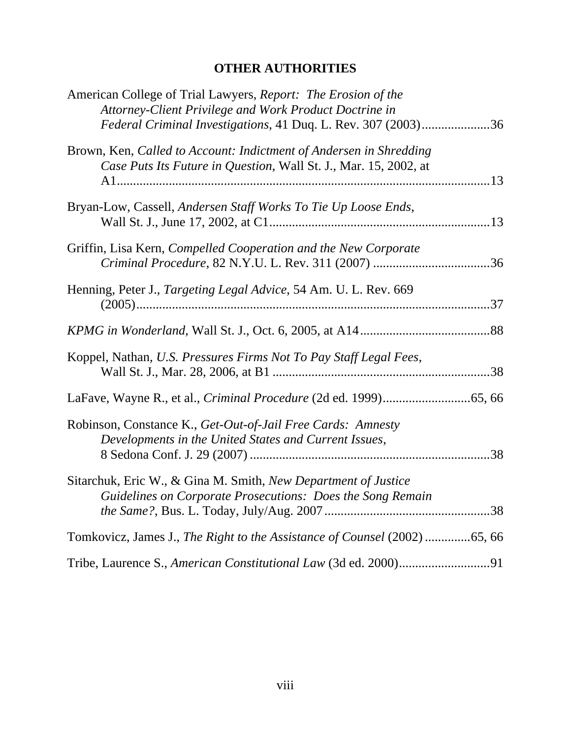# **OTHER AUTHORITIES**

| American College of Trial Lawyers, Report: The Erosion of the<br>Attorney-Client Privilege and Work Product Doctrine in<br>Federal Criminal Investigations, 41 Duq. L. Rev. 307 (2003)36 |  |
|------------------------------------------------------------------------------------------------------------------------------------------------------------------------------------------|--|
| Brown, Ken, Called to Account: Indictment of Andersen in Shredding<br>Case Puts Its Future in Question, Wall St. J., Mar. 15, 2002, at                                                   |  |
| Bryan-Low, Cassell, Andersen Staff Works To Tie Up Loose Ends,                                                                                                                           |  |
| Griffin, Lisa Kern, Compelled Cooperation and the New Corporate                                                                                                                          |  |
| Henning, Peter J., Targeting Legal Advice, 54 Am. U. L. Rev. 669                                                                                                                         |  |
|                                                                                                                                                                                          |  |
| Koppel, Nathan, U.S. Pressures Firms Not To Pay Staff Legal Fees,                                                                                                                        |  |
|                                                                                                                                                                                          |  |
| Robinson, Constance K., Get-Out-of-Jail Free Cards: Amnesty<br>Developments in the United States and Current Issues,                                                                     |  |
| Sitarchuk, Eric W., & Gina M. Smith, New Department of Justice<br>Guidelines on Corporate Prosecutions: Does the Song Remain                                                             |  |
| Tomkovicz, James J., The Right to the Assistance of Counsel (2002) 65, 66                                                                                                                |  |
|                                                                                                                                                                                          |  |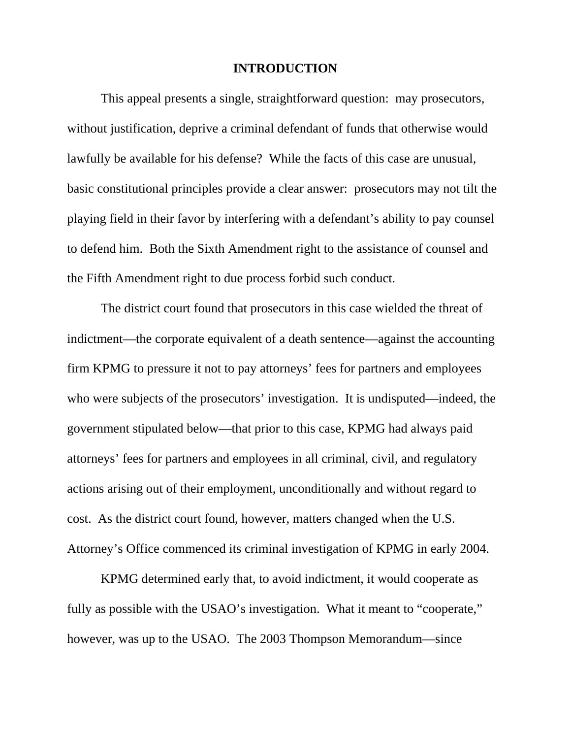#### **INTRODUCTION**

This appeal presents a single, straightforward question: may prosecutors, without justification, deprive a criminal defendant of funds that otherwise would lawfully be available for his defense? While the facts of this case are unusual, basic constitutional principles provide a clear answer: prosecutors may not tilt the playing field in their favor by interfering with a defendant's ability to pay counsel to defend him. Both the Sixth Amendment right to the assistance of counsel and the Fifth Amendment right to due process forbid such conduct.

The district court found that prosecutors in this case wielded the threat of indictment—the corporate equivalent of a death sentence—against the accounting firm KPMG to pressure it not to pay attorneys' fees for partners and employees who were subjects of the prosecutors' investigation. It is undisputed—indeed, the government stipulated below—that prior to this case, KPMG had always paid attorneys' fees for partners and employees in all criminal, civil, and regulatory actions arising out of their employment, unconditionally and without regard to cost. As the district court found, however, matters changed when the U.S. Attorney's Office commenced its criminal investigation of KPMG in early 2004.

KPMG determined early that, to avoid indictment, it would cooperate as fully as possible with the USAO's investigation. What it meant to "cooperate," however, was up to the USAO. The 2003 Thompson Memorandum—since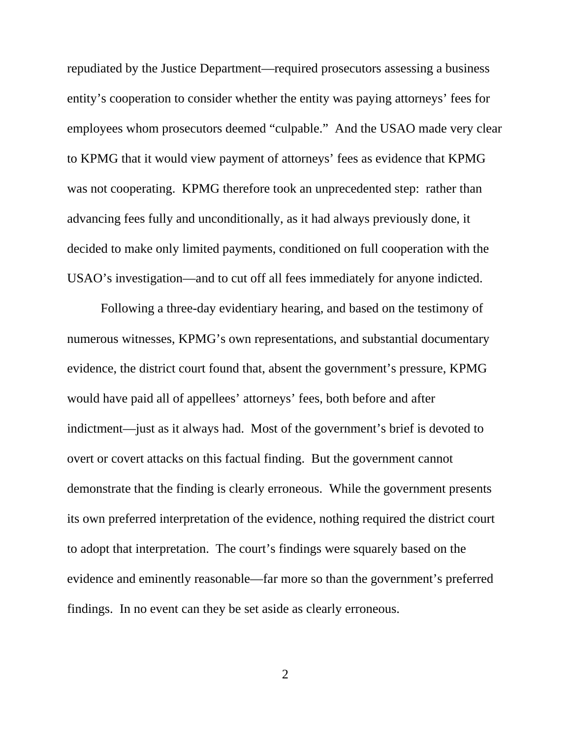repudiated by the Justice Department—required prosecutors assessing a business entity's cooperation to consider whether the entity was paying attorneys' fees for employees whom prosecutors deemed "culpable." And the USAO made very clear to KPMG that it would view payment of attorneys' fees as evidence that KPMG was not cooperating. KPMG therefore took an unprecedented step: rather than advancing fees fully and unconditionally, as it had always previously done, it decided to make only limited payments, conditioned on full cooperation with the USAO's investigation—and to cut off all fees immediately for anyone indicted.

Following a three-day evidentiary hearing, and based on the testimony of numerous witnesses, KPMG's own representations, and substantial documentary evidence, the district court found that, absent the government's pressure, KPMG would have paid all of appellees' attorneys' fees, both before and after indictment—just as it always had. Most of the government's brief is devoted to overt or covert attacks on this factual finding. But the government cannot demonstrate that the finding is clearly erroneous. While the government presents its own preferred interpretation of the evidence, nothing required the district court to adopt that interpretation. The court's findings were squarely based on the evidence and eminently reasonable—far more so than the government's preferred findings. In no event can they be set aside as clearly erroneous.

2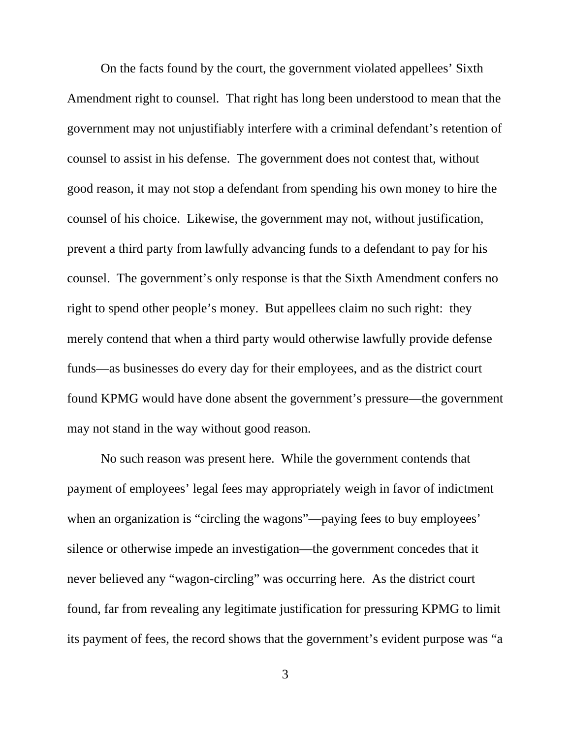On the facts found by the court, the government violated appellees' Sixth Amendment right to counsel. That right has long been understood to mean that the government may not unjustifiably interfere with a criminal defendant's retention of counsel to assist in his defense. The government does not contest that, without good reason, it may not stop a defendant from spending his own money to hire the counsel of his choice. Likewise, the government may not, without justification, prevent a third party from lawfully advancing funds to a defendant to pay for his counsel. The government's only response is that the Sixth Amendment confers no right to spend other people's money. But appellees claim no such right: they merely contend that when a third party would otherwise lawfully provide defense funds—as businesses do every day for their employees, and as the district court found KPMG would have done absent the government's pressure—the government may not stand in the way without good reason.

No such reason was present here. While the government contends that payment of employees' legal fees may appropriately weigh in favor of indictment when an organization is "circling the wagons"—paying fees to buy employees' silence or otherwise impede an investigation—the government concedes that it never believed any "wagon-circling" was occurring here. As the district court found, far from revealing any legitimate justification for pressuring KPMG to limit its payment of fees, the record shows that the government's evident purpose was "a

3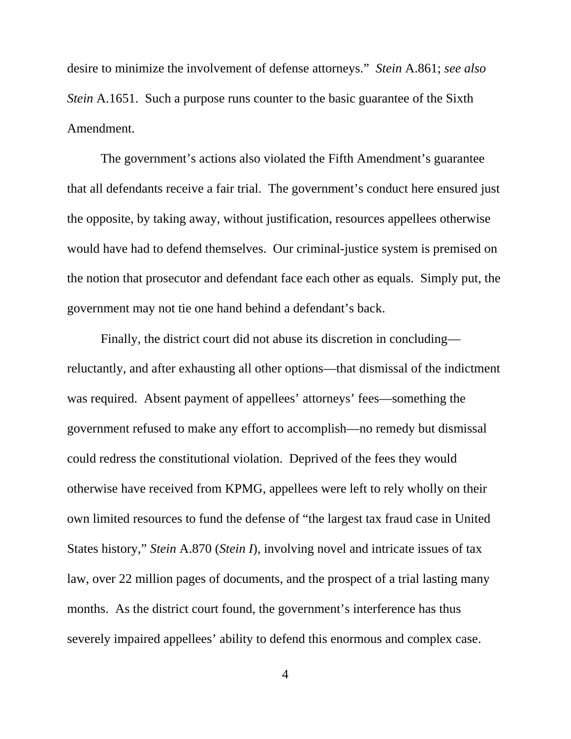desire to minimize the involvement of defense attorneys." *Stein* A.861; *see also Stein* A.1651. Such a purpose runs counter to the basic guarantee of the Sixth Amendment.

The government's actions also violated the Fifth Amendment's guarantee that all defendants receive a fair trial. The government's conduct here ensured just the opposite, by taking away, without justification, resources appellees otherwise would have had to defend themselves. Our criminal-justice system is premised on the notion that prosecutor and defendant face each other as equals. Simply put, the government may not tie one hand behind a defendant's back.

Finally, the district court did not abuse its discretion in concluding reluctantly, and after exhausting all other options—that dismissal of the indictment was required. Absent payment of appellees' attorneys' fees—something the government refused to make any effort to accomplish—no remedy but dismissal could redress the constitutional violation. Deprived of the fees they would otherwise have received from KPMG, appellees were left to rely wholly on their own limited resources to fund the defense of "the largest tax fraud case in United States history," *Stein* A.870 (*Stein I*), involving novel and intricate issues of tax law, over 22 million pages of documents, and the prospect of a trial lasting many months. As the district court found, the government's interference has thus severely impaired appellees' ability to defend this enormous and complex case.

4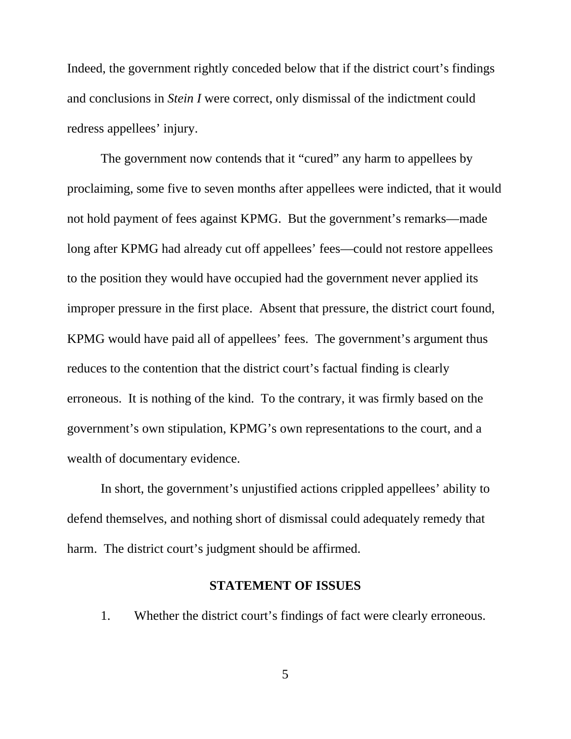Indeed, the government rightly conceded below that if the district court's findings and conclusions in *Stein I* were correct, only dismissal of the indictment could redress appellees' injury.

The government now contends that it "cured" any harm to appellees by proclaiming, some five to seven months after appellees were indicted, that it would not hold payment of fees against KPMG. But the government's remarks—made long after KPMG had already cut off appellees' fees—could not restore appellees to the position they would have occupied had the government never applied its improper pressure in the first place. Absent that pressure, the district court found, KPMG would have paid all of appellees' fees. The government's argument thus reduces to the contention that the district court's factual finding is clearly erroneous. It is nothing of the kind. To the contrary, it was firmly based on the government's own stipulation, KPMG's own representations to the court, and a wealth of documentary evidence.

In short, the government's unjustified actions crippled appellees' ability to defend themselves, and nothing short of dismissal could adequately remedy that harm. The district court's judgment should be affirmed.

#### **STATEMENT OF ISSUES**

1. Whether the district court's findings of fact were clearly erroneous.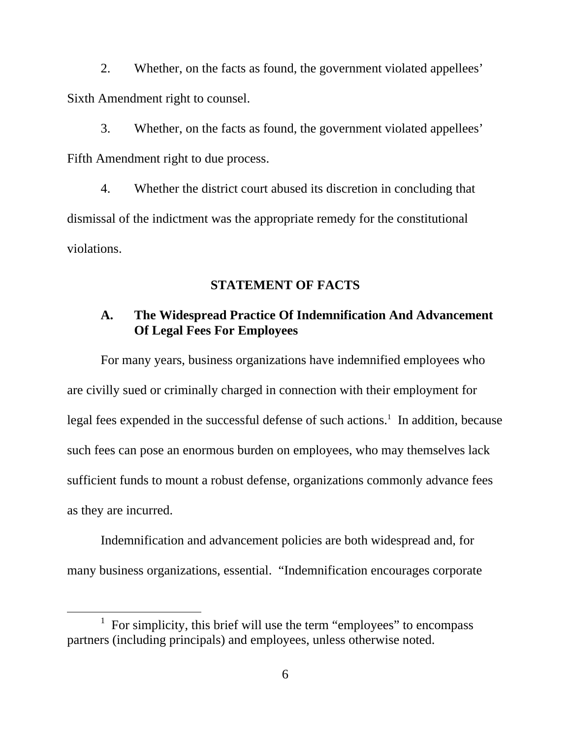2. Whether, on the facts as found, the government violated appellees' Sixth Amendment right to counsel.

3. Whether, on the facts as found, the government violated appellees' Fifth Amendment right to due process.

4. Whether the district court abused its discretion in concluding that dismissal of the indictment was the appropriate remedy for the constitutional violations.

#### **STATEMENT OF FACTS**

#### **A. The Widespread Practice Of Indemnification And Advancement Of Legal Fees For Employees**

For many years, business organizations have indemnified employees who are civilly sued or criminally charged in connection with their employment for legal fees expended in the successful defense of such actions.<sup>1</sup> In addition, because such fees can pose an enormous burden on employees, who may themselves lack sufficient funds to mount a robust defense, organizations commonly advance fees as they are incurred.

Indemnification and advancement policies are both widespread and, for many business organizations, essential. "Indemnification encourages corporate

<sup>&</sup>lt;u>1</u>  $\frac{1}{1}$  For simplicity, this brief will use the term "employees" to encompass partners (including principals) and employees, unless otherwise noted.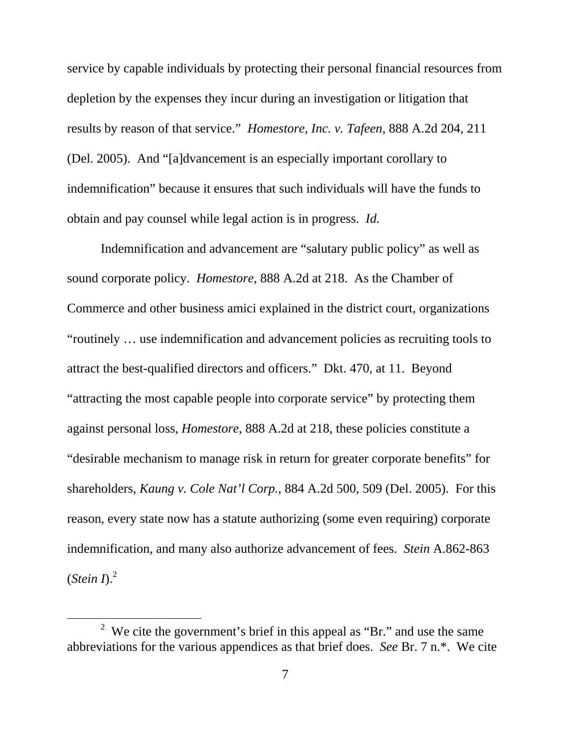service by capable individuals by protecting their personal financial resources from depletion by the expenses they incur during an investigation or litigation that results by reason of that service." *Homestore, Inc. v. Tafeen*, 888 A.2d 204, 211 (Del. 2005). And "[a]dvancement is an especially important corollary to indemnification" because it ensures that such individuals will have the funds to obtain and pay counsel while legal action is in progress. *Id.*

Indemnification and advancement are "salutary public policy" as well as sound corporate policy. *Homestore*, 888 A.2d at 218. As the Chamber of Commerce and other business amici explained in the district court, organizations "routinely … use indemnification and advancement policies as recruiting tools to attract the best-qualified directors and officers." Dkt. 470, at 11. Beyond "attracting the most capable people into corporate service" by protecting them against personal loss, *Homestore*, 888 A.2d at 218, these policies constitute a "desirable mechanism to manage risk in return for greater corporate benefits" for shareholders, *Kaung v. Cole Nat'l Corp.*, 884 A.2d 500, 509 (Del. 2005). For this reason, every state now has a statute authorizing (some even requiring) corporate indemnification, and many also authorize advancement of fees. *Stein* A.862-863  $(Stein\,D)^2$ 

 $\frac{1}{2}$  $2$  We cite the government's brief in this appeal as "Br." and use the same abbreviations for the various appendices as that brief does. *See* Br. 7 n.\*. We cite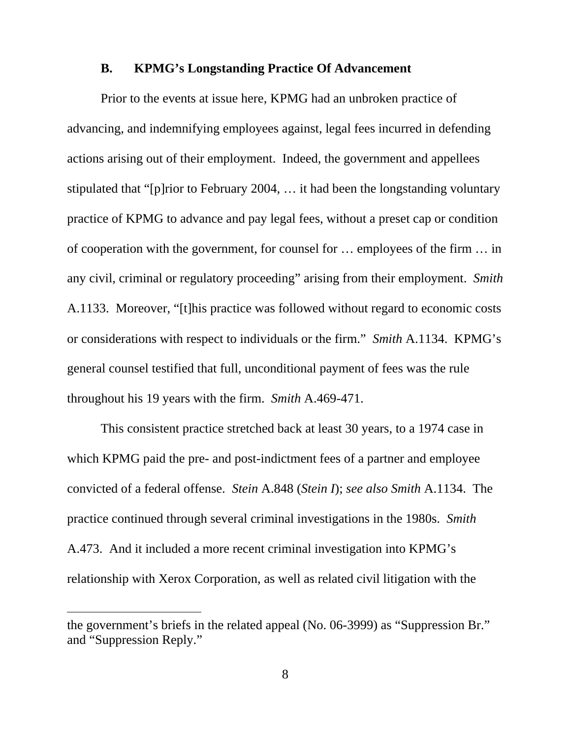#### **B. KPMG's Longstanding Practice Of Advancement**

Prior to the events at issue here, KPMG had an unbroken practice of advancing, and indemnifying employees against, legal fees incurred in defending actions arising out of their employment. Indeed, the government and appellees stipulated that "[p]rior to February 2004, … it had been the longstanding voluntary practice of KPMG to advance and pay legal fees, without a preset cap or condition of cooperation with the government, for counsel for … employees of the firm … in any civil, criminal or regulatory proceeding" arising from their employment. *Smith* A.1133. Moreover, "[t]his practice was followed without regard to economic costs or considerations with respect to individuals or the firm." *Smith* A.1134. KPMG's general counsel testified that full, unconditional payment of fees was the rule throughout his 19 years with the firm. *Smith* A.469-471.

This consistent practice stretched back at least 30 years, to a 1974 case in which KPMG paid the pre- and post-indictment fees of a partner and employee convicted of a federal offense. *Stein* A.848 (*Stein I*); *see also Smith* A.1134. The practice continued through several criminal investigations in the 1980s. *Smith* A.473. And it included a more recent criminal investigation into KPMG's relationship with Xerox Corporation, as well as related civil litigation with the

 $\overline{a}$ 

the government's briefs in the related appeal (No. 06-3999) as "Suppression Br." and "Suppression Reply."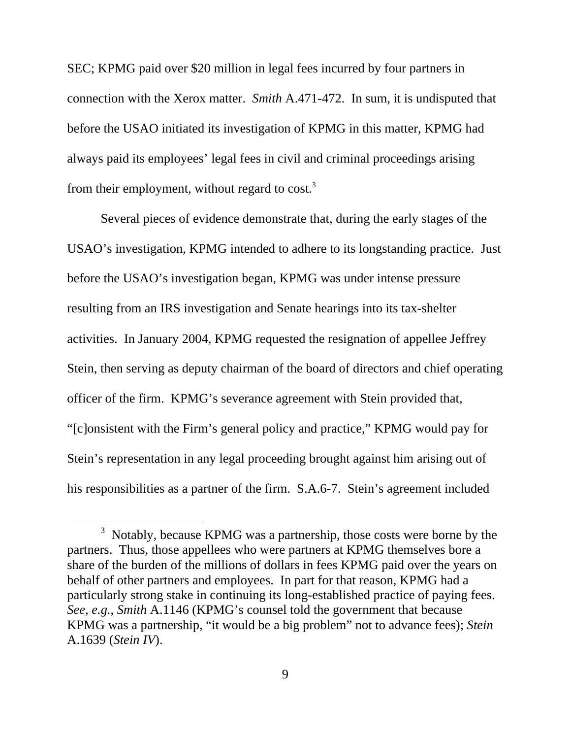SEC; KPMG paid over \$20 million in legal fees incurred by four partners in connection with the Xerox matter. *Smith* A.471-472. In sum, it is undisputed that before the USAO initiated its investigation of KPMG in this matter, KPMG had always paid its employees' legal fees in civil and criminal proceedings arising from their employment, without regard to cost.<sup>3</sup>

Several pieces of evidence demonstrate that, during the early stages of the USAO's investigation, KPMG intended to adhere to its longstanding practice. Just before the USAO's investigation began, KPMG was under intense pressure resulting from an IRS investigation and Senate hearings into its tax-shelter activities. In January 2004, KPMG requested the resignation of appellee Jeffrey Stein, then serving as deputy chairman of the board of directors and chief operating officer of the firm. KPMG's severance agreement with Stein provided that, "[c]onsistent with the Firm's general policy and practice," KPMG would pay for Stein's representation in any legal proceeding brought against him arising out of his responsibilities as a partner of the firm. S.A.6-7. Stein's agreement included

 $\frac{1}{3}$  $3$  Notably, because KPMG was a partnership, those costs were borne by the partners. Thus, those appellees who were partners at KPMG themselves bore a share of the burden of the millions of dollars in fees KPMG paid over the years on behalf of other partners and employees. In part for that reason, KPMG had a particularly strong stake in continuing its long-established practice of paying fees. *See, e.g.*, *Smith* A.1146 (KPMG's counsel told the government that because KPMG was a partnership, "it would be a big problem" not to advance fees); *Stein*  A.1639 (*Stein IV*).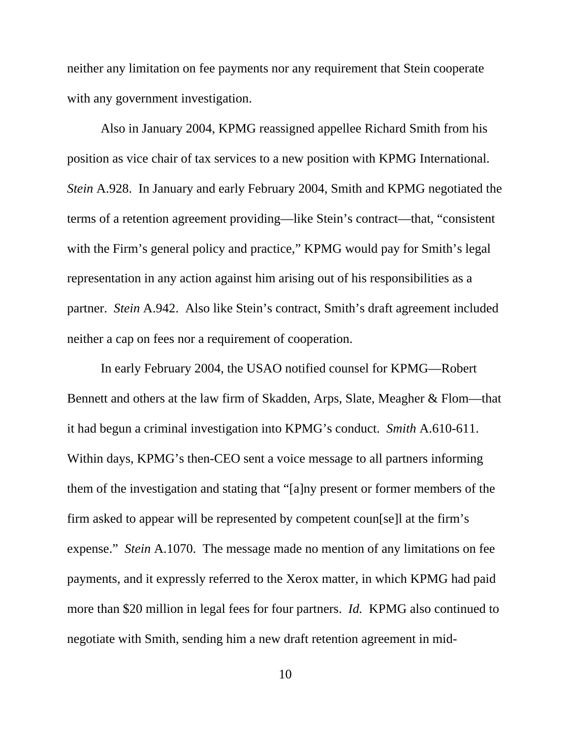neither any limitation on fee payments nor any requirement that Stein cooperate with any government investigation.

Also in January 2004, KPMG reassigned appellee Richard Smith from his position as vice chair of tax services to a new position with KPMG International. *Stein* A.928. In January and early February 2004, Smith and KPMG negotiated the terms of a retention agreement providing—like Stein's contract—that, "consistent with the Firm's general policy and practice," KPMG would pay for Smith's legal representation in any action against him arising out of his responsibilities as a partner. *Stein* A.942. Also like Stein's contract, Smith's draft agreement included neither a cap on fees nor a requirement of cooperation.

In early February 2004, the USAO notified counsel for KPMG—Robert Bennett and others at the law firm of Skadden, Arps, Slate, Meagher & Flom—that it had begun a criminal investigation into KPMG's conduct. *Smith* A.610-611. Within days, KPMG's then-CEO sent a voice message to all partners informing them of the investigation and stating that "[a]ny present or former members of the firm asked to appear will be represented by competent coun[se]l at the firm's expense." *Stein* A.1070. The message made no mention of any limitations on fee payments, and it expressly referred to the Xerox matter, in which KPMG had paid more than \$20 million in legal fees for four partners. *Id.* KPMG also continued to negotiate with Smith, sending him a new draft retention agreement in mid-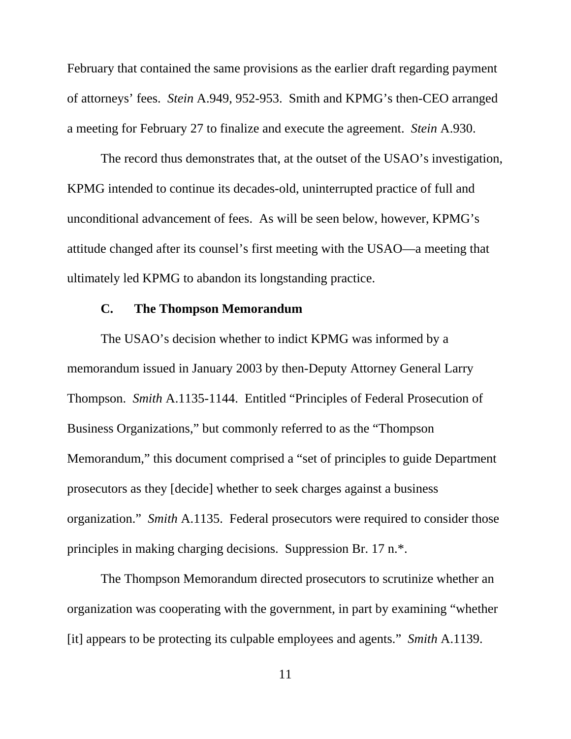February that contained the same provisions as the earlier draft regarding payment of attorneys' fees. *Stein* A.949, 952-953. Smith and KPMG's then-CEO arranged a meeting for February 27 to finalize and execute the agreement. *Stein* A.930.

The record thus demonstrates that, at the outset of the USAO's investigation, KPMG intended to continue its decades-old, uninterrupted practice of full and unconditional advancement of fees. As will be seen below, however, KPMG's attitude changed after its counsel's first meeting with the USAO—a meeting that ultimately led KPMG to abandon its longstanding practice.

#### **C. The Thompson Memorandum**

The USAO's decision whether to indict KPMG was informed by a memorandum issued in January 2003 by then-Deputy Attorney General Larry Thompson. *Smith* A.1135-1144. Entitled "Principles of Federal Prosecution of Business Organizations," but commonly referred to as the "Thompson Memorandum," this document comprised a "set of principles to guide Department prosecutors as they [decide] whether to seek charges against a business organization." *Smith* A.1135. Federal prosecutors were required to consider those principles in making charging decisions. Suppression Br. 17 n.\*.

The Thompson Memorandum directed prosecutors to scrutinize whether an organization was cooperating with the government, in part by examining "whether [it] appears to be protecting its culpable employees and agents." *Smith* A.1139.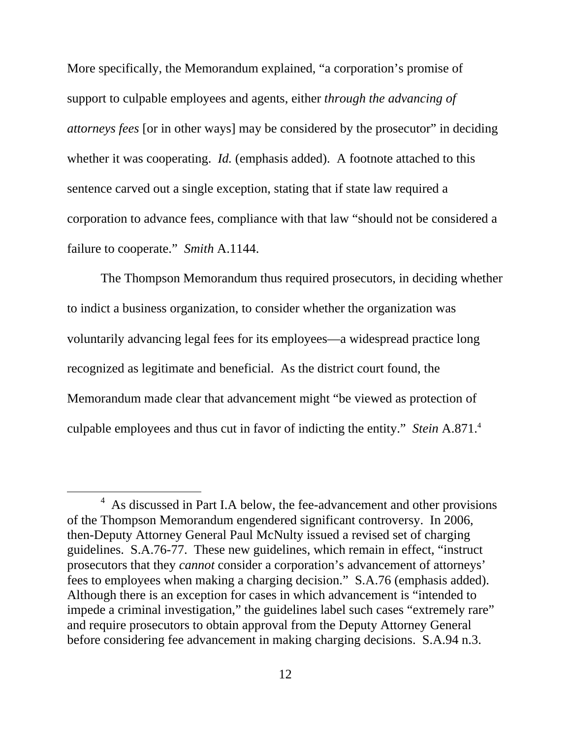More specifically, the Memorandum explained, "a corporation's promise of support to culpable employees and agents, either *through the advancing of attorneys fees* [or in other ways] may be considered by the prosecutor" in deciding whether it was cooperating. *Id.* (emphasis added). A footnote attached to this sentence carved out a single exception, stating that if state law required a corporation to advance fees, compliance with that law "should not be considered a failure to cooperate." *Smith* A.1144.

The Thompson Memorandum thus required prosecutors, in deciding whether to indict a business organization, to consider whether the organization was voluntarily advancing legal fees for its employees—a widespread practice long recognized as legitimate and beneficial. As the district court found, the Memorandum made clear that advancement might "be viewed as protection of culpable employees and thus cut in favor of indicting the entity." *Stein* A.871.4

 $\frac{1}{4}$ <sup>4</sup> As discussed in Part I.A below, the fee-advancement and other provisions of the Thompson Memorandum engendered significant controversy. In 2006, then-Deputy Attorney General Paul McNulty issued a revised set of charging guidelines. S.A.76-77. These new guidelines, which remain in effect, "instruct prosecutors that they *cannot* consider a corporation's advancement of attorneys' fees to employees when making a charging decision." S.A.76 (emphasis added). Although there is an exception for cases in which advancement is "intended to impede a criminal investigation," the guidelines label such cases "extremely rare" and require prosecutors to obtain approval from the Deputy Attorney General before considering fee advancement in making charging decisions. S.A.94 n.3.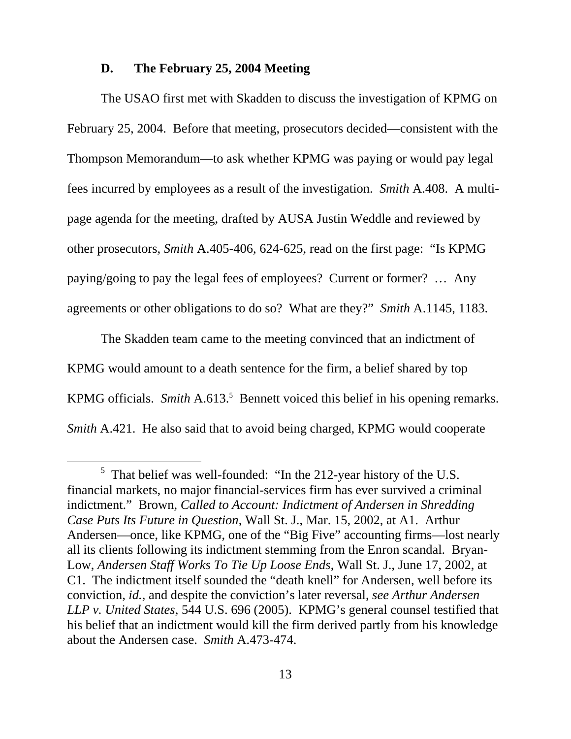#### **D. The February 25, 2004 Meeting**

The USAO first met with Skadden to discuss the investigation of KPMG on February 25, 2004. Before that meeting, prosecutors decided—consistent with the Thompson Memorandum—to ask whether KPMG was paying or would pay legal fees incurred by employees as a result of the investigation. *Smith* A.408. A multipage agenda for the meeting, drafted by AUSA Justin Weddle and reviewed by other prosecutors, *Smith* A.405-406, 624-625, read on the first page: "Is KPMG paying/going to pay the legal fees of employees? Current or former? … Any agreements or other obligations to do so? What are they?" *Smith* A.1145, 1183.

The Skadden team came to the meeting convinced that an indictment of KPMG would amount to a death sentence for the firm, a belief shared by top KPMG officials. *Smith* A.613.<sup>5</sup> Bennett voiced this belief in his opening remarks. *Smith* A.421. He also said that to avoid being charged, KPMG would cooperate

 $rac{1}{5}$  $5$  That belief was well-founded: "In the 212-year history of the U.S. financial markets, no major financial-services firm has ever survived a criminal indictment." Brown, *Called to Account: Indictment of Andersen in Shredding Case Puts Its Future in Question*, Wall St. J., Mar. 15, 2002, at A1. Arthur Andersen—once, like KPMG, one of the "Big Five" accounting firms—lost nearly all its clients following its indictment stemming from the Enron scandal. Bryan-Low, *Andersen Staff Works To Tie Up Loose Ends*, Wall St. J., June 17, 2002, at C1. The indictment itself sounded the "death knell" for Andersen, well before its conviction, *id.*, and despite the conviction's later reversal, *see Arthur Andersen LLP v. United States*, 544 U.S. 696 (2005). KPMG's general counsel testified that his belief that an indictment would kill the firm derived partly from his knowledge about the Andersen case. *Smith* A.473-474.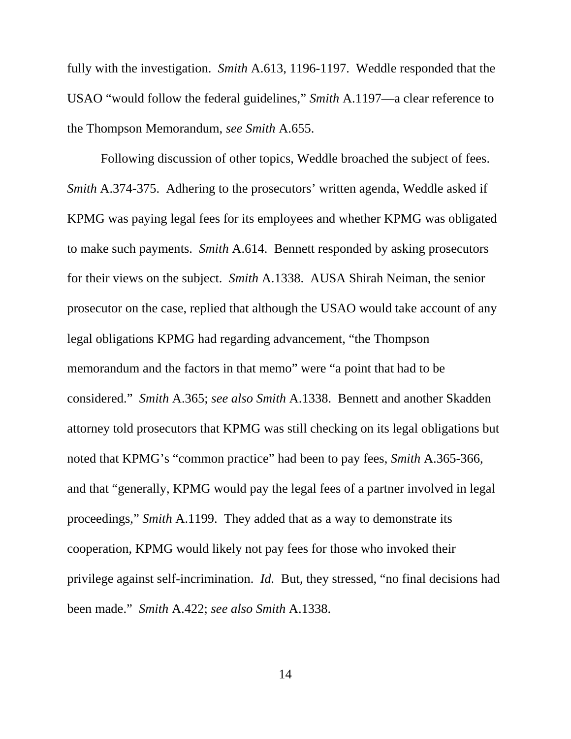fully with the investigation. *Smith* A.613, 1196-1197. Weddle responded that the USAO "would follow the federal guidelines," *Smith* A.1197—a clear reference to the Thompson Memorandum, *see Smith* A.655.

Following discussion of other topics, Weddle broached the subject of fees. *Smith* A.374-375. Adhering to the prosecutors' written agenda, Weddle asked if KPMG was paying legal fees for its employees and whether KPMG was obligated to make such payments. *Smith* A.614. Bennett responded by asking prosecutors for their views on the subject. *Smith* A.1338. AUSA Shirah Neiman, the senior prosecutor on the case, replied that although the USAO would take account of any legal obligations KPMG had regarding advancement, "the Thompson memorandum and the factors in that memo" were "a point that had to be considered." *Smith* A.365; *see also Smith* A.1338. Bennett and another Skadden attorney told prosecutors that KPMG was still checking on its legal obligations but noted that KPMG's "common practice" had been to pay fees, *Smith* A.365-366, and that "generally, KPMG would pay the legal fees of a partner involved in legal proceedings," *Smith* A.1199. They added that as a way to demonstrate its cooperation, KPMG would likely not pay fees for those who invoked their privilege against self-incrimination. *Id.* But, they stressed, "no final decisions had been made." *Smith* A.422; *see also Smith* A.1338.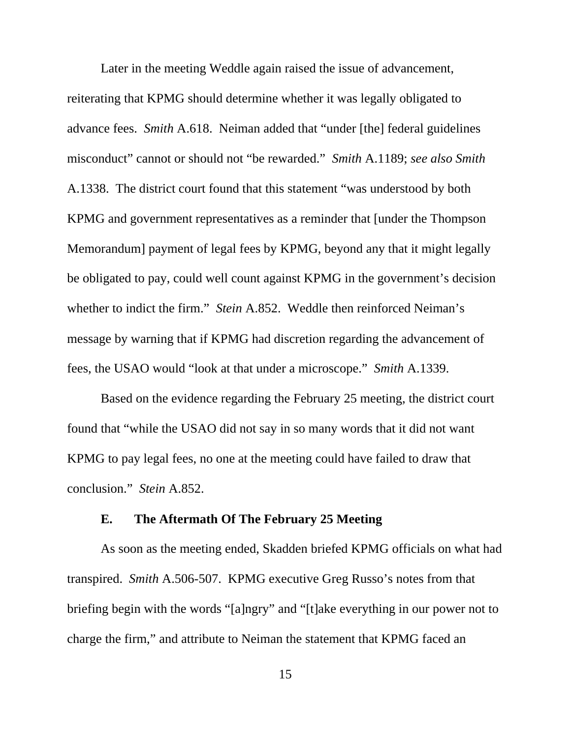Later in the meeting Weddle again raised the issue of advancement, reiterating that KPMG should determine whether it was legally obligated to advance fees. *Smith* A.618. Neiman added that "under [the] federal guidelines misconduct" cannot or should not "be rewarded." *Smith* A.1189; *see also Smith* A.1338. The district court found that this statement "was understood by both KPMG and government representatives as a reminder that [under the Thompson Memorandum] payment of legal fees by KPMG, beyond any that it might legally be obligated to pay, could well count against KPMG in the government's decision whether to indict the firm." *Stein* A.852. Weddle then reinforced Neiman's message by warning that if KPMG had discretion regarding the advancement of fees, the USAO would "look at that under a microscope." *Smith* A.1339.

Based on the evidence regarding the February 25 meeting, the district court found that "while the USAO did not say in so many words that it did not want KPMG to pay legal fees, no one at the meeting could have failed to draw that conclusion." *Stein* A.852.

#### **E. The Aftermath Of The February 25 Meeting**

As soon as the meeting ended, Skadden briefed KPMG officials on what had transpired. *Smith* A.506-507. KPMG executive Greg Russo's notes from that briefing begin with the words "[a]ngry" and "[t]ake everything in our power not to charge the firm," and attribute to Neiman the statement that KPMG faced an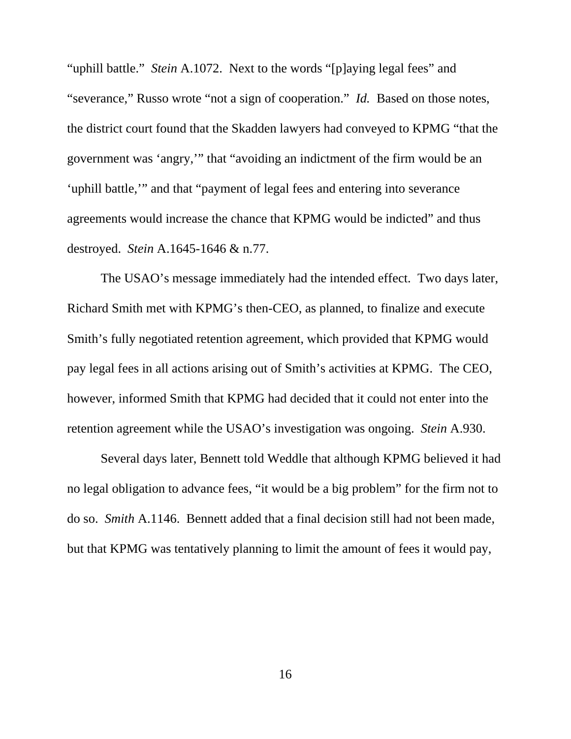"uphill battle." *Stein* A.1072. Next to the words "[p]aying legal fees" and "severance," Russo wrote "not a sign of cooperation." *Id.* Based on those notes, the district court found that the Skadden lawyers had conveyed to KPMG "that the government was 'angry,'" that "avoiding an indictment of the firm would be an 'uphill battle,'" and that "payment of legal fees and entering into severance agreements would increase the chance that KPMG would be indicted" and thus destroyed. *Stein* A.1645-1646 & n.77.

The USAO's message immediately had the intended effect. Two days later, Richard Smith met with KPMG's then-CEO, as planned, to finalize and execute Smith's fully negotiated retention agreement, which provided that KPMG would pay legal fees in all actions arising out of Smith's activities at KPMG. The CEO, however, informed Smith that KPMG had decided that it could not enter into the retention agreement while the USAO's investigation was ongoing. *Stein* A.930.

Several days later, Bennett told Weddle that although KPMG believed it had no legal obligation to advance fees, "it would be a big problem" for the firm not to do so. *Smith* A.1146. Bennett added that a final decision still had not been made, but that KPMG was tentatively planning to limit the amount of fees it would pay,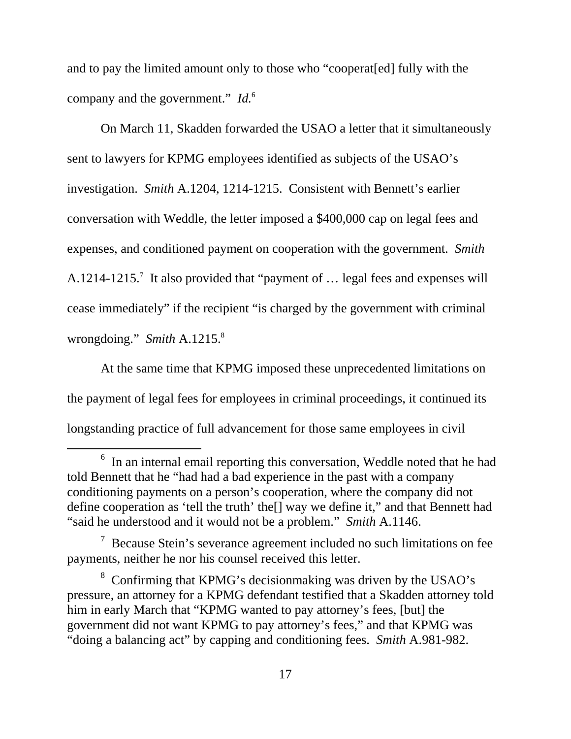and to pay the limited amount only to those who "cooperat[ed] fully with the company and the government." *Id.*<sup>6</sup>

On March 11, Skadden forwarded the USAO a letter that it simultaneously sent to lawyers for KPMG employees identified as subjects of the USAO's investigation. *Smith* A.1204, 1214-1215. Consistent with Bennett's earlier conversation with Weddle, the letter imposed a \$400,000 cap on legal fees and expenses, and conditioned payment on cooperation with the government. *Smith*  A.1214-1215.<sup>7</sup> It also provided that "payment of ... legal fees and expenses will cease immediately" if the recipient "is charged by the government with criminal wrongdoing." *Smith* A.1215.8

At the same time that KPMG imposed these unprecedented limitations on the payment of legal fees for employees in criminal proceedings, it continued its longstanding practice of full advancement for those same employees in civil

 <sup>6</sup>  $6$  In an internal email reporting this conversation, Weddle noted that he had told Bennett that he "had had a bad experience in the past with a company conditioning payments on a person's cooperation, where the company did not define cooperation as 'tell the truth' the[] way we define it," and that Bennett had "said he understood and it would not be a problem." *Smith* A.1146.

 $7$  Because Stein's severance agreement included no such limitations on fee payments, neither he nor his counsel received this letter.

<sup>&</sup>lt;sup>8</sup> Confirming that KPMG's decisionmaking was driven by the USAO's pressure, an attorney for a KPMG defendant testified that a Skadden attorney told him in early March that "KPMG wanted to pay attorney's fees, [but] the government did not want KPMG to pay attorney's fees," and that KPMG was "doing a balancing act" by capping and conditioning fees. *Smith* A.981-982.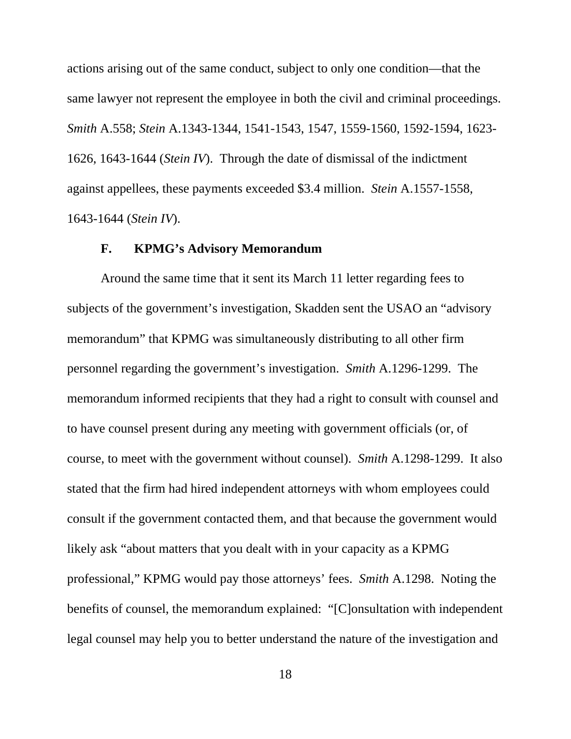actions arising out of the same conduct, subject to only one condition—that the same lawyer not represent the employee in both the civil and criminal proceedings. *Smith* A.558; *Stein* A.1343-1344, 1541-1543, 1547, 1559-1560, 1592-1594, 1623- 1626, 1643-1644 (*Stein IV*). Through the date of dismissal of the indictment against appellees, these payments exceeded \$3.4 million. *Stein* A.1557-1558, 1643-1644 (*Stein IV*).

#### **F. KPMG's Advisory Memorandum**

Around the same time that it sent its March 11 letter regarding fees to subjects of the government's investigation, Skadden sent the USAO an "advisory memorandum" that KPMG was simultaneously distributing to all other firm personnel regarding the government's investigation. *Smith* A.1296-1299. The memorandum informed recipients that they had a right to consult with counsel and to have counsel present during any meeting with government officials (or, of course, to meet with the government without counsel). *Smith* A.1298-1299. It also stated that the firm had hired independent attorneys with whom employees could consult if the government contacted them, and that because the government would likely ask "about matters that you dealt with in your capacity as a KPMG professional," KPMG would pay those attorneys' fees. *Smith* A.1298. Noting the benefits of counsel, the memorandum explained: "[C]onsultation with independent legal counsel may help you to better understand the nature of the investigation and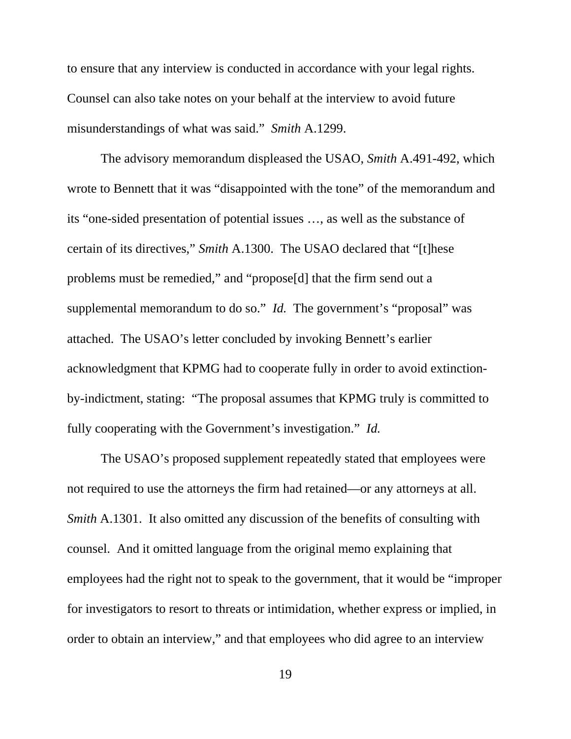to ensure that any interview is conducted in accordance with your legal rights. Counsel can also take notes on your behalf at the interview to avoid future misunderstandings of what was said." *Smith* A.1299.

The advisory memorandum displeased the USAO, *Smith* A.491-492, which wrote to Bennett that it was "disappointed with the tone" of the memorandum and its "one-sided presentation of potential issues …, as well as the substance of certain of its directives," *Smith* A.1300. The USAO declared that "[t]hese problems must be remedied," and "propose[d] that the firm send out a supplemental memorandum to do so." *Id.* The government's "proposal" was attached. The USAO's letter concluded by invoking Bennett's earlier acknowledgment that KPMG had to cooperate fully in order to avoid extinctionby-indictment, stating: "The proposal assumes that KPMG truly is committed to fully cooperating with the Government's investigation." *Id.*

The USAO's proposed supplement repeatedly stated that employees were not required to use the attorneys the firm had retained—or any attorneys at all. *Smith A.1301.* It also omitted any discussion of the benefits of consulting with counsel. And it omitted language from the original memo explaining that employees had the right not to speak to the government, that it would be "improper for investigators to resort to threats or intimidation, whether express or implied, in order to obtain an interview," and that employees who did agree to an interview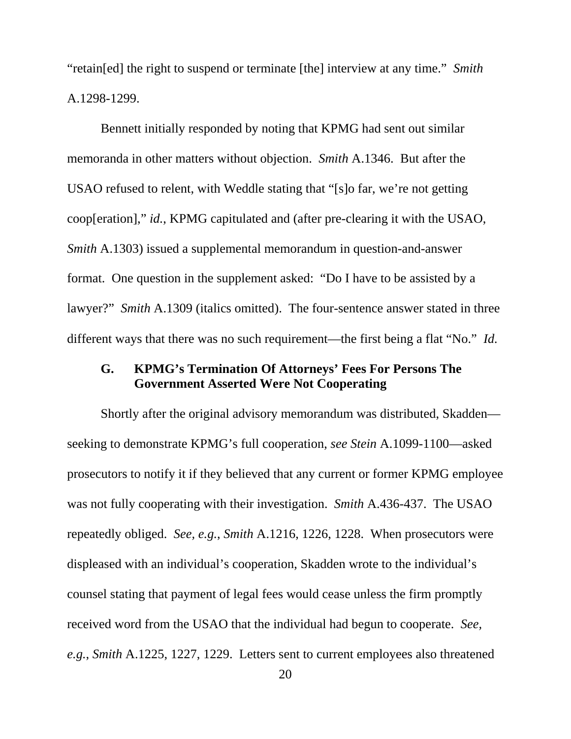"retain[ed] the right to suspend or terminate [the] interview at any time." *Smith*  A.1298-1299.

Bennett initially responded by noting that KPMG had sent out similar memoranda in other matters without objection. *Smith* A.1346. But after the USAO refused to relent, with Weddle stating that "[s]o far, we're not getting coop[eration]," *id.*, KPMG capitulated and (after pre-clearing it with the USAO, *Smith* A.1303) issued a supplemental memorandum in question-and-answer format. One question in the supplement asked: "Do I have to be assisted by a lawyer?" *Smith* A.1309 (italics omitted). The four-sentence answer stated in three different ways that there was no such requirement—the first being a flat "No." *Id.*

#### **G. KPMG's Termination Of Attorneys' Fees For Persons The Government Asserted Were Not Cooperating**

Shortly after the original advisory memorandum was distributed, Skadden seeking to demonstrate KPMG's full cooperation, *see Stein* A.1099-1100—asked prosecutors to notify it if they believed that any current or former KPMG employee was not fully cooperating with their investigation. *Smith* A.436-437. The USAO repeatedly obliged. *See, e.g.*, *Smith* A.1216, 1226, 1228. When prosecutors were displeased with an individual's cooperation, Skadden wrote to the individual's counsel stating that payment of legal fees would cease unless the firm promptly received word from the USAO that the individual had begun to cooperate. *See, e.g.*, *Smith* A.1225, 1227, 1229. Letters sent to current employees also threatened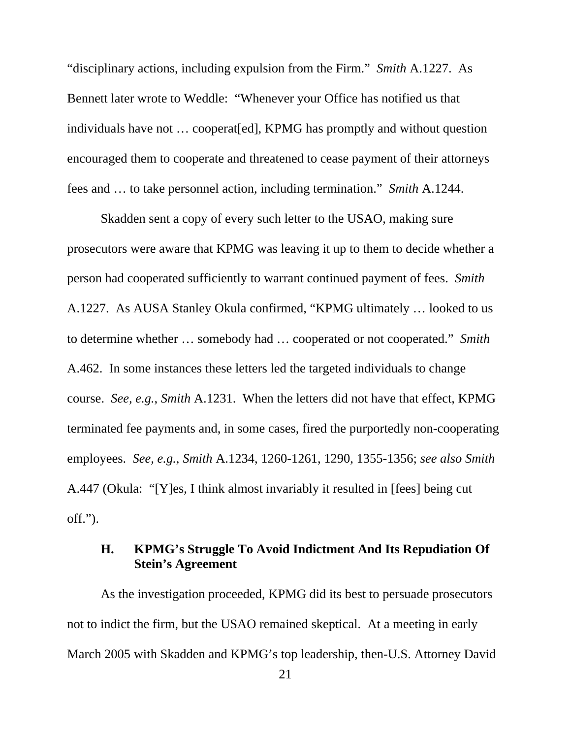"disciplinary actions, including expulsion from the Firm." *Smith* A.1227. As Bennett later wrote to Weddle: "Whenever your Office has notified us that individuals have not … cooperat[ed], KPMG has promptly and without question encouraged them to cooperate and threatened to cease payment of their attorneys fees and … to take personnel action, including termination." *Smith* A.1244.

Skadden sent a copy of every such letter to the USAO, making sure prosecutors were aware that KPMG was leaving it up to them to decide whether a person had cooperated sufficiently to warrant continued payment of fees. *Smith* A.1227.As AUSA Stanley Okula confirmed, "KPMG ultimately … looked to us to determine whether … somebody had … cooperated or not cooperated." *Smith*  A.462. In some instances these letters led the targeted individuals to change course. *See, e.g.*, *Smith* A.1231. When the letters did not have that effect, KPMG terminated fee payments and, in some cases, fired the purportedly non-cooperating employees. *See, e.g.*, *Smith* A.1234, 1260-1261, 1290, 1355-1356; *see also Smith*  A.447 (Okula: "[Y]es, I think almost invariably it resulted in [fees] being cut off.").

#### **H. KPMG's Struggle To Avoid Indictment And Its Repudiation Of Stein's Agreement**

As the investigation proceeded, KPMG did its best to persuade prosecutors not to indict the firm, but the USAO remained skeptical. At a meeting in early March 2005 with Skadden and KPMG's top leadership, then-U.S. Attorney David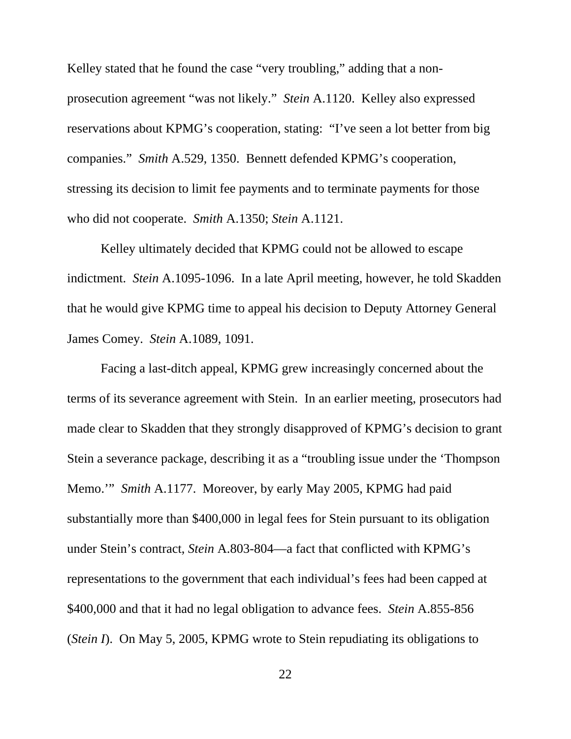Kelley stated that he found the case "very troubling," adding that a nonprosecution agreement "was not likely." *Stein* A.1120. Kelley also expressed reservations about KPMG's cooperation, stating: "I've seen a lot better from big companies." *Smith* A.529, 1350. Bennett defended KPMG's cooperation, stressing its decision to limit fee payments and to terminate payments for those who did not cooperate. *Smith* A.1350; *Stein* A.1121.

Kelley ultimately decided that KPMG could not be allowed to escape indictment. *Stein* A.1095-1096. In a late April meeting, however, he told Skadden that he would give KPMG time to appeal his decision to Deputy Attorney General James Comey. *Stein* A.1089, 1091.

Facing a last-ditch appeal, KPMG grew increasingly concerned about the terms of its severance agreement with Stein. In an earlier meeting, prosecutors had made clear to Skadden that they strongly disapproved of KPMG's decision to grant Stein a severance package, describing it as a "troubling issue under the 'Thompson Memo.'" *Smith* A.1177. Moreover, by early May 2005, KPMG had paid substantially more than \$400,000 in legal fees for Stein pursuant to its obligation under Stein's contract, *Stein* A.803-804—a fact that conflicted with KPMG's representations to the government that each individual's fees had been capped at \$400,000 and that it had no legal obligation to advance fees. *Stein* A.855-856 (*Stein I*). On May 5, 2005, KPMG wrote to Stein repudiating its obligations to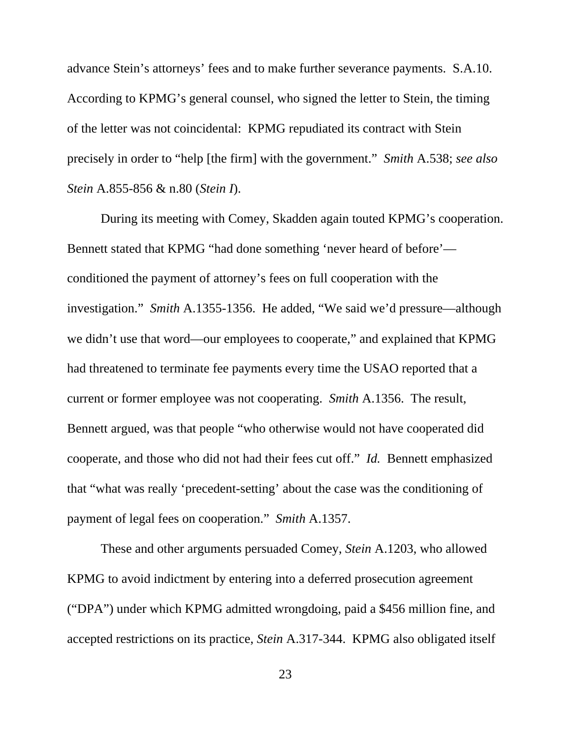advance Stein's attorneys' fees and to make further severance payments. S.A.10. According to KPMG's general counsel, who signed the letter to Stein, the timing of the letter was not coincidental: KPMG repudiated its contract with Stein precisely in order to "help [the firm] with the government." *Smith* A.538; *see also Stein* A.855-856 & n.80 (*Stein I*).

During its meeting with Comey, Skadden again touted KPMG's cooperation. Bennett stated that KPMG "had done something 'never heard of before' conditioned the payment of attorney's fees on full cooperation with the investigation." *Smith* A.1355-1356. He added, "We said we'd pressure—although we didn't use that word—our employees to cooperate," and explained that KPMG had threatened to terminate fee payments every time the USAO reported that a current or former employee was not cooperating. *Smith* A.1356. The result, Bennett argued, was that people "who otherwise would not have cooperated did cooperate, and those who did not had their fees cut off." *Id.* Bennett emphasized that "what was really 'precedent-setting' about the case was the conditioning of payment of legal fees on cooperation." *Smith* A.1357.

These and other arguments persuaded Comey, *Stein* A.1203, who allowed KPMG to avoid indictment by entering into a deferred prosecution agreement ("DPA") under which KPMG admitted wrongdoing, paid a \$456 million fine, and accepted restrictions on its practice, *Stein* A.317-344. KPMG also obligated itself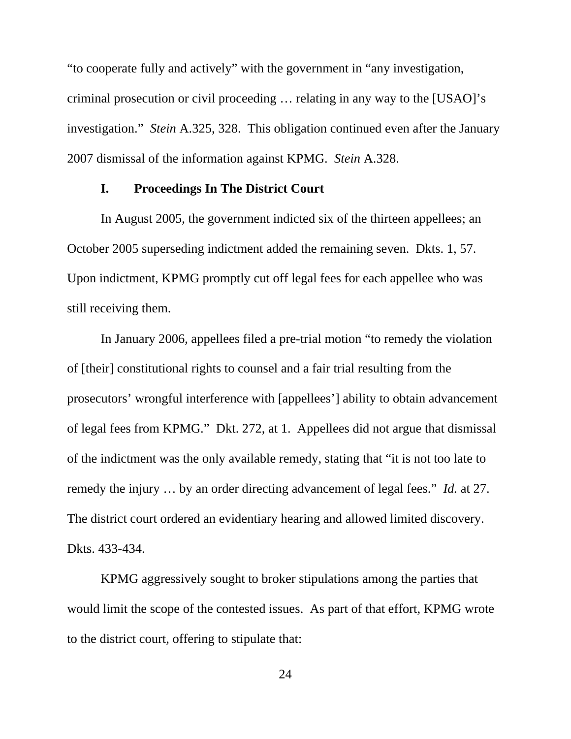"to cooperate fully and actively" with the government in "any investigation, criminal prosecution or civil proceeding … relating in any way to the [USAO]'s investigation." *Stein* A.325, 328. This obligation continued even after the January 2007 dismissal of the information against KPMG. *Stein* A.328.

#### **I. Proceedings In The District Court**

In August 2005, the government indicted six of the thirteen appellees; an October 2005 superseding indictment added the remaining seven. Dkts. 1, 57. Upon indictment, KPMG promptly cut off legal fees for each appellee who was still receiving them.

In January 2006, appellees filed a pre-trial motion "to remedy the violation of [their] constitutional rights to counsel and a fair trial resulting from the prosecutors' wrongful interference with [appellees'] ability to obtain advancement of legal fees from KPMG." Dkt. 272, at 1. Appellees did not argue that dismissal of the indictment was the only available remedy, stating that "it is not too late to remedy the injury … by an order directing advancement of legal fees." *Id.* at 27. The district court ordered an evidentiary hearing and allowed limited discovery. Dkts. 433-434.

KPMG aggressively sought to broker stipulations among the parties that would limit the scope of the contested issues. As part of that effort, KPMG wrote to the district court, offering to stipulate that: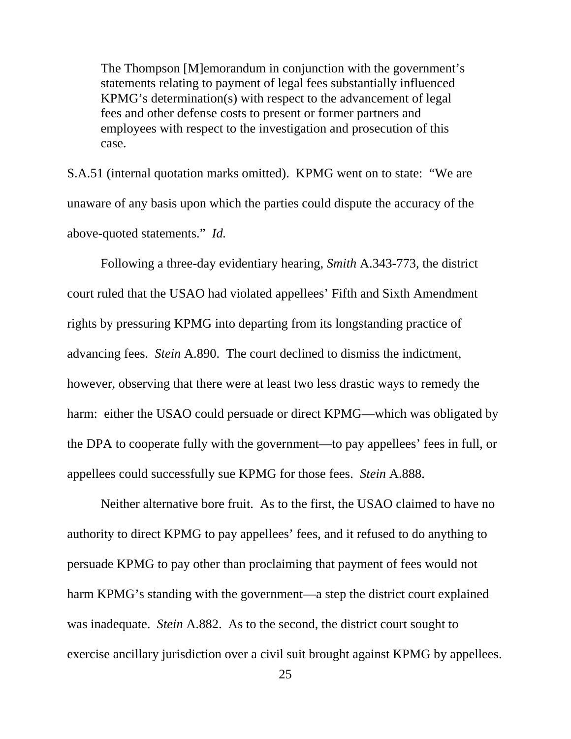The Thompson [M]emorandum in conjunction with the government's statements relating to payment of legal fees substantially influenced KPMG's determination(s) with respect to the advancement of legal fees and other defense costs to present or former partners and employees with respect to the investigation and prosecution of this case.

S.A.51 (internal quotation marks omitted). KPMG went on to state: "We are unaware of any basis upon which the parties could dispute the accuracy of the above-quoted statements." *Id.* 

Following a three-day evidentiary hearing, *Smith* A.343-773, the district court ruled that the USAO had violated appellees' Fifth and Sixth Amendment rights by pressuring KPMG into departing from its longstanding practice of advancing fees. *Stein* A.890. The court declined to dismiss the indictment, however, observing that there were at least two less drastic ways to remedy the harm: either the USAO could persuade or direct KPMG—which was obligated by the DPA to cooperate fully with the government—to pay appellees' fees in full, or appellees could successfully sue KPMG for those fees. *Stein* A.888.

Neither alternative bore fruit. As to the first, the USAO claimed to have no authority to direct KPMG to pay appellees' fees, and it refused to do anything to persuade KPMG to pay other than proclaiming that payment of fees would not harm KPMG's standing with the government—a step the district court explained was inadequate. *Stein* A.882. As to the second, the district court sought to exercise ancillary jurisdiction over a civil suit brought against KPMG by appellees.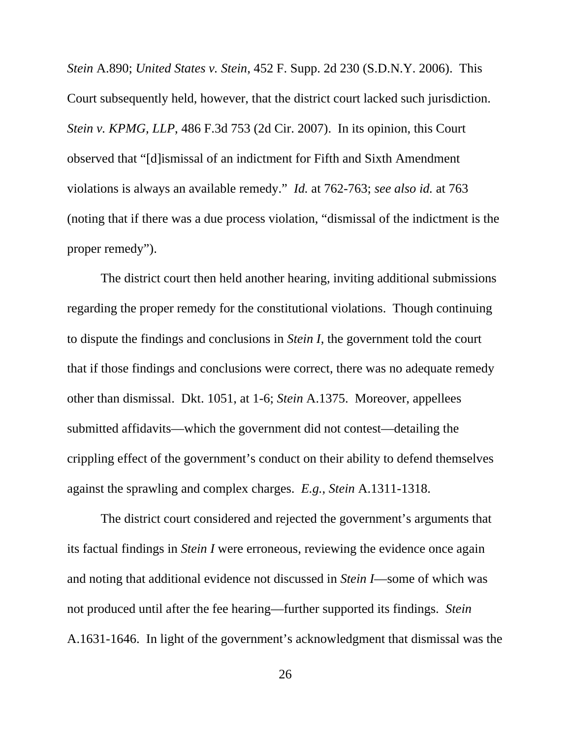*Stein* A.890; *United States v. Stein*, 452 F. Supp. 2d 230 (S.D.N.Y. 2006). This Court subsequently held, however, that the district court lacked such jurisdiction. *Stein v. KPMG, LLP*, 486 F.3d 753 (2d Cir. 2007). In its opinion, this Court observed that "[d]ismissal of an indictment for Fifth and Sixth Amendment violations is always an available remedy." *Id.* at 762-763; *see also id.* at 763 (noting that if there was a due process violation, "dismissal of the indictment is the proper remedy").

The district court then held another hearing, inviting additional submissions regarding the proper remedy for the constitutional violations. Though continuing to dispute the findings and conclusions in *Stein I*, the government told the court that if those findings and conclusions were correct, there was no adequate remedy other than dismissal. Dkt. 1051, at 1-6; *Stein* A.1375. Moreover, appellees submitted affidavits—which the government did not contest—detailing the crippling effect of the government's conduct on their ability to defend themselves against the sprawling and complex charges. *E.g.*, *Stein* A.1311-1318.

The district court considered and rejected the government's arguments that its factual findings in *Stein I* were erroneous, reviewing the evidence once again and noting that additional evidence not discussed in *Stein I*—some of which was not produced until after the fee hearing—further supported its findings. *Stein* A.1631-1646.In light of the government's acknowledgment that dismissal was the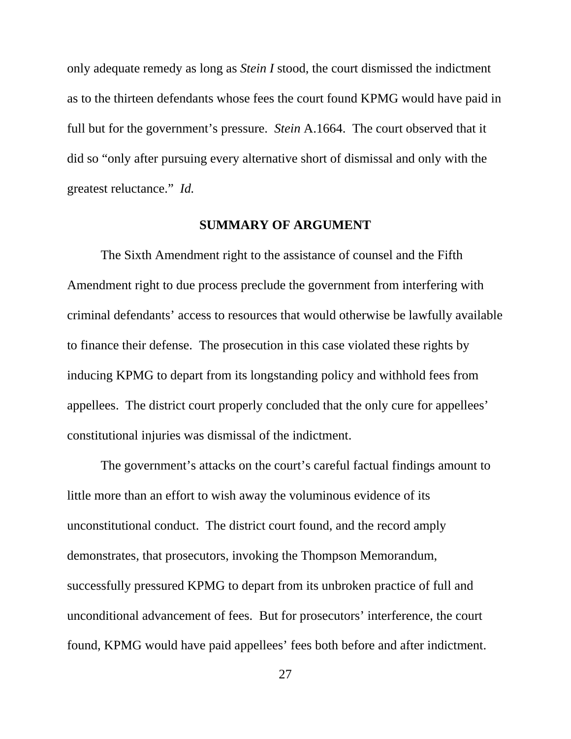only adequate remedy as long as *Stein I* stood, the court dismissed the indictment as to the thirteen defendants whose fees the court found KPMG would have paid in full but for the government's pressure. *Stein* A.1664. The court observed that it did so "only after pursuing every alternative short of dismissal and only with the greatest reluctance." *Id.*

#### **SUMMARY OF ARGUMENT**

The Sixth Amendment right to the assistance of counsel and the Fifth Amendment right to due process preclude the government from interfering with criminal defendants' access to resources that would otherwise be lawfully available to finance their defense. The prosecution in this case violated these rights by inducing KPMG to depart from its longstanding policy and withhold fees from appellees. The district court properly concluded that the only cure for appellees' constitutional injuries was dismissal of the indictment.

The government's attacks on the court's careful factual findings amount to little more than an effort to wish away the voluminous evidence of its unconstitutional conduct. The district court found, and the record amply demonstrates, that prosecutors, invoking the Thompson Memorandum, successfully pressured KPMG to depart from its unbroken practice of full and unconditional advancement of fees. But for prosecutors' interference, the court found, KPMG would have paid appellees' fees both before and after indictment.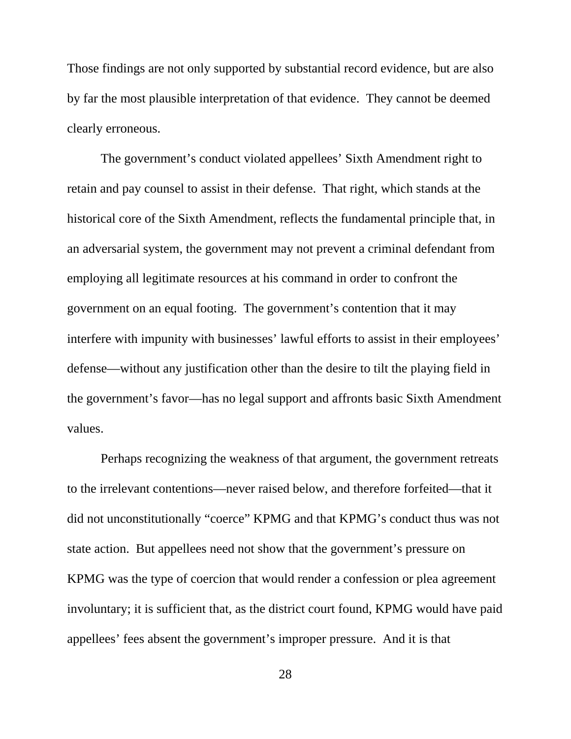Those findings are not only supported by substantial record evidence, but are also by far the most plausible interpretation of that evidence. They cannot be deemed clearly erroneous.

The government's conduct violated appellees' Sixth Amendment right to retain and pay counsel to assist in their defense. That right, which stands at the historical core of the Sixth Amendment, reflects the fundamental principle that, in an adversarial system, the government may not prevent a criminal defendant from employing all legitimate resources at his command in order to confront the government on an equal footing. The government's contention that it may interfere with impunity with businesses' lawful efforts to assist in their employees' defense—without any justification other than the desire to tilt the playing field in the government's favor—has no legal support and affronts basic Sixth Amendment values.

Perhaps recognizing the weakness of that argument, the government retreats to the irrelevant contentions—never raised below, and therefore forfeited—that it did not unconstitutionally "coerce" KPMG and that KPMG's conduct thus was not state action. But appellees need not show that the government's pressure on KPMG was the type of coercion that would render a confession or plea agreement involuntary; it is sufficient that, as the district court found, KPMG would have paid appellees' fees absent the government's improper pressure. And it is that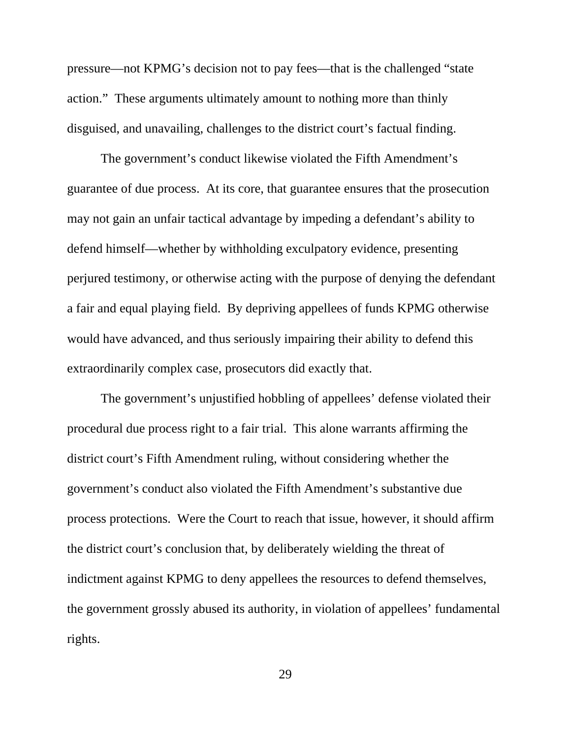pressure—not KPMG's decision not to pay fees—that is the challenged "state action." These arguments ultimately amount to nothing more than thinly disguised, and unavailing, challenges to the district court's factual finding.

The government's conduct likewise violated the Fifth Amendment's guarantee of due process. At its core, that guarantee ensures that the prosecution may not gain an unfair tactical advantage by impeding a defendant's ability to defend himself—whether by withholding exculpatory evidence, presenting perjured testimony, or otherwise acting with the purpose of denying the defendant a fair and equal playing field. By depriving appellees of funds KPMG otherwise would have advanced, and thus seriously impairing their ability to defend this extraordinarily complex case, prosecutors did exactly that.

The government's unjustified hobbling of appellees' defense violated their procedural due process right to a fair trial. This alone warrants affirming the district court's Fifth Amendment ruling, without considering whether the government's conduct also violated the Fifth Amendment's substantive due process protections. Were the Court to reach that issue, however, it should affirm the district court's conclusion that, by deliberately wielding the threat of indictment against KPMG to deny appellees the resources to defend themselves, the government grossly abused its authority, in violation of appellees' fundamental rights.

29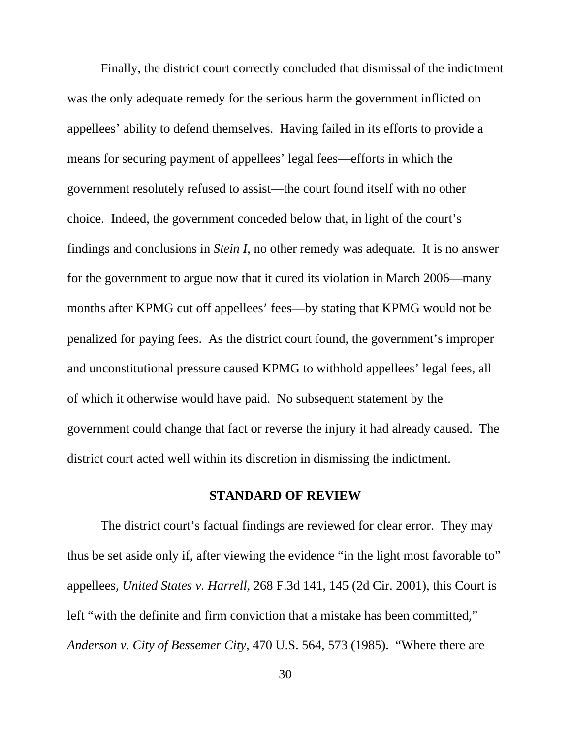Finally, the district court correctly concluded that dismissal of the indictment was the only adequate remedy for the serious harm the government inflicted on appellees' ability to defend themselves. Having failed in its efforts to provide a means for securing payment of appellees' legal fees—efforts in which the government resolutely refused to assist—the court found itself with no other choice. Indeed, the government conceded below that, in light of the court's findings and conclusions in *Stein I*, no other remedy was adequate. It is no answer for the government to argue now that it cured its violation in March 2006—many months after KPMG cut off appellees' fees—by stating that KPMG would not be penalized for paying fees. As the district court found, the government's improper and unconstitutional pressure caused KPMG to withhold appellees' legal fees, all of which it otherwise would have paid. No subsequent statement by the government could change that fact or reverse the injury it had already caused. The district court acted well within its discretion in dismissing the indictment.

#### **STANDARD OF REVIEW**

The district court's factual findings are reviewed for clear error. They may thus be set aside only if, after viewing the evidence "in the light most favorable to" appellees, *United States v. Harrell*, 268 F.3d 141, 145 (2d Cir. 2001), this Court is left "with the definite and firm conviction that a mistake has been committed," *Anderson v. City of Bessemer City*, 470 U.S. 564, 573 (1985). "Where there are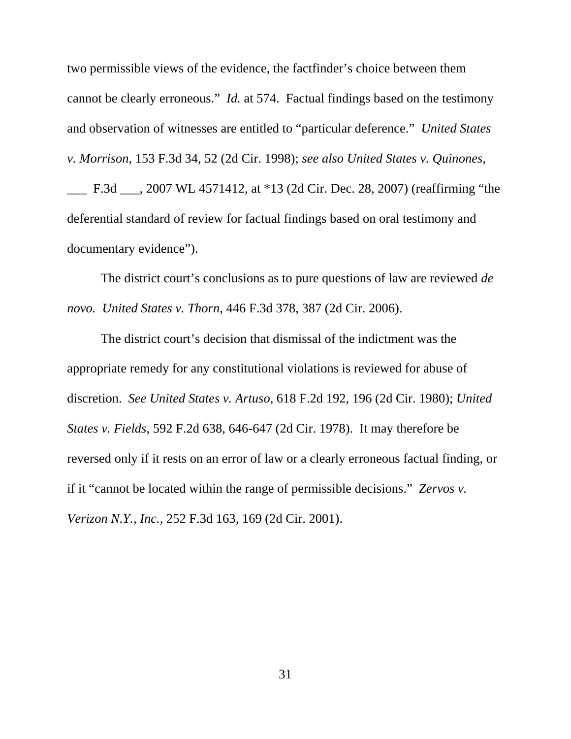two permissible views of the evidence, the factfinder's choice between them cannot be clearly erroneous." *Id.* at 574. Factual findings based on the testimony and observation of witnesses are entitled to "particular deference." *United States v. Morrison*, 153 F.3d 34, 52 (2d Cir. 1998); *see also United States v. Quinones*, \_\_\_ F.3d \_\_\_, 2007 WL 4571412, at \*13 (2d Cir. Dec. 28, 2007) (reaffirming "the deferential standard of review for factual findings based on oral testimony and documentary evidence").

The district court's conclusions as to pure questions of law are reviewed *de novo. United States v. Thorn*, 446 F.3d 378, 387 (2d Cir. 2006).

The district court's decision that dismissal of the indictment was the appropriate remedy for any constitutional violations is reviewed for abuse of discretion. *See United States v. Artuso*, 618 F.2d 192, 196 (2d Cir. 1980); *United States v. Fields*, 592 F.2d 638, 646-647 (2d Cir. 1978). It may therefore be reversed only if it rests on an error of law or a clearly erroneous factual finding, or if it "cannot be located within the range of permissible decisions." *Zervos v. Verizon N.Y., Inc.*, 252 F.3d 163, 169 (2d Cir. 2001).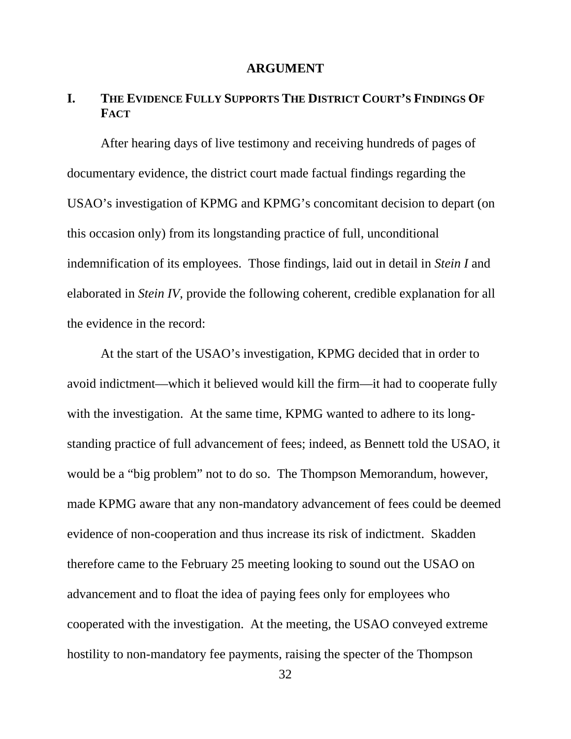#### **ARGUMENT**

## **I. THE EVIDENCE FULLY SUPPORTS THE DISTRICT COURT'S FINDINGS OF FACT**

After hearing days of live testimony and receiving hundreds of pages of documentary evidence, the district court made factual findings regarding the USAO's investigation of KPMG and KPMG's concomitant decision to depart (on this occasion only) from its longstanding practice of full, unconditional indemnification of its employees. Those findings, laid out in detail in *Stein I* and elaborated in *Stein IV*, provide the following coherent, credible explanation for all the evidence in the record:

At the start of the USAO's investigation, KPMG decided that in order to avoid indictment—which it believed would kill the firm—it had to cooperate fully with the investigation. At the same time, KPMG wanted to adhere to its longstanding practice of full advancement of fees; indeed, as Bennett told the USAO, it would be a "big problem" not to do so. The Thompson Memorandum, however, made KPMG aware that any non-mandatory advancement of fees could be deemed evidence of non-cooperation and thus increase its risk of indictment. Skadden therefore came to the February 25 meeting looking to sound out the USAO on advancement and to float the idea of paying fees only for employees who cooperated with the investigation. At the meeting, the USAO conveyed extreme hostility to non-mandatory fee payments, raising the specter of the Thompson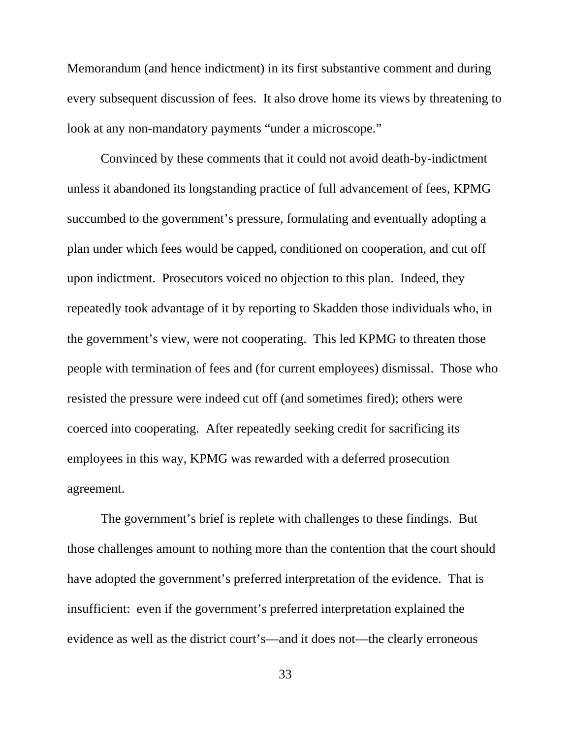Memorandum (and hence indictment) in its first substantive comment and during every subsequent discussion of fees. It also drove home its views by threatening to look at any non-mandatory payments "under a microscope."

Convinced by these comments that it could not avoid death-by-indictment unless it abandoned its longstanding practice of full advancement of fees, KPMG succumbed to the government's pressure, formulating and eventually adopting a plan under which fees would be capped, conditioned on cooperation, and cut off upon indictment. Prosecutors voiced no objection to this plan. Indeed, they repeatedly took advantage of it by reporting to Skadden those individuals who, in the government's view, were not cooperating. This led KPMG to threaten those people with termination of fees and (for current employees) dismissal. Those who resisted the pressure were indeed cut off (and sometimes fired); others were coerced into cooperating. After repeatedly seeking credit for sacrificing its employees in this way, KPMG was rewarded with a deferred prosecution agreement.

The government's brief is replete with challenges to these findings. But those challenges amount to nothing more than the contention that the court should have adopted the government's preferred interpretation of the evidence. That is insufficient: even if the government's preferred interpretation explained the evidence as well as the district court's—and it does not—the clearly erroneous

33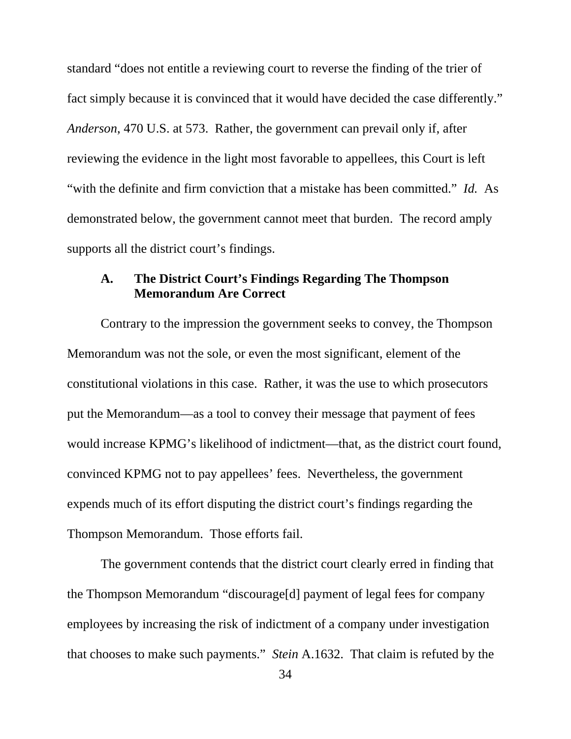standard "does not entitle a reviewing court to reverse the finding of the trier of fact simply because it is convinced that it would have decided the case differently." *Anderson*, 470 U.S. at 573. Rather, the government can prevail only if, after reviewing the evidence in the light most favorable to appellees, this Court is left "with the definite and firm conviction that a mistake has been committed." *Id.* As demonstrated below, the government cannot meet that burden. The record amply supports all the district court's findings.

# **A. The District Court's Findings Regarding The Thompson Memorandum Are Correct**

Contrary to the impression the government seeks to convey, the Thompson Memorandum was not the sole, or even the most significant, element of the constitutional violations in this case. Rather, it was the use to which prosecutors put the Memorandum—as a tool to convey their message that payment of fees would increase KPMG's likelihood of indictment—that, as the district court found, convinced KPMG not to pay appellees' fees. Nevertheless, the government expends much of its effort disputing the district court's findings regarding the Thompson Memorandum. Those efforts fail.

The government contends that the district court clearly erred in finding that the Thompson Memorandum "discourage[d] payment of legal fees for company employees by increasing the risk of indictment of a company under investigation that chooses to make such payments." *Stein* A.1632. That claim is refuted by the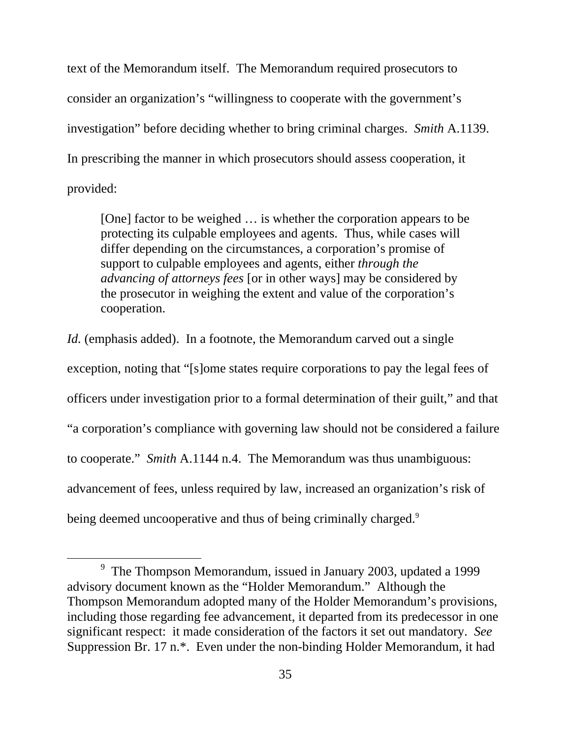text of the Memorandum itself. The Memorandum required prosecutors to consider an organization's "willingness to cooperate with the government's investigation" before deciding whether to bring criminal charges. *Smith* A.1139. In prescribing the manner in which prosecutors should assess cooperation, it provided:

[One] factor to be weighed ... is whether the corporation appears to be protecting its culpable employees and agents. Thus, while cases will differ depending on the circumstances, a corporation's promise of support to culpable employees and agents, either *through the advancing of attorneys fees* [or in other ways] may be considered by the prosecutor in weighing the extent and value of the corporation's cooperation.

*Id.* (emphasis added). In a footnote, the Memorandum carved out a single exception, noting that "[s]ome states require corporations to pay the legal fees of officers under investigation prior to a formal determination of their guilt," and that "a corporation's compliance with governing law should not be considered a failure to cooperate." *Smith* A.1144 n.4. The Memorandum was thus unambiguous: advancement of fees, unless required by law, increased an organization's risk of being deemed uncooperative and thus of being criminally charged.<sup>9</sup>

 $\overline{9}$ <sup>9</sup> The Thompson Memorandum, issued in January 2003, updated a 1999 advisory document known as the "Holder Memorandum." Although the Thompson Memorandum adopted many of the Holder Memorandum's provisions, including those regarding fee advancement, it departed from its predecessor in one significant respect: it made consideration of the factors it set out mandatory. *See* Suppression Br. 17 n.\*. Even under the non-binding Holder Memorandum, it had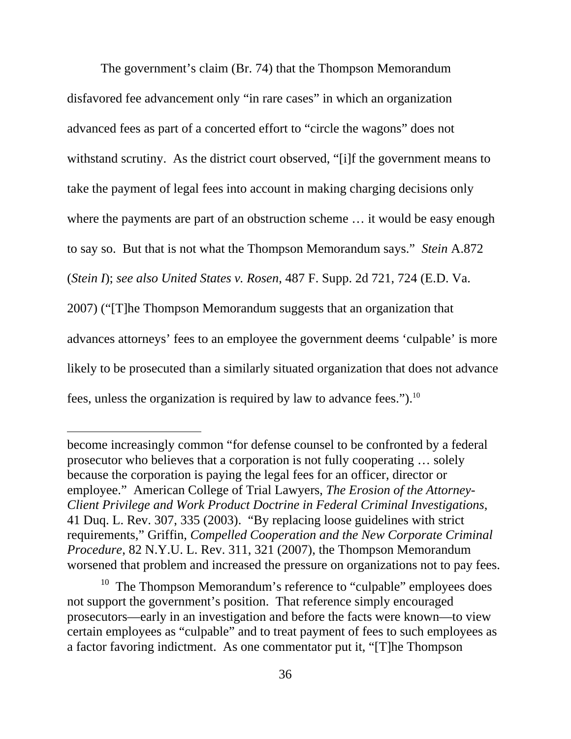The government's claim (Br. 74) that the Thompson Memorandum disfavored fee advancement only "in rare cases" in which an organization advanced fees as part of a concerted effort to "circle the wagons" does not withstand scrutiny. As the district court observed, "[i]f the government means to take the payment of legal fees into account in making charging decisions only where the payments are part of an obstruction scheme … it would be easy enough to say so. But that is not what the Thompson Memorandum says." *Stein* A.872 (*Stein I*); *see also United States v. Rosen*, 487 F. Supp. 2d 721, 724 (E.D. Va. 2007) ("[T]he Thompson Memorandum suggests that an organization that advances attorneys' fees to an employee the government deems 'culpable' is more likely to be prosecuted than a similarly situated organization that does not advance fees, unless the organization is required by law to advance fees.").<sup>10</sup>

 $\overline{a}$ 

<sup>10</sup> The Thompson Memorandum's reference to "culpable" employees does not support the government's position. That reference simply encouraged prosecutors—early in an investigation and before the facts were known—to view certain employees as "culpable" and to treat payment of fees to such employees as a factor favoring indictment. As one commentator put it, "[T]he Thompson

become increasingly common "for defense counsel to be confronted by a federal prosecutor who believes that a corporation is not fully cooperating … solely because the corporation is paying the legal fees for an officer, director or employee." American College of Trial Lawyers, *The Erosion of the Attorney-Client Privilege and Work Product Doctrine in Federal Criminal Investigations*, 41 Duq. L. Rev. 307, 335 (2003). "By replacing loose guidelines with strict requirements," Griffin, *Compelled Cooperation and the New Corporate Criminal Procedure*, 82 N.Y.U. L. Rev. 311, 321 (2007), the Thompson Memorandum worsened that problem and increased the pressure on organizations not to pay fees.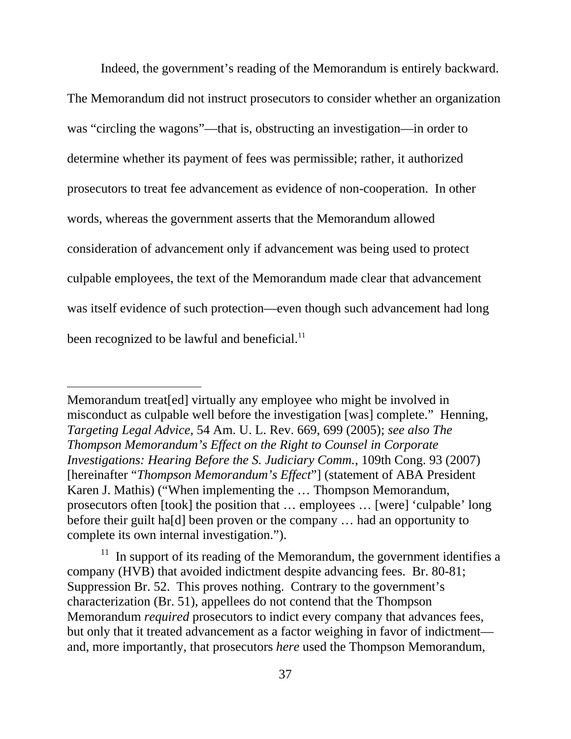Indeed, the government's reading of the Memorandum is entirely backward.

The Memorandum did not instruct prosecutors to consider whether an organization was "circling the wagons"—that is, obstructing an investigation—in order to determine whether its payment of fees was permissible; rather, it authorized prosecutors to treat fee advancement as evidence of non-cooperation. In other words, whereas the government asserts that the Memorandum allowed consideration of advancement only if advancement was being used to protect culpable employees, the text of the Memorandum made clear that advancement was itself evidence of such protection—even though such advancement had long been recognized to be lawful and beneficial.<sup>11</sup>

 $\overline{a}$ 

Memorandum treat[ed] virtually any employee who might be involved in misconduct as culpable well before the investigation [was] complete." Henning, *Targeting Legal Advice*, 54 Am. U. L. Rev. 669, 699 (2005); *see also The Thompson Memorandum's Effect on the Right to Counsel in Corporate Investigations: Hearing Before the S. Judiciary Comm.*, 109th Cong. 93 (2007) [hereinafter "*Thompson Memorandum's Effect*"] (statement of ABA President Karen J. Mathis) ("When implementing the … Thompson Memorandum, prosecutors often [took] the position that … employees … [were] 'culpable' long before their guilt ha[d] been proven or the company … had an opportunity to complete its own internal investigation.").

 $11$  In support of its reading of the Memorandum, the government identifies a company (HVB) that avoided indictment despite advancing fees. Br. 80-81; Suppression Br. 52. This proves nothing. Contrary to the government's characterization (Br. 51), appellees do not contend that the Thompson Memorandum *required* prosecutors to indict every company that advances fees, but only that it treated advancement as a factor weighing in favor of indictment and, more importantly, that prosecutors *here* used the Thompson Memorandum,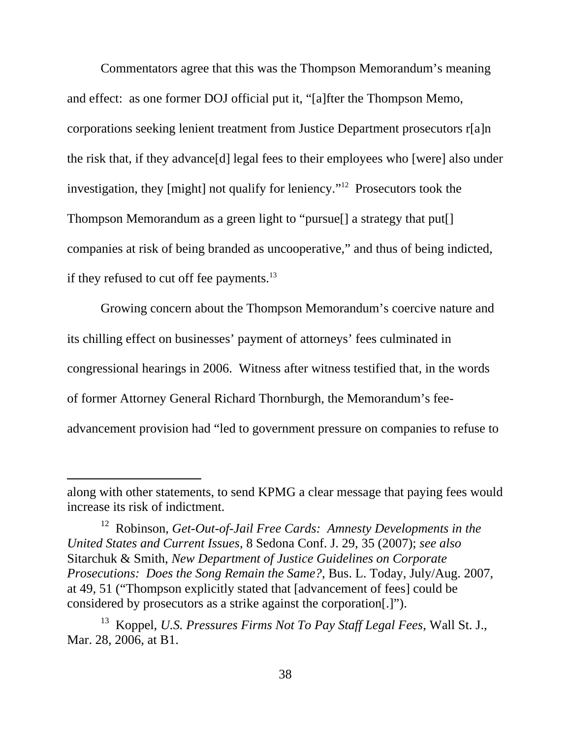Commentators agree that this was the Thompson Memorandum's meaning and effect: as one former DOJ official put it, "[a]fter the Thompson Memo, corporations seeking lenient treatment from Justice Department prosecutors r[a]n the risk that, if they advance[d] legal fees to their employees who [were] also under investigation, they [might] not qualify for leniency."12 Prosecutors took the Thompson Memorandum as a green light to "pursue[] a strategy that put[] companies at risk of being branded as uncooperative," and thus of being indicted, if they refused to cut off fee payments. $^{13}$ 

Growing concern about the Thompson Memorandum's coercive nature and its chilling effect on businesses' payment of attorneys' fees culminated in congressional hearings in 2006. Witness after witness testified that, in the words of former Attorney General Richard Thornburgh, the Memorandum's feeadvancement provision had "led to government pressure on companies to refuse to

 $\overline{a}$ 

along with other statements, to send KPMG a clear message that paying fees would increase its risk of indictment.

<sup>12</sup> Robinson, *Get-Out-of-Jail Free Cards: Amnesty Developments in the United States and Current Issues*, 8 Sedona Conf. J. 29, 35 (2007); *see also* Sitarchuk & Smith, *New Department of Justice Guidelines on Corporate Prosecutions: Does the Song Remain the Same?*, Bus. L. Today, July/Aug. 2007, at 49, 51 ("Thompson explicitly stated that [advancement of fees] could be considered by prosecutors as a strike against the corporation[.]").

<sup>13</sup> Koppel, *U.S. Pressures Firms Not To Pay Staff Legal Fees*, Wall St. J., Mar. 28, 2006, at B1.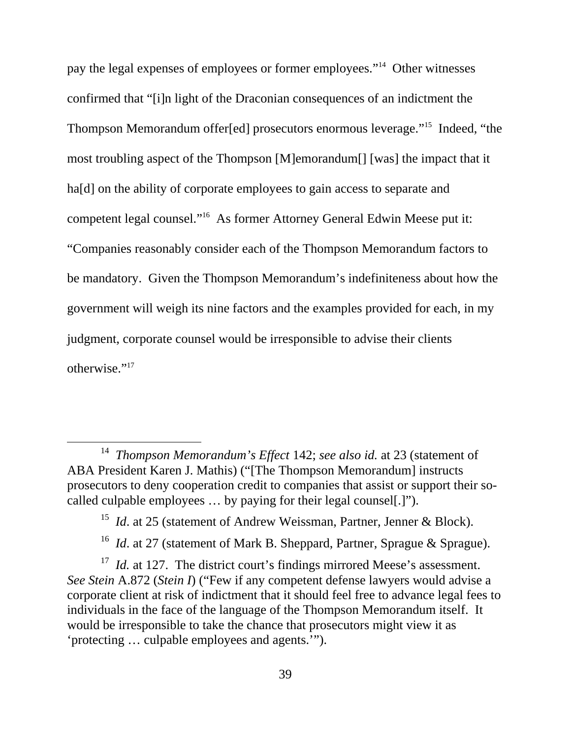pay the legal expenses of employees or former employees."14 Other witnesses confirmed that "[i]n light of the Draconian consequences of an indictment the Thompson Memorandum offer[ed] prosecutors enormous leverage."15 Indeed, "the most troubling aspect of the Thompson [M]emorandum[] [was] the impact that it ha<sup>[d]</sup> on the ability of corporate employees to gain access to separate and competent legal counsel."16 As former Attorney General Edwin Meese put it: "Companies reasonably consider each of the Thompson Memorandum factors to be mandatory. Given the Thompson Memorandum's indefiniteness about how the government will weigh its nine factors and the examples provided for each, in my judgment, corporate counsel would be irresponsible to advise their clients otherwise."17

 <sup>14</sup> *Thompson Memorandum's Effect* 142; *see also id.* at 23 (statement of ABA President Karen J. Mathis) ("[The Thompson Memorandum] instructs prosecutors to deny cooperation credit to companies that assist or support their socalled culpable employees … by paying for their legal counsel[.]").

<sup>&</sup>lt;sup>15</sup> *Id.* at 25 (statement of Andrew Weissman, Partner, Jenner & Block).

<sup>&</sup>lt;sup>16</sup> *Id.* at 27 (statement of Mark B. Sheppard, Partner, Sprague & Sprague).

<sup>&</sup>lt;sup>17</sup> *Id.* at 127. The district court's findings mirrored Meese's assessment. *See Stein* A.872 (*Stein I*) ("Few if any competent defense lawyers would advise a corporate client at risk of indictment that it should feel free to advance legal fees to individuals in the face of the language of the Thompson Memorandum itself. It would be irresponsible to take the chance that prosecutors might view it as 'protecting … culpable employees and agents.'").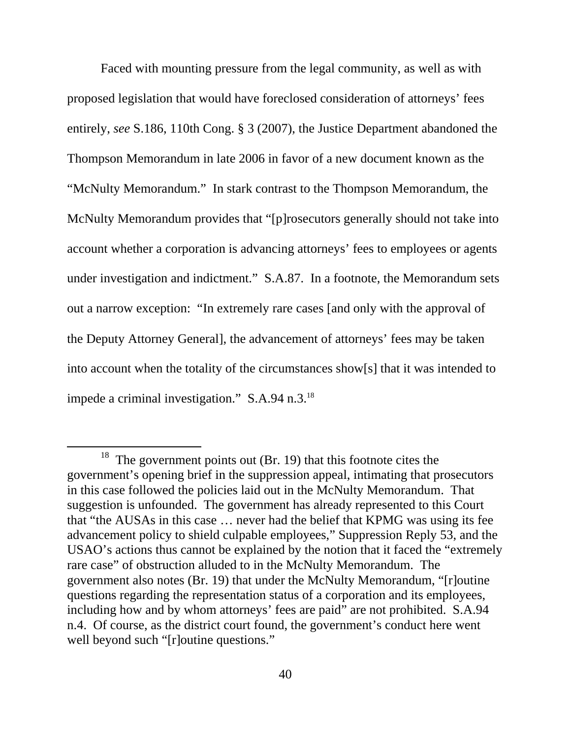Faced with mounting pressure from the legal community, as well as with proposed legislation that would have foreclosed consideration of attorneys' fees entirely, *see* S.186, 110th Cong. § 3 (2007), the Justice Department abandoned the Thompson Memorandum in late 2006 in favor of a new document known as the "McNulty Memorandum." In stark contrast to the Thompson Memorandum, the McNulty Memorandum provides that "[p]rosecutors generally should not take into account whether a corporation is advancing attorneys' fees to employees or agents under investigation and indictment." S.A.87. In a footnote, the Memorandum sets out a narrow exception: "In extremely rare cases [and only with the approval of the Deputy Attorney General], the advancement of attorneys' fees may be taken into account when the totality of the circumstances show[s] that it was intended to impede a criminal investigation." S.A.94 n.3.18

 $18$  The government points out (Br. 19) that this footnote cites the government's opening brief in the suppression appeal, intimating that prosecutors in this case followed the policies laid out in the McNulty Memorandum. That suggestion is unfounded. The government has already represented to this Court that "the AUSAs in this case … never had the belief that KPMG was using its fee advancement policy to shield culpable employees," Suppression Reply 53, and the USAO's actions thus cannot be explained by the notion that it faced the "extremely rare case" of obstruction alluded to in the McNulty Memorandum. The government also notes (Br. 19) that under the McNulty Memorandum, "[r]outine questions regarding the representation status of a corporation and its employees, including how and by whom attorneys' fees are paid" are not prohibited. S.A.94 n.4. Of course, as the district court found, the government's conduct here went well beyond such "[r]outine questions."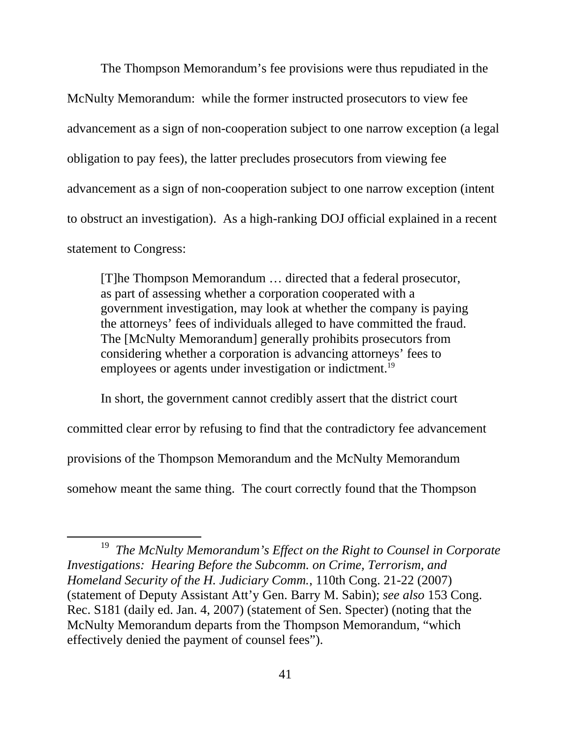The Thompson Memorandum's fee provisions were thus repudiated in the McNulty Memorandum: while the former instructed prosecutors to view fee advancement as a sign of non-cooperation subject to one narrow exception (a legal obligation to pay fees), the latter precludes prosecutors from viewing fee advancement as a sign of non-cooperation subject to one narrow exception (intent to obstruct an investigation). As a high-ranking DOJ official explained in a recent statement to Congress:

[T]he Thompson Memorandum … directed that a federal prosecutor, as part of assessing whether a corporation cooperated with a government investigation, may look at whether the company is paying the attorneys' fees of individuals alleged to have committed the fraud. The [McNulty Memorandum] generally prohibits prosecutors from considering whether a corporation is advancing attorneys' fees to employees or agents under investigation or indictment.<sup>19</sup>

In short, the government cannot credibly assert that the district court committed clear error by refusing to find that the contradictory fee advancement provisions of the Thompson Memorandum and the McNulty Memorandum somehow meant the same thing. The court correctly found that the Thompson

 <sup>19</sup> *The McNulty Memorandum's Effect on the Right to Counsel in Corporate Investigations: Hearing Before the Subcomm. on Crime, Terrorism, and Homeland Security of the H. Judiciary Comm.*, 110th Cong. 21-22 (2007) (statement of Deputy Assistant Att'y Gen. Barry M. Sabin); *see also* 153 Cong. Rec. S181 (daily ed. Jan. 4, 2007) (statement of Sen. Specter) (noting that the McNulty Memorandum departs from the Thompson Memorandum, "which effectively denied the payment of counsel fees").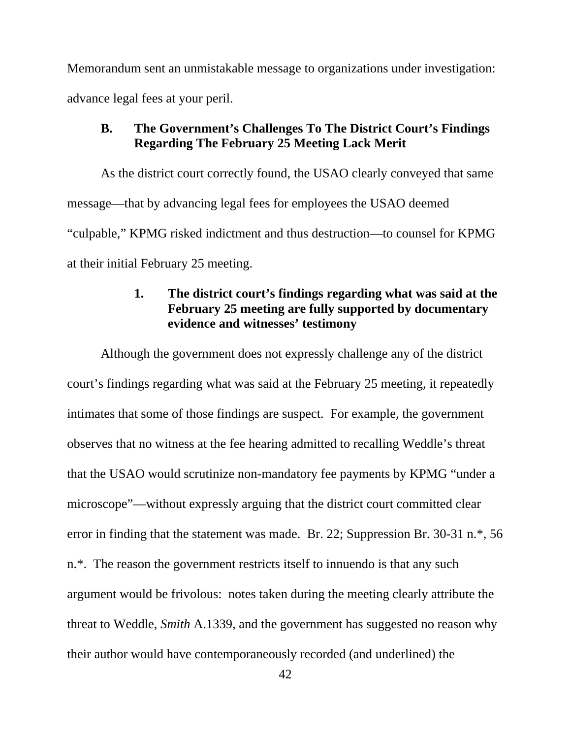Memorandum sent an unmistakable message to organizations under investigation: advance legal fees at your peril.

### **B. The Government's Challenges To The District Court's Findings Regarding The February 25 Meeting Lack Merit**

As the district court correctly found, the USAO clearly conveyed that same message—that by advancing legal fees for employees the USAO deemed "culpable," KPMG risked indictment and thus destruction—to counsel for KPMG at their initial February 25 meeting.

# **1. The district court's findings regarding what was said at the February 25 meeting are fully supported by documentary evidence and witnesses' testimony**

Although the government does not expressly challenge any of the district court's findings regarding what was said at the February 25 meeting, it repeatedly intimates that some of those findings are suspect. For example, the government observes that no witness at the fee hearing admitted to recalling Weddle's threat that the USAO would scrutinize non-mandatory fee payments by KPMG "under a microscope"—without expressly arguing that the district court committed clear error in finding that the statement was made. Br. 22; Suppression Br. 30-31 n.\*, 56 n.\*. The reason the government restricts itself to innuendo is that any such argument would be frivolous: notes taken during the meeting clearly attribute the threat to Weddle, *Smith* A.1339, and the government has suggested no reason why their author would have contemporaneously recorded (and underlined) the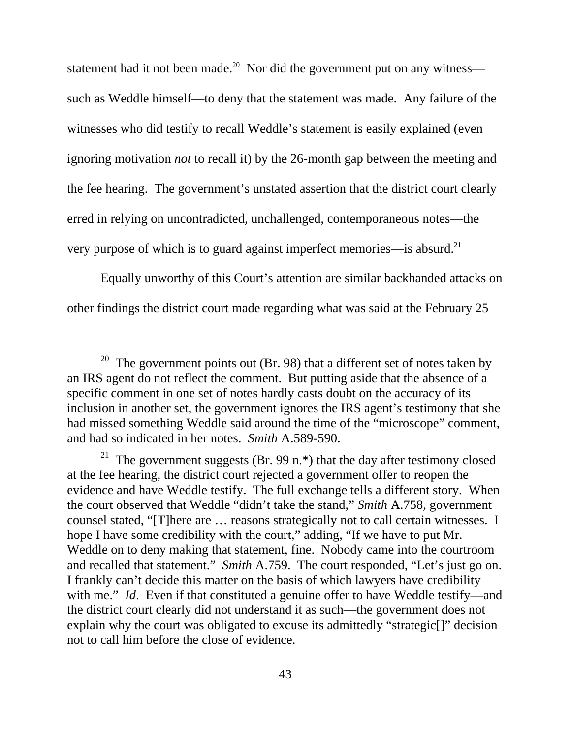statement had it not been made.<sup>20</sup> Nor did the government put on any witness such as Weddle himself—to deny that the statement was made. Any failure of the witnesses who did testify to recall Weddle's statement is easily explained (even ignoring motivation *not* to recall it) by the 26-month gap between the meeting and the fee hearing. The government's unstated assertion that the district court clearly erred in relying on uncontradicted, unchallenged, contemporaneous notes—the very purpose of which is to guard against imperfect memories—is absurd.21

Equally unworthy of this Court's attention are similar backhanded attacks on other findings the district court made regarding what was said at the February 25

<sup>&</sup>lt;sup>20</sup> The government points out (Br. 98) that a different set of notes taken by an IRS agent do not reflect the comment. But putting aside that the absence of a specific comment in one set of notes hardly casts doubt on the accuracy of its inclusion in another set, the government ignores the IRS agent's testimony that she had missed something Weddle said around the time of the "microscope" comment, and had so indicated in her notes. *Smith* A.589-590.

<sup>&</sup>lt;sup>21</sup> The government suggests (Br. 99 n.\*) that the day after testimony closed at the fee hearing, the district court rejected a government offer to reopen the evidence and have Weddle testify. The full exchange tells a different story. When the court observed that Weddle "didn't take the stand," *Smith* A.758, government counsel stated, "[T]here are … reasons strategically not to call certain witnesses. I hope I have some credibility with the court," adding, "If we have to put Mr. Weddle on to deny making that statement, fine. Nobody came into the courtroom and recalled that statement." *Smith* A.759. The court responded, "Let's just go on. I frankly can't decide this matter on the basis of which lawyers have credibility with me." *Id.* Even if that constituted a genuine offer to have Weddle testify—and the district court clearly did not understand it as such—the government does not explain why the court was obligated to excuse its admittedly "strategic[]" decision not to call him before the close of evidence.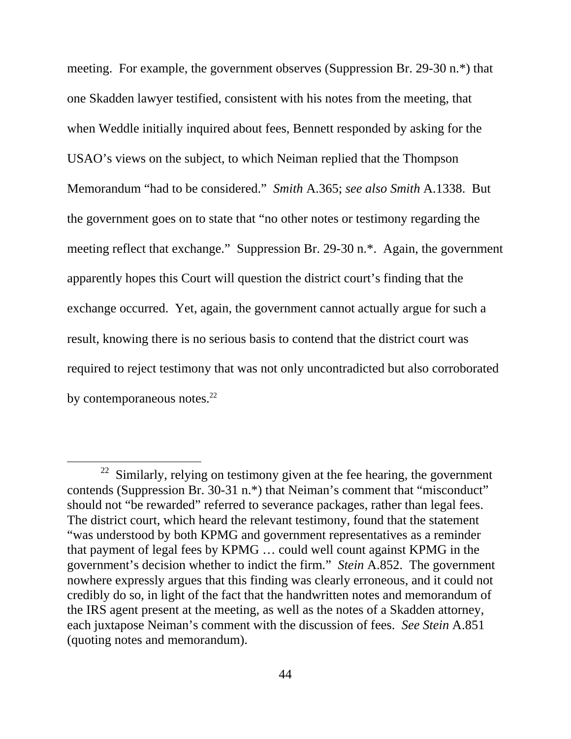meeting. For example, the government observes (Suppression Br. 29-30 n.\*) that one Skadden lawyer testified, consistent with his notes from the meeting, that when Weddle initially inquired about fees, Bennett responded by asking for the USAO's views on the subject, to which Neiman replied that the Thompson Memorandum "had to be considered." *Smith* A.365; *see also Smith* A.1338. But the government goes on to state that "no other notes or testimony regarding the meeting reflect that exchange." Suppression Br. 29-30 n.\*. Again, the government apparently hopes this Court will question the district court's finding that the exchange occurred. Yet, again, the government cannot actually argue for such a result, knowing there is no serious basis to contend that the district court was required to reject testimony that was not only uncontradicted but also corroborated by contemporaneous notes. $22$ 

 $22$  Similarly, relying on testimony given at the fee hearing, the government contends (Suppression Br. 30-31 n.\*) that Neiman's comment that "misconduct" should not "be rewarded" referred to severance packages, rather than legal fees. The district court, which heard the relevant testimony, found that the statement "was understood by both KPMG and government representatives as a reminder that payment of legal fees by KPMG … could well count against KPMG in the government's decision whether to indict the firm." *Stein* A.852. The government nowhere expressly argues that this finding was clearly erroneous, and it could not credibly do so, in light of the fact that the handwritten notes and memorandum of the IRS agent present at the meeting, as well as the notes of a Skadden attorney, each juxtapose Neiman's comment with the discussion of fees. *See Stein* A.851 (quoting notes and memorandum).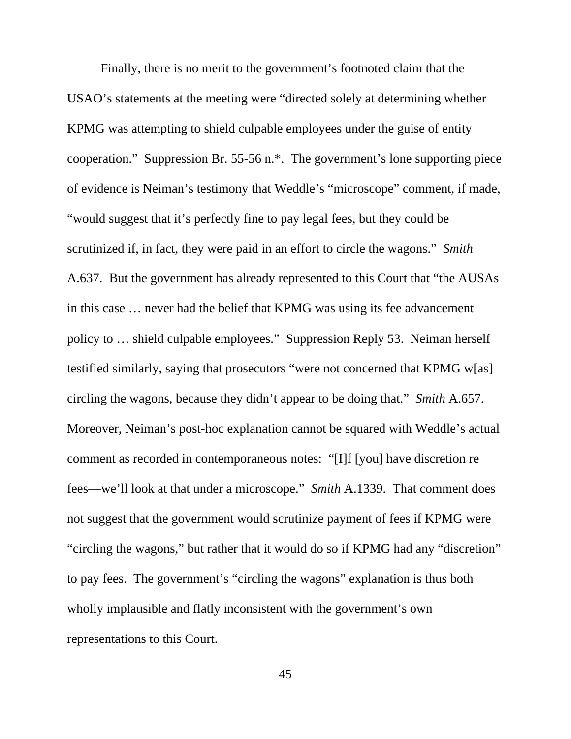Finally, there is no merit to the government's footnoted claim that the USAO's statements at the meeting were "directed solely at determining whether KPMG was attempting to shield culpable employees under the guise of entity cooperation." Suppression Br. 55-56 n.\*. The government's lone supporting piece of evidence is Neiman's testimony that Weddle's "microscope" comment, if made, "would suggest that it's perfectly fine to pay legal fees, but they could be scrutinized if, in fact, they were paid in an effort to circle the wagons." *Smith* A.637. But the government has already represented to this Court that "the AUSAs in this case … never had the belief that KPMG was using its fee advancement policy to … shield culpable employees." Suppression Reply 53. Neiman herself testified similarly, saying that prosecutors "were not concerned that KPMG w[as] circling the wagons, because they didn't appear to be doing that." *Smith* A.657. Moreover, Neiman's post-hoc explanation cannot be squared with Weddle's actual comment as recorded in contemporaneous notes: "[I]f [you] have discretion re fees—we'll look at that under a microscope." *Smith* A.1339. That comment does not suggest that the government would scrutinize payment of fees if KPMG were "circling the wagons," but rather that it would do so if KPMG had any "discretion" to pay fees. The government's "circling the wagons" explanation is thus both wholly implausible and flatly inconsistent with the government's own representations to this Court.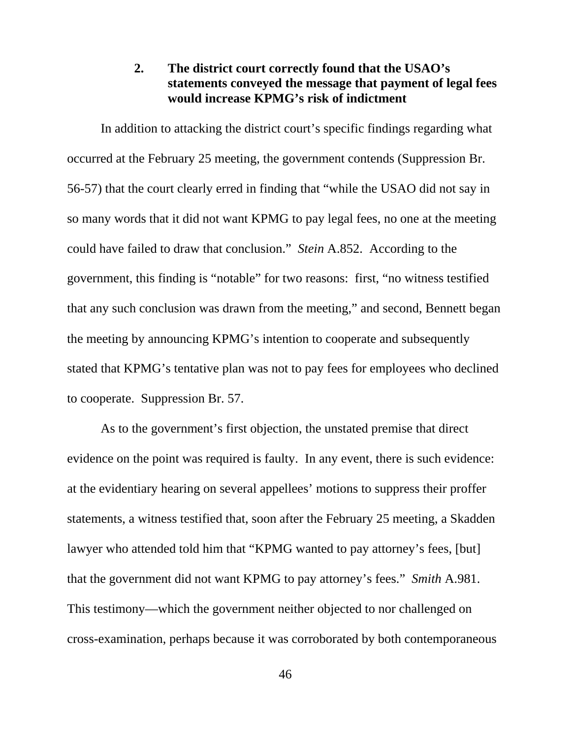### **2. The district court correctly found that the USAO's statements conveyed the message that payment of legal fees would increase KPMG's risk of indictment**

In addition to attacking the district court's specific findings regarding what occurred at the February 25 meeting, the government contends (Suppression Br. 56-57) that the court clearly erred in finding that "while the USAO did not say in so many words that it did not want KPMG to pay legal fees, no one at the meeting could have failed to draw that conclusion." *Stein* A.852. According to the government, this finding is "notable" for two reasons: first, "no witness testified that any such conclusion was drawn from the meeting," and second, Bennett began the meeting by announcing KPMG's intention to cooperate and subsequently stated that KPMG's tentative plan was not to pay fees for employees who declined to cooperate. Suppression Br. 57.

As to the government's first objection, the unstated premise that direct evidence on the point was required is faulty. In any event, there is such evidence: at the evidentiary hearing on several appellees' motions to suppress their proffer statements, a witness testified that, soon after the February 25 meeting, a Skadden lawyer who attended told him that "KPMG wanted to pay attorney's fees, [but] that the government did not want KPMG to pay attorney's fees." *Smith* A.981. This testimony—which the government neither objected to nor challenged on cross-examination, perhaps because it was corroborated by both contemporaneous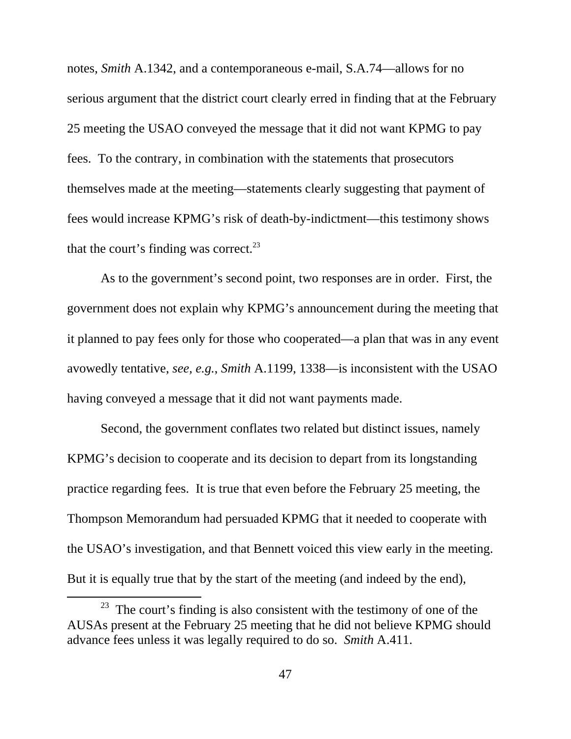notes, *Smith* A.1342, and a contemporaneous e-mail, S.A.74—allows for no serious argument that the district court clearly erred in finding that at the February 25 meeting the USAO conveyed the message that it did not want KPMG to pay fees. To the contrary, in combination with the statements that prosecutors themselves made at the meeting—statements clearly suggesting that payment of fees would increase KPMG's risk of death-by-indictment—this testimony shows that the court's finding was correct. $^{23}$ 

As to the government's second point, two responses are in order. First, the government does not explain why KPMG's announcement during the meeting that it planned to pay fees only for those who cooperated—a plan that was in any event avowedly tentative, *see, e.g.*, *Smith* A.1199, 1338—is inconsistent with the USAO having conveyed a message that it did not want payments made.

Second, the government conflates two related but distinct issues, namely KPMG's decision to cooperate and its decision to depart from its longstanding practice regarding fees. It is true that even before the February 25 meeting, the Thompson Memorandum had persuaded KPMG that it needed to cooperate with the USAO's investigation, and that Bennett voiced this view early in the meeting. But it is equally true that by the start of the meeting (and indeed by the end),

 $23$  The court's finding is also consistent with the testimony of one of the AUSAs present at the February 25 meeting that he did not believe KPMG should advance fees unless it was legally required to do so. *Smith* A.411.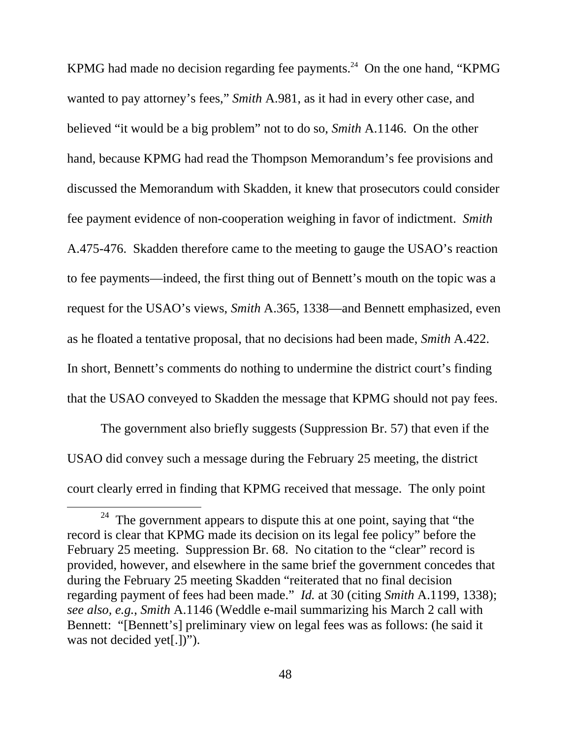KPMG had made no decision regarding fee payments.<sup>24</sup> On the one hand, "KPMG" wanted to pay attorney's fees," *Smith* A.981, as it had in every other case, and believed "it would be a big problem" not to do so, *Smith* A.1146. On the other hand, because KPMG had read the Thompson Memorandum's fee provisions and discussed the Memorandum with Skadden, it knew that prosecutors could consider fee payment evidence of non-cooperation weighing in favor of indictment. *Smith*  A.475-476. Skadden therefore came to the meeting to gauge the USAO's reaction to fee payments—indeed, the first thing out of Bennett's mouth on the topic was a request for the USAO's views, *Smith* A.365, 1338—and Bennett emphasized, even as he floated a tentative proposal, that no decisions had been made, *Smith* A.422. In short, Bennett's comments do nothing to undermine the district court's finding that the USAO conveyed to Skadden the message that KPMG should not pay fees.

The government also briefly suggests (Suppression Br. 57) that even if the USAO did convey such a message during the February 25 meeting, the district court clearly erred in finding that KPMG received that message. The only point

 $24$  The government appears to dispute this at one point, saying that "the record is clear that KPMG made its decision on its legal fee policy" before the February 25 meeting. Suppression Br. 68. No citation to the "clear" record is provided, however, and elsewhere in the same brief the government concedes that during the February 25 meeting Skadden "reiterated that no final decision regarding payment of fees had been made." *Id.* at 30 (citing *Smith* A.1199, 1338); *see also, e.g.*, *Smith* A.1146 (Weddle e-mail summarizing his March 2 call with Bennett: "[Bennett's] preliminary view on legal fees was as follows: (he said it was not decided yet[.])").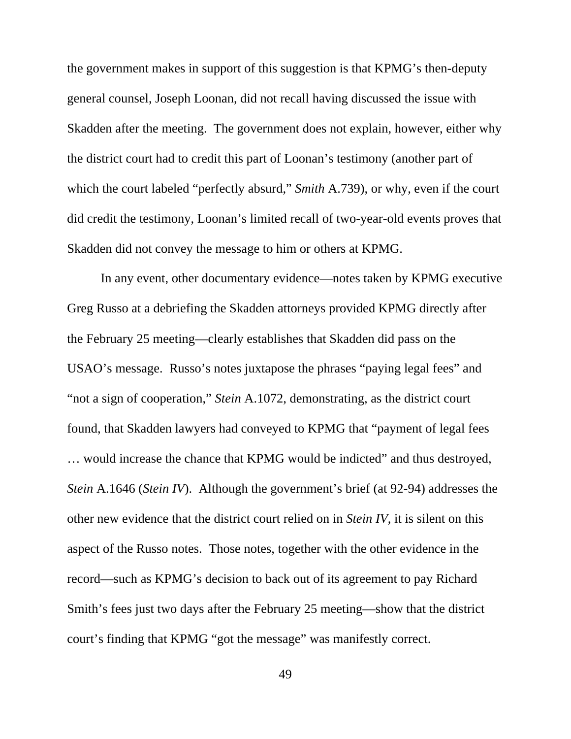the government makes in support of this suggestion is that KPMG's then-deputy general counsel, Joseph Loonan, did not recall having discussed the issue with Skadden after the meeting. The government does not explain, however, either why the district court had to credit this part of Loonan's testimony (another part of which the court labeled "perfectly absurd," *Smith* A.739), or why, even if the court did credit the testimony, Loonan's limited recall of two-year-old events proves that Skadden did not convey the message to him or others at KPMG.

In any event, other documentary evidence—notes taken by KPMG executive Greg Russo at a debriefing the Skadden attorneys provided KPMG directly after the February 25 meeting—clearly establishes that Skadden did pass on the USAO's message. Russo's notes juxtapose the phrases "paying legal fees" and "not a sign of cooperation," *Stein* A.1072, demonstrating, as the district court found, that Skadden lawyers had conveyed to KPMG that "payment of legal fees … would increase the chance that KPMG would be indicted" and thus destroyed, *Stein* A.1646 (*Stein IV*). Although the government's brief (at 92-94) addresses the other new evidence that the district court relied on in *Stein IV*, it is silent on this aspect of the Russo notes. Those notes, together with the other evidence in the record—such as KPMG's decision to back out of its agreement to pay Richard Smith's fees just two days after the February 25 meeting—show that the district court's finding that KPMG "got the message" was manifestly correct.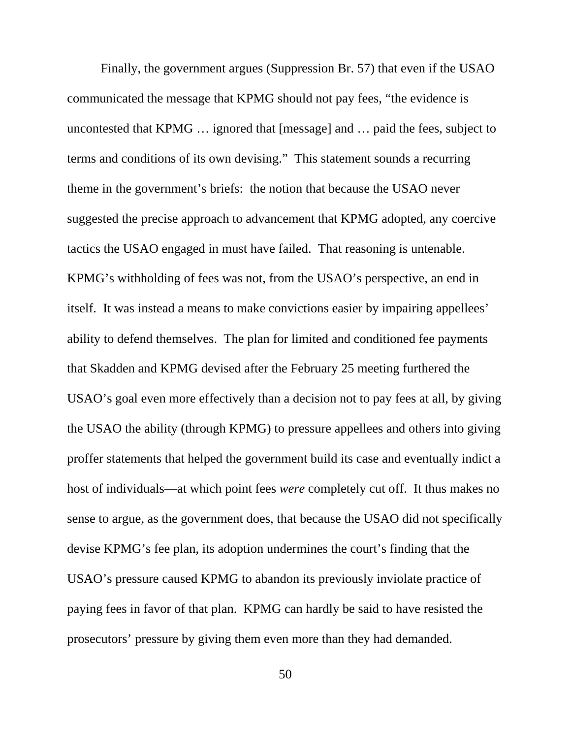Finally, the government argues (Suppression Br. 57) that even if the USAO communicated the message that KPMG should not pay fees, "the evidence is uncontested that KPMG … ignored that [message] and … paid the fees, subject to terms and conditions of its own devising." This statement sounds a recurring theme in the government's briefs: the notion that because the USAO never suggested the precise approach to advancement that KPMG adopted, any coercive tactics the USAO engaged in must have failed. That reasoning is untenable. KPMG's withholding of fees was not, from the USAO's perspective, an end in itself. It was instead a means to make convictions easier by impairing appellees' ability to defend themselves. The plan for limited and conditioned fee payments that Skadden and KPMG devised after the February 25 meeting furthered the USAO's goal even more effectively than a decision not to pay fees at all, by giving the USAO the ability (through KPMG) to pressure appellees and others into giving proffer statements that helped the government build its case and eventually indict a host of individuals—at which point fees *were* completely cut off. It thus makes no sense to argue, as the government does, that because the USAO did not specifically devise KPMG's fee plan, its adoption undermines the court's finding that the USAO's pressure caused KPMG to abandon its previously inviolate practice of paying fees in favor of that plan. KPMG can hardly be said to have resisted the prosecutors' pressure by giving them even more than they had demanded.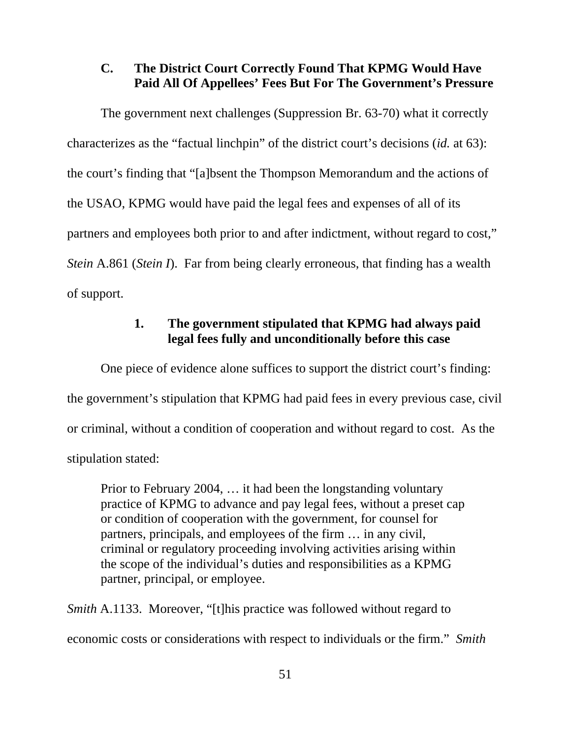### **C. The District Court Correctly Found That KPMG Would Have Paid All Of Appellees' Fees But For The Government's Pressure**

The government next challenges (Suppression Br. 63-70) what it correctly characterizes as the "factual linchpin" of the district court's decisions (*id.* at 63): the court's finding that "[a]bsent the Thompson Memorandum and the actions of the USAO, KPMG would have paid the legal fees and expenses of all of its partners and employees both prior to and after indictment, without regard to cost," *Stein* A.861 (*Stein I*). Far from being clearly erroneous, that finding has a wealth of support.

### **1. The government stipulated that KPMG had always paid legal fees fully and unconditionally before this case**

One piece of evidence alone suffices to support the district court's finding: the government's stipulation that KPMG had paid fees in every previous case, civil or criminal, without a condition of cooperation and without regard to cost. As the stipulation stated:

Prior to February 2004, … it had been the longstanding voluntary practice of KPMG to advance and pay legal fees, without a preset cap or condition of cooperation with the government, for counsel for partners, principals, and employees of the firm … in any civil, criminal or regulatory proceeding involving activities arising within the scope of the individual's duties and responsibilities as a KPMG partner, principal, or employee.

*Smith A.1133.* Moreover, "[t]his practice was followed without regard to economic costs or considerations with respect to individuals or the firm." *Smith*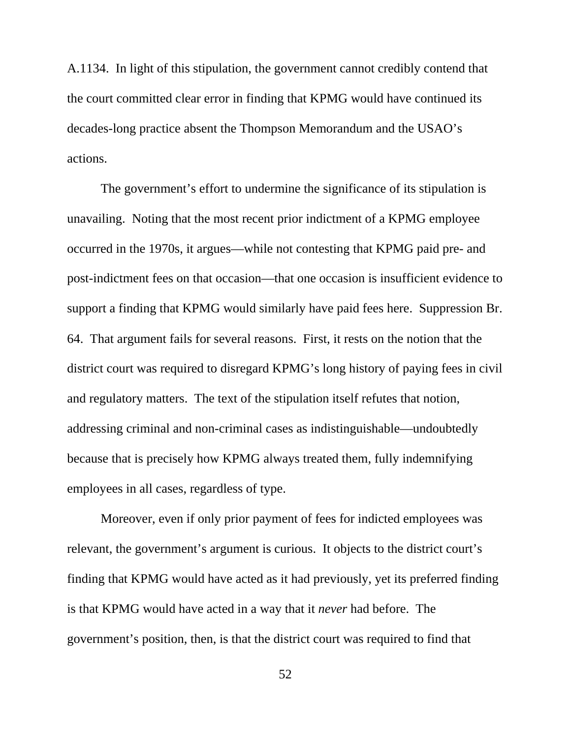A.1134. In light of this stipulation, the government cannot credibly contend that the court committed clear error in finding that KPMG would have continued its decades-long practice absent the Thompson Memorandum and the USAO's actions.

The government's effort to undermine the significance of its stipulation is unavailing. Noting that the most recent prior indictment of a KPMG employee occurred in the 1970s, it argues—while not contesting that KPMG paid pre- and post-indictment fees on that occasion—that one occasion is insufficient evidence to support a finding that KPMG would similarly have paid fees here. Suppression Br. 64. That argument fails for several reasons. First, it rests on the notion that the district court was required to disregard KPMG's long history of paying fees in civil and regulatory matters. The text of the stipulation itself refutes that notion, addressing criminal and non-criminal cases as indistinguishable—undoubtedly because that is precisely how KPMG always treated them, fully indemnifying employees in all cases, regardless of type.

Moreover, even if only prior payment of fees for indicted employees was relevant, the government's argument is curious. It objects to the district court's finding that KPMG would have acted as it had previously, yet its preferred finding is that KPMG would have acted in a way that it *never* had before. The government's position, then, is that the district court was required to find that

52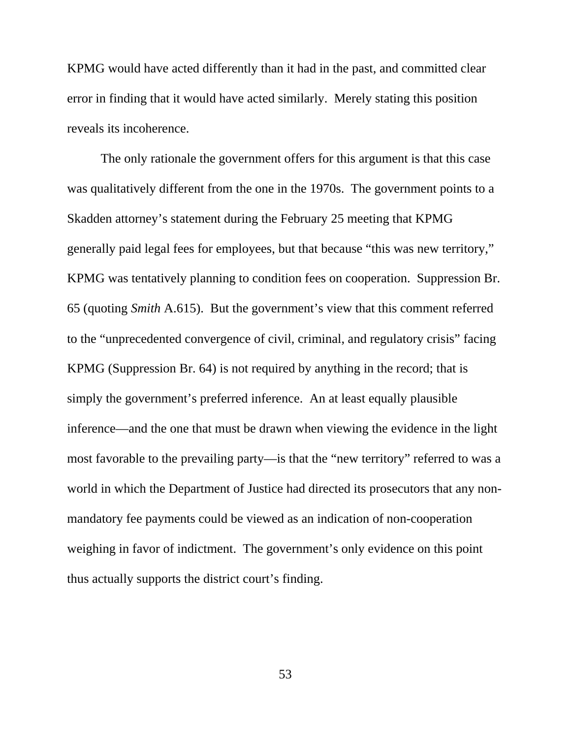KPMG would have acted differently than it had in the past, and committed clear error in finding that it would have acted similarly. Merely stating this position reveals its incoherence.

The only rationale the government offers for this argument is that this case was qualitatively different from the one in the 1970s. The government points to a Skadden attorney's statement during the February 25 meeting that KPMG generally paid legal fees for employees, but that because "this was new territory," KPMG was tentatively planning to condition fees on cooperation. Suppression Br. 65 (quoting *Smith* A.615). But the government's view that this comment referred to the "unprecedented convergence of civil, criminal, and regulatory crisis" facing KPMG (Suppression Br. 64) is not required by anything in the record; that is simply the government's preferred inference. An at least equally plausible inference—and the one that must be drawn when viewing the evidence in the light most favorable to the prevailing party—is that the "new territory" referred to was a world in which the Department of Justice had directed its prosecutors that any nonmandatory fee payments could be viewed as an indication of non-cooperation weighing in favor of indictment. The government's only evidence on this point thus actually supports the district court's finding.

53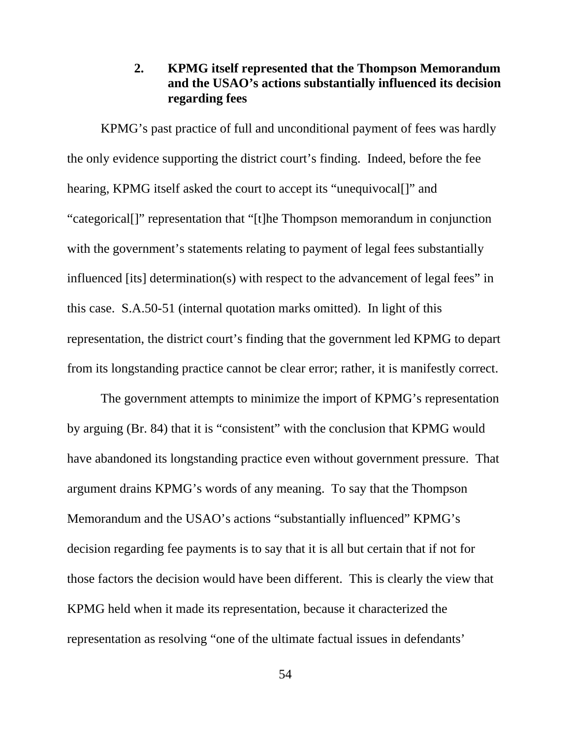## **2. KPMG itself represented that the Thompson Memorandum and the USAO's actions substantially influenced its decision regarding fees**

KPMG's past practice of full and unconditional payment of fees was hardly the only evidence supporting the district court's finding. Indeed, before the fee hearing, KPMG itself asked the court to accept its "unequivocal<sup>[]"</sup> and "categorical[]" representation that "[t]he Thompson memorandum in conjunction with the government's statements relating to payment of legal fees substantially influenced [its] determination(s) with respect to the advancement of legal fees" in this case. S.A.50-51 (internal quotation marks omitted). In light of this representation, the district court's finding that the government led KPMG to depart from its longstanding practice cannot be clear error; rather, it is manifestly correct.

The government attempts to minimize the import of KPMG's representation by arguing (Br. 84) that it is "consistent" with the conclusion that KPMG would have abandoned its longstanding practice even without government pressure. That argument drains KPMG's words of any meaning. To say that the Thompson Memorandum and the USAO's actions "substantially influenced" KPMG's decision regarding fee payments is to say that it is all but certain that if not for those factors the decision would have been different. This is clearly the view that KPMG held when it made its representation, because it characterized the representation as resolving "one of the ultimate factual issues in defendants'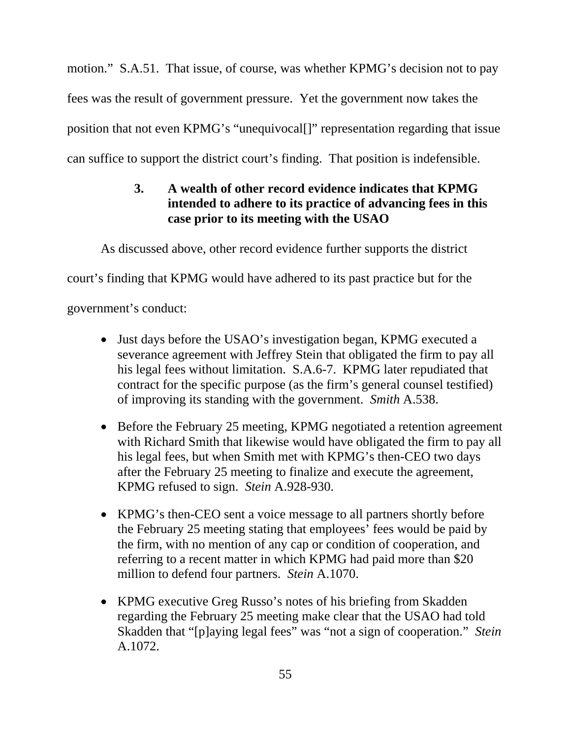motion." S.A.51. That issue, of course, was whether KPMG's decision not to pay fees was the result of government pressure. Yet the government now takes the position that not even KPMG's "unequivocal[]" representation regarding that issue can suffice to support the district court's finding. That position is indefensible.

# **3. A wealth of other record evidence indicates that KPMG intended to adhere to its practice of advancing fees in this case prior to its meeting with the USAO**

As discussed above, other record evidence further supports the district

court's finding that KPMG would have adhered to its past practice but for the

government's conduct:

- Just days before the USAO's investigation began, KPMG executed a severance agreement with Jeffrey Stein that obligated the firm to pay all his legal fees without limitation. S.A.6-7. KPMG later repudiated that contract for the specific purpose (as the firm's general counsel testified) of improving its standing with the government. *Smith* A.538.
- Before the February 25 meeting, KPMG negotiated a retention agreement with Richard Smith that likewise would have obligated the firm to pay all his legal fees, but when Smith met with KPMG's then-CEO two days after the February 25 meeting to finalize and execute the agreement, KPMG refused to sign. *Stein* A.928-930.
- KPMG's then-CEO sent a voice message to all partners shortly before the February 25 meeting stating that employees' fees would be paid by the firm, with no mention of any cap or condition of cooperation, and referring to a recent matter in which KPMG had paid more than \$20 million to defend four partners. *Stein* A.1070.
- KPMG executive Greg Russo's notes of his briefing from Skadden regarding the February 25 meeting make clear that the USAO had told Skadden that "[p]aying legal fees" was "not a sign of cooperation." *Stein*  A.1072.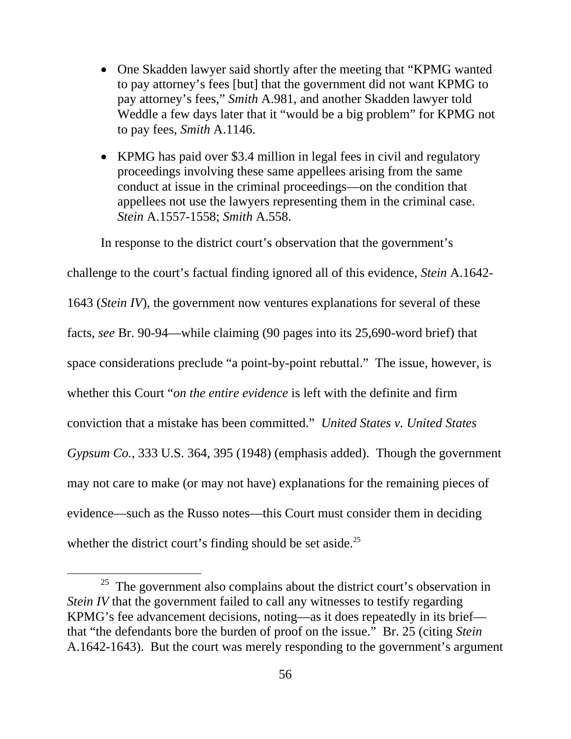- One Skadden lawyer said shortly after the meeting that "KPMG wanted" to pay attorney's fees [but] that the government did not want KPMG to pay attorney's fees," *Smith* A.981, and another Skadden lawyer told Weddle a few days later that it "would be a big problem" for KPMG not to pay fees, *Smith* A.1146.
- KPMG has paid over \$3.4 million in legal fees in civil and regulatory proceedings involving these same appellees arising from the same conduct at issue in the criminal proceedings—on the condition that appellees not use the lawyers representing them in the criminal case. *Stein* A.1557-1558; *Smith* A.558.

In response to the district court's observation that the government's

challenge to the court's factual finding ignored all of this evidence, *Stein* A.1642- 1643 (*Stein IV*), the government now ventures explanations for several of these facts, *see* Br. 90-94—while claiming (90 pages into its 25,690-word brief) that space considerations preclude "a point-by-point rebuttal." The issue, however, is whether this Court "*on the entire evidence* is left with the definite and firm conviction that a mistake has been committed." *United States v. United States Gypsum Co.*, 333 U.S. 364, 395 (1948) (emphasis added). Though the government may not care to make (or may not have) explanations for the remaining pieces of evidence—such as the Russo notes—this Court must consider them in deciding whether the district court's finding should be set aside.<sup>25</sup>

 $25$  The government also complains about the district court's observation in *Stein IV* that the government failed to call any witnesses to testify regarding KPMG's fee advancement decisions, noting—as it does repeatedly in its brief that "the defendants bore the burden of proof on the issue." Br. 25 (citing *Stein* A.1642-1643). But the court was merely responding to the government's argument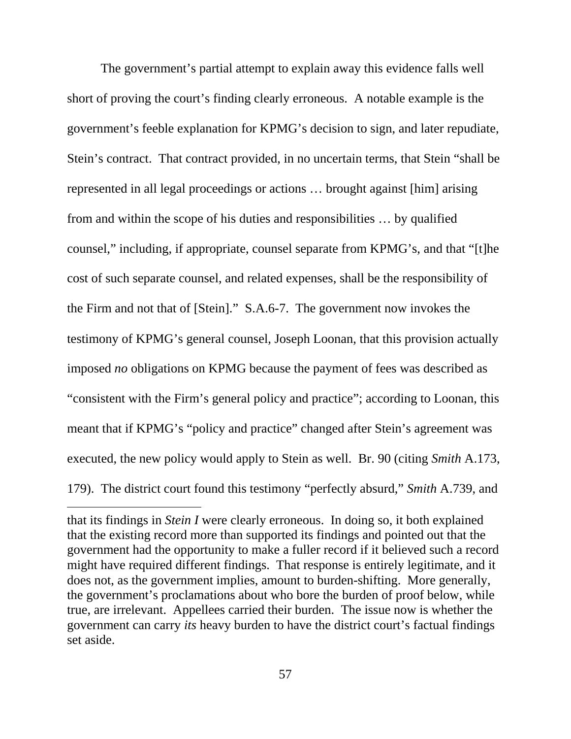The government's partial attempt to explain away this evidence falls well short of proving the court's finding clearly erroneous. A notable example is the government's feeble explanation for KPMG's decision to sign, and later repudiate, Stein's contract. That contract provided, in no uncertain terms, that Stein "shall be represented in all legal proceedings or actions … brought against [him] arising from and within the scope of his duties and responsibilities … by qualified counsel," including, if appropriate, counsel separate from KPMG's, and that "[t]he cost of such separate counsel, and related expenses, shall be the responsibility of the Firm and not that of [Stein]." S.A.6-7. The government now invokes the testimony of KPMG's general counsel, Joseph Loonan, that this provision actually imposed *no* obligations on KPMG because the payment of fees was described as "consistent with the Firm's general policy and practice"; according to Loonan, this meant that if KPMG's "policy and practice" changed after Stein's agreement was executed, the new policy would apply to Stein as well. Br. 90 (citing *Smith* A.173, 179). The district court found this testimony "perfectly absurd," *Smith* A.739, and

 $\overline{a}$ 

that its findings in *Stein I* were clearly erroneous. In doing so, it both explained that the existing record more than supported its findings and pointed out that the government had the opportunity to make a fuller record if it believed such a record might have required different findings. That response is entirely legitimate, and it does not, as the government implies, amount to burden-shifting. More generally, the government's proclamations about who bore the burden of proof below, while true, are irrelevant. Appellees carried their burden. The issue now is whether the government can carry *its* heavy burden to have the district court's factual findings set aside.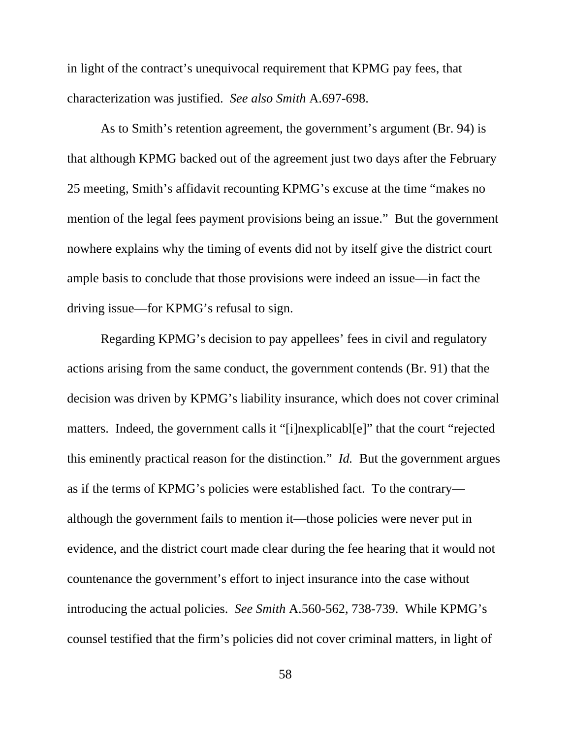in light of the contract's unequivocal requirement that KPMG pay fees, that characterization was justified. *See also Smith* A.697-698.

As to Smith's retention agreement, the government's argument (Br. 94) is that although KPMG backed out of the agreement just two days after the February 25 meeting, Smith's affidavit recounting KPMG's excuse at the time "makes no mention of the legal fees payment provisions being an issue." But the government nowhere explains why the timing of events did not by itself give the district court ample basis to conclude that those provisions were indeed an issue—in fact the driving issue—for KPMG's refusal to sign.

Regarding KPMG's decision to pay appellees' fees in civil and regulatory actions arising from the same conduct, the government contends (Br. 91) that the decision was driven by KPMG's liability insurance, which does not cover criminal matters. Indeed, the government calls it "[i]nexplicabl[e]" that the court "rejected this eminently practical reason for the distinction." *Id.* But the government argues as if the terms of KPMG's policies were established fact. To the contrary although the government fails to mention it—those policies were never put in evidence, and the district court made clear during the fee hearing that it would not countenance the government's effort to inject insurance into the case without introducing the actual policies. *See Smith* A.560-562, 738-739. While KPMG's counsel testified that the firm's policies did not cover criminal matters, in light of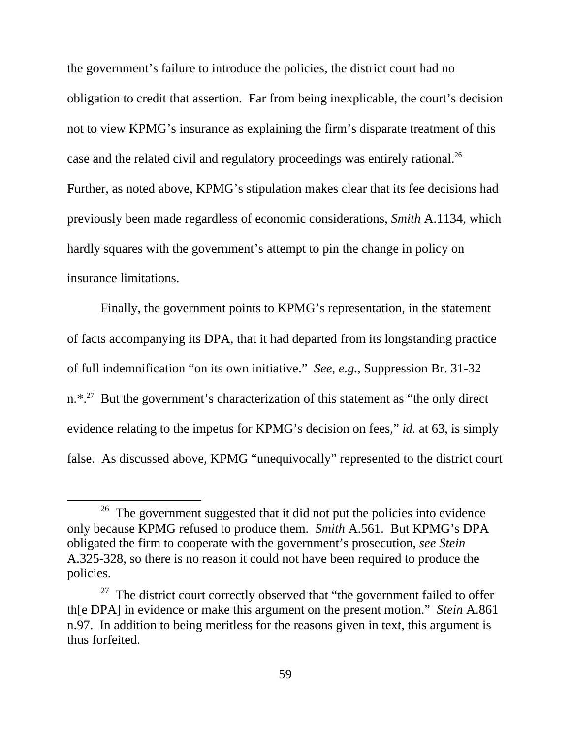the government's failure to introduce the policies, the district court had no obligation to credit that assertion. Far from being inexplicable, the court's decision not to view KPMG's insurance as explaining the firm's disparate treatment of this case and the related civil and regulatory proceedings was entirely rational.<sup>26</sup> Further, as noted above, KPMG's stipulation makes clear that its fee decisions had previously been made regardless of economic considerations, *Smith* A.1134, which hardly squares with the government's attempt to pin the change in policy on insurance limitations.

Finally, the government points to KPMG's representation, in the statement of facts accompanying its DPA, that it had departed from its longstanding practice of full indemnification "on its own initiative." *See, e.g.*, Suppression Br. 31-32 n.\*.<sup>27</sup> But the government's characterization of this statement as "the only direct evidence relating to the impetus for KPMG's decision on fees," *id.* at 63, is simply false. As discussed above, KPMG "unequivocally" represented to the district court

 $26$  The government suggested that it did not put the policies into evidence only because KPMG refused to produce them. *Smith* A.561. But KPMG's DPA obligated the firm to cooperate with the government's prosecution, *see Stein*  A.325-328, so there is no reason it could not have been required to produce the policies.

 $27$  The district court correctly observed that "the government failed to offer th[e DPA] in evidence or make this argument on the present motion." *Stein* A.861 n.97. In addition to being meritless for the reasons given in text, this argument is thus forfeited.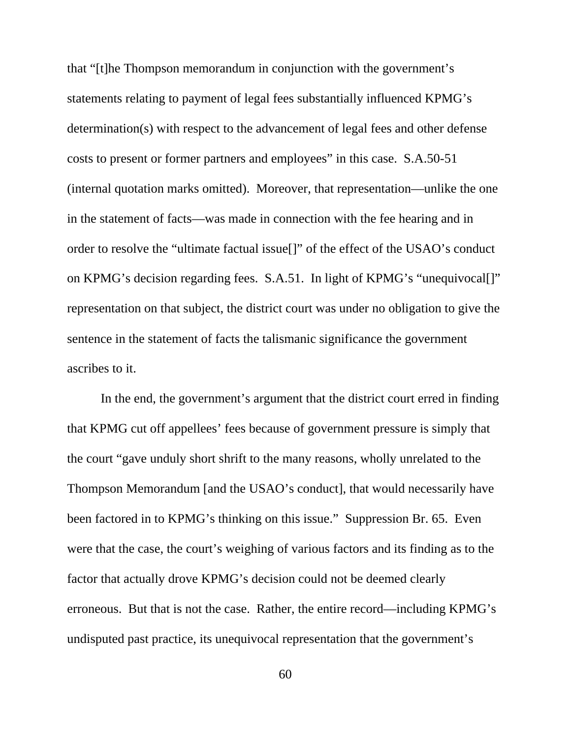that "[t]he Thompson memorandum in conjunction with the government's statements relating to payment of legal fees substantially influenced KPMG's determination(s) with respect to the advancement of legal fees and other defense costs to present or former partners and employees" in this case. S.A.50-51 (internal quotation marks omitted). Moreover, that representation—unlike the one in the statement of facts—was made in connection with the fee hearing and in order to resolve the "ultimate factual issue[]" of the effect of the USAO's conduct on KPMG's decision regarding fees. S.A.51. In light of KPMG's "unequivocal[]" representation on that subject, the district court was under no obligation to give the sentence in the statement of facts the talismanic significance the government ascribes to it.

In the end, the government's argument that the district court erred in finding that KPMG cut off appellees' fees because of government pressure is simply that the court "gave unduly short shrift to the many reasons, wholly unrelated to the Thompson Memorandum [and the USAO's conduct], that would necessarily have been factored in to KPMG's thinking on this issue." Suppression Br. 65. Even were that the case, the court's weighing of various factors and its finding as to the factor that actually drove KPMG's decision could not be deemed clearly erroneous. But that is not the case. Rather, the entire record—including KPMG's undisputed past practice, its unequivocal representation that the government's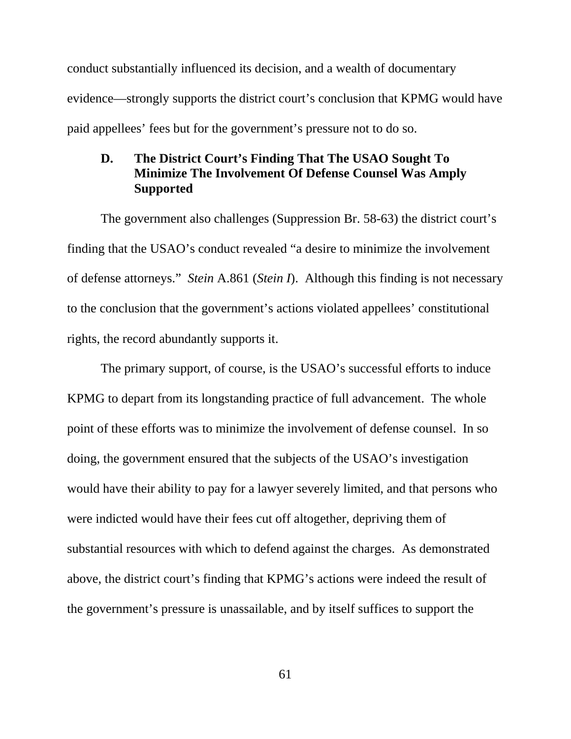conduct substantially influenced its decision, and a wealth of documentary evidence—strongly supports the district court's conclusion that KPMG would have paid appellees' fees but for the government's pressure not to do so.

### **D. The District Court's Finding That The USAO Sought To Minimize The Involvement Of Defense Counsel Was Amply Supported**

The government also challenges (Suppression Br. 58-63) the district court's finding that the USAO's conduct revealed "a desire to minimize the involvement of defense attorneys." *Stein* A.861 (*Stein I*). Although this finding is not necessary to the conclusion that the government's actions violated appellees' constitutional rights, the record abundantly supports it.

The primary support, of course, is the USAO's successful efforts to induce KPMG to depart from its longstanding practice of full advancement. The whole point of these efforts was to minimize the involvement of defense counsel. In so doing, the government ensured that the subjects of the USAO's investigation would have their ability to pay for a lawyer severely limited, and that persons who were indicted would have their fees cut off altogether, depriving them of substantial resources with which to defend against the charges. As demonstrated above, the district court's finding that KPMG's actions were indeed the result of the government's pressure is unassailable, and by itself suffices to support the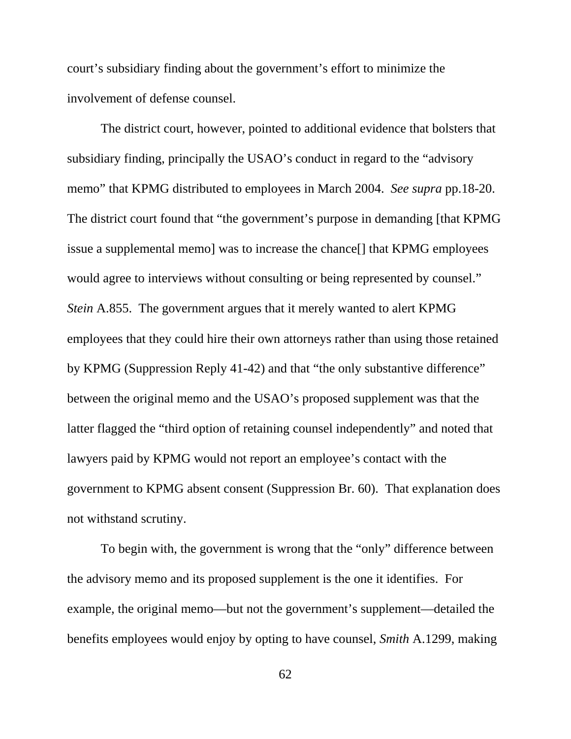court's subsidiary finding about the government's effort to minimize the involvement of defense counsel.

The district court, however, pointed to additional evidence that bolsters that subsidiary finding, principally the USAO's conduct in regard to the "advisory memo" that KPMG distributed to employees in March 2004. *See supra* pp.18-20. The district court found that "the government's purpose in demanding [that KPMG issue a supplemental memo] was to increase the chance[] that KPMG employees would agree to interviews without consulting or being represented by counsel." *Stein* A.855. The government argues that it merely wanted to alert KPMG employees that they could hire their own attorneys rather than using those retained by KPMG (Suppression Reply 41-42) and that "the only substantive difference" between the original memo and the USAO's proposed supplement was that the latter flagged the "third option of retaining counsel independently" and noted that lawyers paid by KPMG would not report an employee's contact with the government to KPMG absent consent (Suppression Br. 60). That explanation does not withstand scrutiny.

To begin with, the government is wrong that the "only" difference between the advisory memo and its proposed supplement is the one it identifies. For example, the original memo—but not the government's supplement—detailed the benefits employees would enjoy by opting to have counsel, *Smith* A.1299, making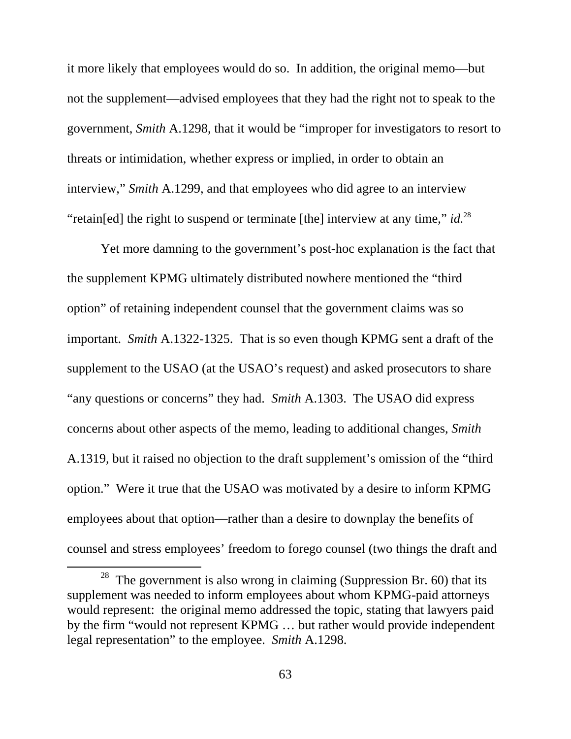it more likely that employees would do so. In addition, the original memo—but not the supplement—advised employees that they had the right not to speak to the government, *Smith* A.1298, that it would be "improper for investigators to resort to threats or intimidation, whether express or implied, in order to obtain an interview," *Smith* A.1299, and that employees who did agree to an interview "retain[ed] the right to suspend or terminate [the] interview at any time," *id.*<sup>28</sup>

Yet more damning to the government's post-hoc explanation is the fact that the supplement KPMG ultimately distributed nowhere mentioned the "third option" of retaining independent counsel that the government claims was so important. *Smith* A.1322-1325. That is so even though KPMG sent a draft of the supplement to the USAO (at the USAO's request) and asked prosecutors to share "any questions or concerns" they had. *Smith* A.1303. The USAO did express concerns about other aspects of the memo, leading to additional changes, *Smith* A.1319, but it raised no objection to the draft supplement's omission of the "third option." Were it true that the USAO was motivated by a desire to inform KPMG employees about that option—rather than a desire to downplay the benefits of counsel and stress employees' freedom to forego counsel (two things the draft and

 $28$  The government is also wrong in claiming (Suppression Br. 60) that its supplement was needed to inform employees about whom KPMG-paid attorneys would represent: the original memo addressed the topic, stating that lawyers paid by the firm "would not represent KPMG … but rather would provide independent legal representation" to the employee. *Smith* A.1298.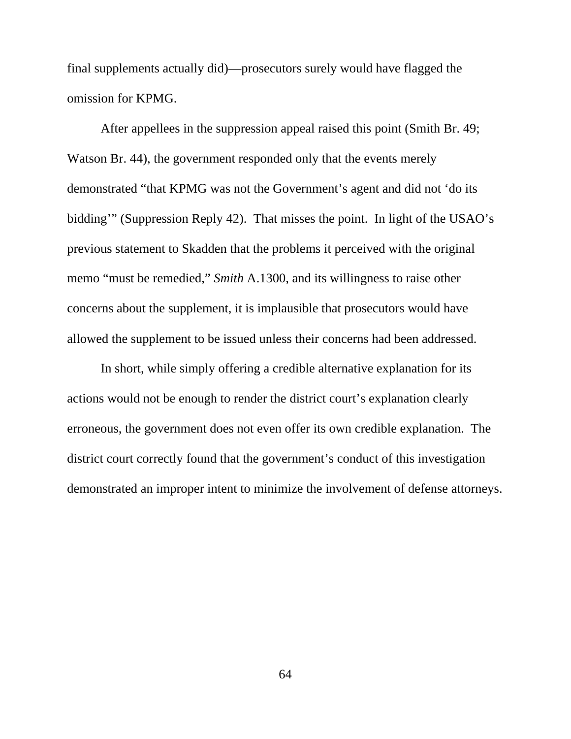final supplements actually did)—prosecutors surely would have flagged the omission for KPMG.

After appellees in the suppression appeal raised this point (Smith Br. 49; Watson Br. 44), the government responded only that the events merely demonstrated "that KPMG was not the Government's agent and did not 'do its bidding'" (Suppression Reply 42). That misses the point. In light of the USAO's previous statement to Skadden that the problems it perceived with the original memo "must be remedied," *Smith* A.1300, and its willingness to raise other concerns about the supplement, it is implausible that prosecutors would have allowed the supplement to be issued unless their concerns had been addressed.

In short, while simply offering a credible alternative explanation for its actions would not be enough to render the district court's explanation clearly erroneous, the government does not even offer its own credible explanation. The district court correctly found that the government's conduct of this investigation demonstrated an improper intent to minimize the involvement of defense attorneys.

64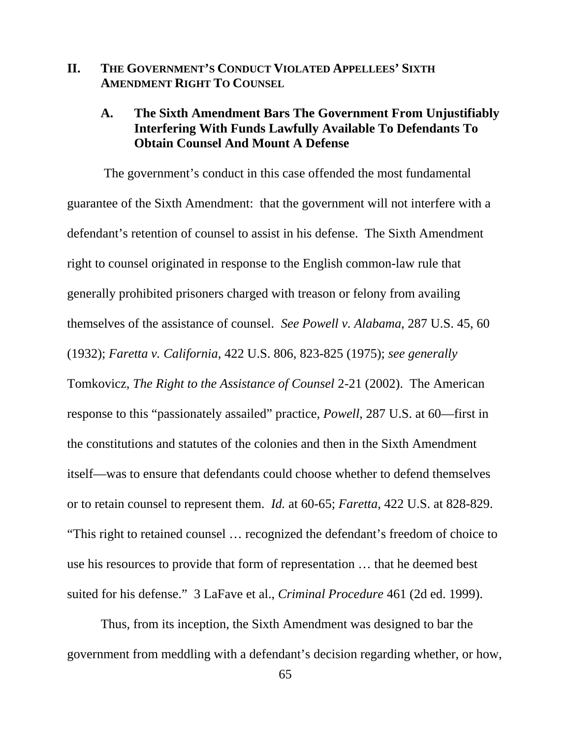# **II. THE GOVERNMENT'S CONDUCT VIOLATED APPELLEES' SIXTH AMENDMENT RIGHT TO COUNSEL**

### **A. The Sixth Amendment Bars The Government From Unjustifiably Interfering With Funds Lawfully Available To Defendants To Obtain Counsel And Mount A Defense**

The government's conduct in this case offended the most fundamental guarantee of the Sixth Amendment: that the government will not interfere with a defendant's retention of counsel to assist in his defense. The Sixth Amendment right to counsel originated in response to the English common-law rule that generally prohibited prisoners charged with treason or felony from availing themselves of the assistance of counsel. *See Powell v. Alabama*, 287 U.S. 45, 60 (1932); *Faretta v. California*, 422 U.S. 806, 823-825 (1975); *see generally*  Tomkovicz, *The Right to the Assistance of Counsel* 2-21 (2002). The American response to this "passionately assailed" practice, *Powell*, 287 U.S. at 60—first in the constitutions and statutes of the colonies and then in the Sixth Amendment itself—was to ensure that defendants could choose whether to defend themselves or to retain counsel to represent them. *Id.* at 60-65; *Faretta*, 422 U.S. at 828-829. "This right to retained counsel … recognized the defendant's freedom of choice to use his resources to provide that form of representation … that he deemed best suited for his defense." 3 LaFave et al., *Criminal Procedure* 461 (2d ed. 1999).

Thus, from its inception, the Sixth Amendment was designed to bar the government from meddling with a defendant's decision regarding whether, or how,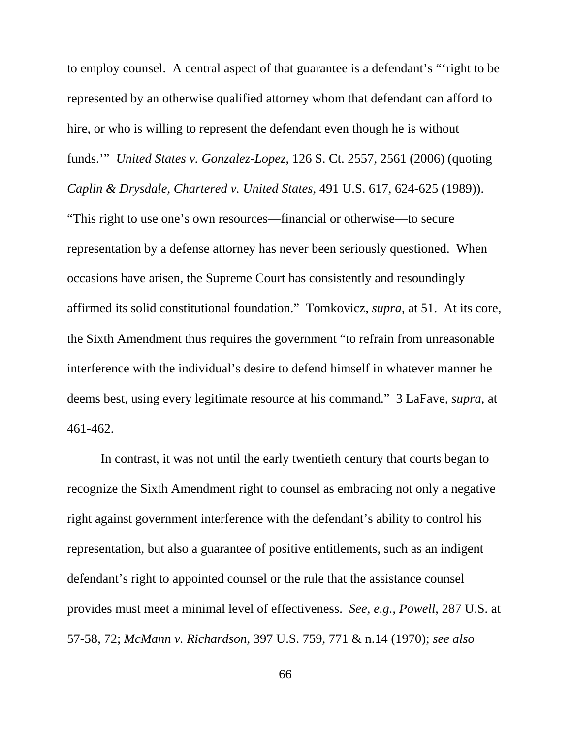to employ counsel. A central aspect of that guarantee is a defendant's "'right to be represented by an otherwise qualified attorney whom that defendant can afford to hire, or who is willing to represent the defendant even though he is without funds.'" *United States v. Gonzalez-Lopez*, 126 S. Ct. 2557, 2561 (2006) (quoting

*Caplin & Drysdale, Chartered v. United States*, 491 U.S. 617, 624-625 (1989)).

"This right to use one's own resources—financial or otherwise—to secure representation by a defense attorney has never been seriously questioned. When occasions have arisen, the Supreme Court has consistently and resoundingly affirmed its solid constitutional foundation." Tomkovicz, *supra*, at 51. At its core, the Sixth Amendment thus requires the government "to refrain from unreasonable interference with the individual's desire to defend himself in whatever manner he deems best, using every legitimate resource at his command." 3 LaFave, *supra*, at 461-462.

In contrast, it was not until the early twentieth century that courts began to recognize the Sixth Amendment right to counsel as embracing not only a negative right against government interference with the defendant's ability to control his representation, but also a guarantee of positive entitlements, such as an indigent defendant's right to appointed counsel or the rule that the assistance counsel provides must meet a minimal level of effectiveness. *See, e.g.*, *Powell*, 287 U.S. at 57-58, 72; *McMann v. Richardson*, 397 U.S. 759, 771 & n.14 (1970); *see also*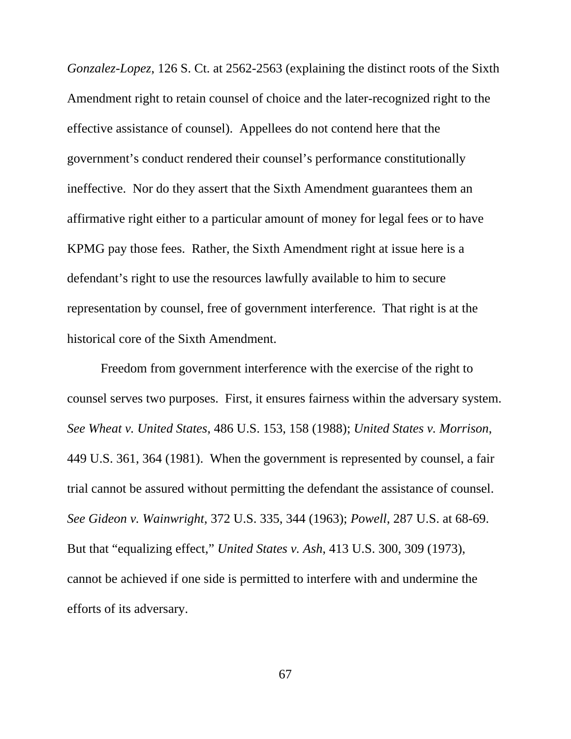*Gonzalez-Lopez*, 126 S. Ct. at 2562-2563 (explaining the distinct roots of the Sixth Amendment right to retain counsel of choice and the later-recognized right to the effective assistance of counsel). Appellees do not contend here that the government's conduct rendered their counsel's performance constitutionally ineffective. Nor do they assert that the Sixth Amendment guarantees them an affirmative right either to a particular amount of money for legal fees or to have KPMG pay those fees. Rather, the Sixth Amendment right at issue here is a defendant's right to use the resources lawfully available to him to secure representation by counsel, free of government interference. That right is at the historical core of the Sixth Amendment.

Freedom from government interference with the exercise of the right to counsel serves two purposes. First, it ensures fairness within the adversary system. *See Wheat v. United States*, 486 U.S. 153, 158 (1988); *United States v. Morrison*, 449 U.S. 361, 364 (1981). When the government is represented by counsel, a fair trial cannot be assured without permitting the defendant the assistance of counsel. *See Gideon v. Wainwright*, 372 U.S. 335, 344 (1963); *Powell*, 287 U.S. at 68-69. But that "equalizing effect," *United States v. Ash*, 413 U.S. 300, 309 (1973), cannot be achieved if one side is permitted to interfere with and undermine the efforts of its adversary.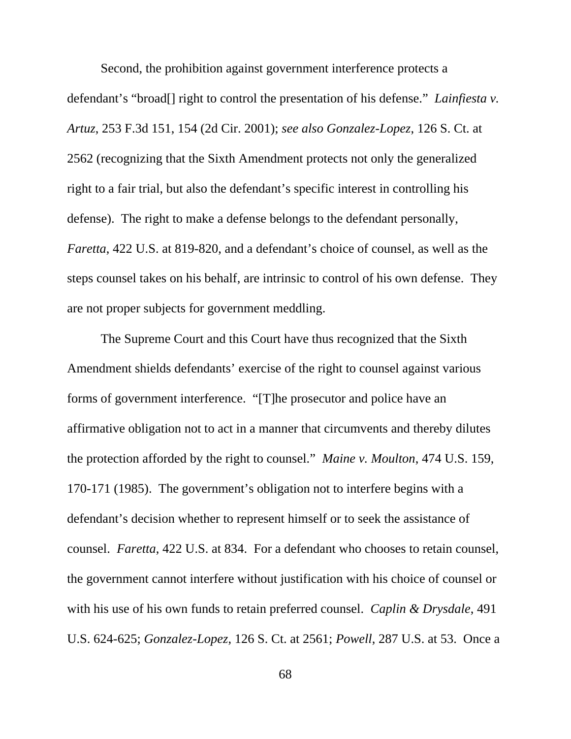Second, the prohibition against government interference protects a defendant's "broad[] right to control the presentation of his defense." *Lainfiesta v. Artuz*, 253 F.3d 151, 154 (2d Cir. 2001); *see also Gonzalez-Lopez*, 126 S. Ct. at 2562 (recognizing that the Sixth Amendment protects not only the generalized right to a fair trial, but also the defendant's specific interest in controlling his defense). The right to make a defense belongs to the defendant personally, *Faretta*, 422 U.S. at 819-820, and a defendant's choice of counsel, as well as the steps counsel takes on his behalf, are intrinsic to control of his own defense. They are not proper subjects for government meddling.

The Supreme Court and this Court have thus recognized that the Sixth Amendment shields defendants' exercise of the right to counsel against various forms of government interference. "[T]he prosecutor and police have an affirmative obligation not to act in a manner that circumvents and thereby dilutes the protection afforded by the right to counsel." *Maine v. Moulton*, 474 U.S. 159, 170-171 (1985). The government's obligation not to interfere begins with a defendant's decision whether to represent himself or to seek the assistance of counsel. *Faretta*, 422 U.S. at 834. For a defendant who chooses to retain counsel, the government cannot interfere without justification with his choice of counsel or with his use of his own funds to retain preferred counsel. *Caplin & Drysdale*, 491 U.S. 624-625; *Gonzalez-Lopez*, 126 S. Ct. at 2561; *Powell*, 287 U.S. at 53. Once a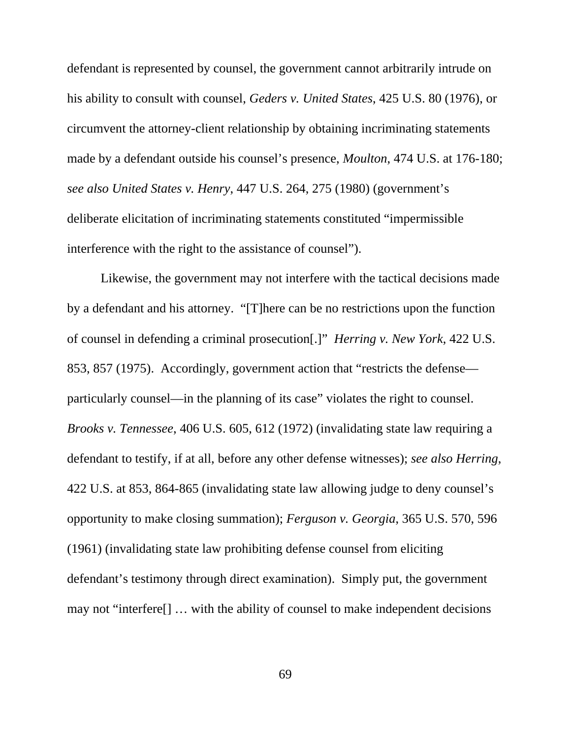defendant is represented by counsel, the government cannot arbitrarily intrude on his ability to consult with counsel, *Geders v. United States*, 425 U.S. 80 (1976), or circumvent the attorney-client relationship by obtaining incriminating statements made by a defendant outside his counsel's presence, *Moulton*, 474 U.S. at 176-180; *see also United States v. Henry*, 447 U.S. 264, 275 (1980) (government's deliberate elicitation of incriminating statements constituted "impermissible interference with the right to the assistance of counsel").

Likewise, the government may not interfere with the tactical decisions made by a defendant and his attorney. "[T]here can be no restrictions upon the function of counsel in defending a criminal prosecution[.]" *Herring v. New York*, 422 U.S. 853, 857 (1975). Accordingly, government action that "restricts the defense particularly counsel—in the planning of its case" violates the right to counsel. *Brooks v. Tennessee*, 406 U.S. 605, 612 (1972) (invalidating state law requiring a defendant to testify, if at all, before any other defense witnesses); *see also Herring*, 422 U.S. at 853, 864-865 (invalidating state law allowing judge to deny counsel's opportunity to make closing summation); *Ferguson v. Georgia*, 365 U.S. 570, 596 (1961) (invalidating state law prohibiting defense counsel from eliciting defendant's testimony through direct examination). Simply put, the government may not "interfere[] … with the ability of counsel to make independent decisions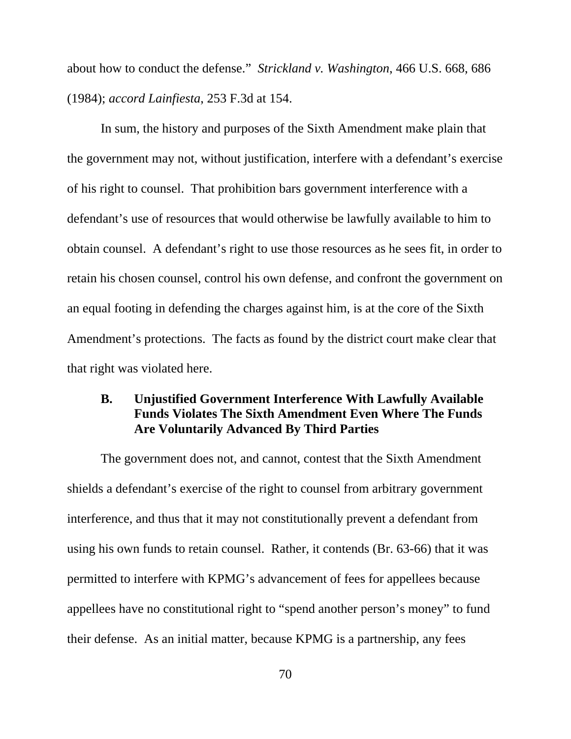about how to conduct the defense." *Strickland v. Washington*, 466 U.S. 668, 686 (1984); *accord Lainfiesta*, 253 F.3d at 154.

In sum, the history and purposes of the Sixth Amendment make plain that the government may not, without justification, interfere with a defendant's exercise of his right to counsel. That prohibition bars government interference with a defendant's use of resources that would otherwise be lawfully available to him to obtain counsel. A defendant's right to use those resources as he sees fit, in order to retain his chosen counsel, control his own defense, and confront the government on an equal footing in defending the charges against him, is at the core of the Sixth Amendment's protections. The facts as found by the district court make clear that that right was violated here.

# **B. Unjustified Government Interference With Lawfully Available Funds Violates The Sixth Amendment Even Where The Funds Are Voluntarily Advanced By Third Parties**

The government does not, and cannot, contest that the Sixth Amendment shields a defendant's exercise of the right to counsel from arbitrary government interference, and thus that it may not constitutionally prevent a defendant from using his own funds to retain counsel. Rather, it contends (Br. 63-66) that it was permitted to interfere with KPMG's advancement of fees for appellees because appellees have no constitutional right to "spend another person's money" to fund their defense. As an initial matter, because KPMG is a partnership, any fees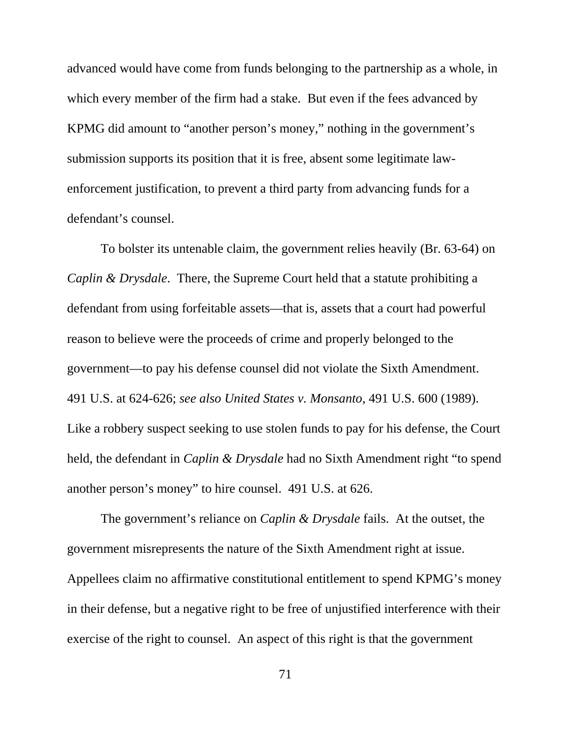advanced would have come from funds belonging to the partnership as a whole, in which every member of the firm had a stake. But even if the fees advanced by KPMG did amount to "another person's money," nothing in the government's submission supports its position that it is free, absent some legitimate lawenforcement justification, to prevent a third party from advancing funds for a defendant's counsel.

To bolster its untenable claim, the government relies heavily (Br. 63-64) on *Caplin & Drysdale*. There, the Supreme Court held that a statute prohibiting a defendant from using forfeitable assets—that is, assets that a court had powerful reason to believe were the proceeds of crime and properly belonged to the government—to pay his defense counsel did not violate the Sixth Amendment. 491 U.S. at 624-626; *see also United States v. Monsanto*, 491 U.S. 600 (1989). Like a robbery suspect seeking to use stolen funds to pay for his defense, the Court held, the defendant in *Caplin & Drysdale* had no Sixth Amendment right "to spend another person's money" to hire counsel. 491 U.S. at 626.

The government's reliance on *Caplin & Drysdale* fails. At the outset, the government misrepresents the nature of the Sixth Amendment right at issue. Appellees claim no affirmative constitutional entitlement to spend KPMG's money in their defense, but a negative right to be free of unjustified interference with their exercise of the right to counsel. An aspect of this right is that the government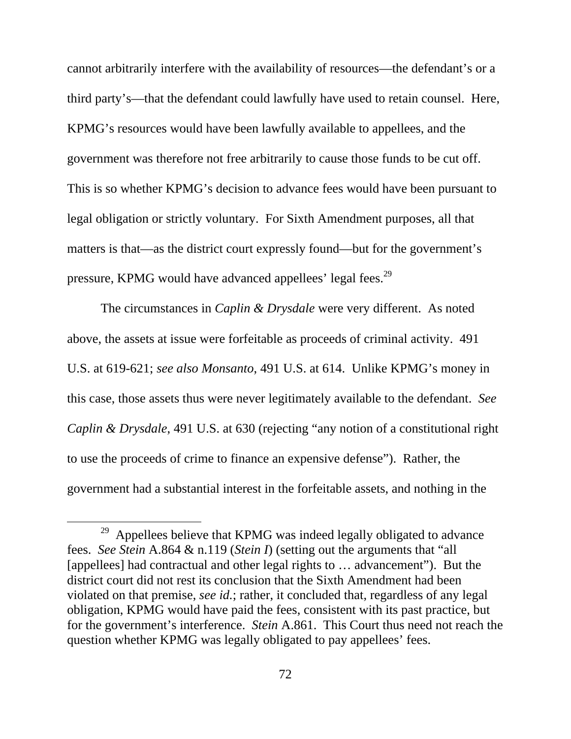cannot arbitrarily interfere with the availability of resources—the defendant's or a third party's—that the defendant could lawfully have used to retain counsel. Here, KPMG's resources would have been lawfully available to appellees, and the government was therefore not free arbitrarily to cause those funds to be cut off. This is so whether KPMG's decision to advance fees would have been pursuant to legal obligation or strictly voluntary. For Sixth Amendment purposes, all that matters is that—as the district court expressly found—but for the government's pressure, KPMG would have advanced appellees' legal fees.<sup>29</sup>

The circumstances in *Caplin & Drysdale* were very different. As noted above, the assets at issue were forfeitable as proceeds of criminal activity. 491 U.S. at 619-621; *see also Monsanto*, 491 U.S. at 614. Unlike KPMG's money in this case, those assets thus were never legitimately available to the defendant. *See Caplin & Drysdale*, 491 U.S. at 630 (rejecting "any notion of a constitutional right to use the proceeds of crime to finance an expensive defense"). Rather, the government had a substantial interest in the forfeitable assets, and nothing in the

<sup>&</sup>lt;sup>29</sup> Appellees believe that KPMG was indeed legally obligated to advance fees. *See Stein* A.864 & n.119 (*Stein I*) (setting out the arguments that "all [appellees] had contractual and other legal rights to … advancement"). But the district court did not rest its conclusion that the Sixth Amendment had been violated on that premise, *see id.*; rather, it concluded that, regardless of any legal obligation, KPMG would have paid the fees, consistent with its past practice, but for the government's interference. *Stein* A.861. This Court thus need not reach the question whether KPMG was legally obligated to pay appellees' fees.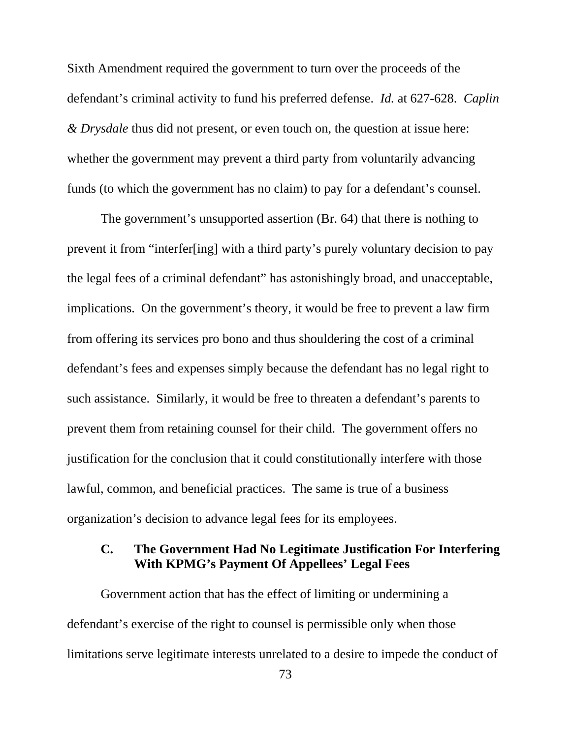Sixth Amendment required the government to turn over the proceeds of the defendant's criminal activity to fund his preferred defense. *Id.* at 627-628. *Caplin & Drysdale* thus did not present, or even touch on, the question at issue here: whether the government may prevent a third party from voluntarily advancing funds (to which the government has no claim) to pay for a defendant's counsel.

The government's unsupported assertion (Br. 64) that there is nothing to prevent it from "interfer[ing] with a third party's purely voluntary decision to pay the legal fees of a criminal defendant" has astonishingly broad, and unacceptable, implications. On the government's theory, it would be free to prevent a law firm from offering its services pro bono and thus shouldering the cost of a criminal defendant's fees and expenses simply because the defendant has no legal right to such assistance. Similarly, it would be free to threaten a defendant's parents to prevent them from retaining counsel for their child. The government offers no justification for the conclusion that it could constitutionally interfere with those lawful, common, and beneficial practices. The same is true of a business organization's decision to advance legal fees for its employees.

### **C. The Government Had No Legitimate Justification For Interfering With KPMG's Payment Of Appellees' Legal Fees**

Government action that has the effect of limiting or undermining a defendant's exercise of the right to counsel is permissible only when those limitations serve legitimate interests unrelated to a desire to impede the conduct of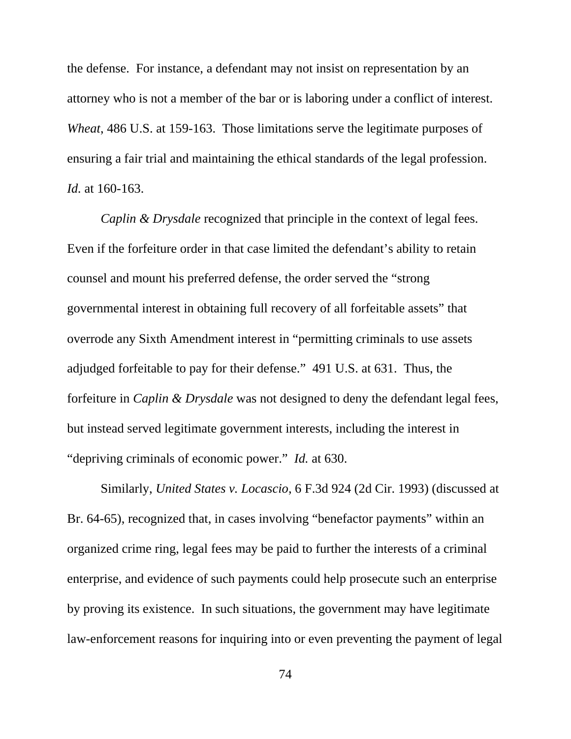the defense. For instance, a defendant may not insist on representation by an attorney who is not a member of the bar or is laboring under a conflict of interest. *Wheat*, 486 U.S. at 159-163. Those limitations serve the legitimate purposes of ensuring a fair trial and maintaining the ethical standards of the legal profession. *Id.* at 160-163.

*Caplin & Drysdale* recognized that principle in the context of legal fees. Even if the forfeiture order in that case limited the defendant's ability to retain counsel and mount his preferred defense, the order served the "strong governmental interest in obtaining full recovery of all forfeitable assets" that overrode any Sixth Amendment interest in "permitting criminals to use assets adjudged forfeitable to pay for their defense." 491 U.S. at 631. Thus, the forfeiture in *Caplin & Drysdale* was not designed to deny the defendant legal fees, but instead served legitimate government interests, including the interest in "depriving criminals of economic power." *Id.* at 630.

Similarly, *United States v. Locascio*, 6 F.3d 924 (2d Cir. 1993) (discussed at Br. 64-65), recognized that, in cases involving "benefactor payments" within an organized crime ring, legal fees may be paid to further the interests of a criminal enterprise, and evidence of such payments could help prosecute such an enterprise by proving its existence. In such situations, the government may have legitimate law-enforcement reasons for inquiring into or even preventing the payment of legal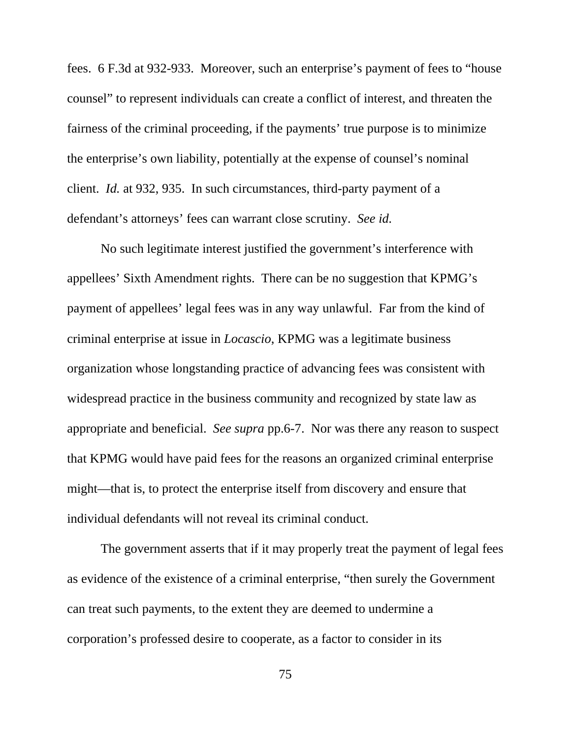fees. 6 F.3d at 932-933. Moreover, such an enterprise's payment of fees to "house counsel" to represent individuals can create a conflict of interest, and threaten the fairness of the criminal proceeding, if the payments' true purpose is to minimize the enterprise's own liability, potentially at the expense of counsel's nominal client. *Id.* at 932, 935. In such circumstances, third-party payment of a defendant's attorneys' fees can warrant close scrutiny. *See id.* 

No such legitimate interest justified the government's interference with appellees' Sixth Amendment rights. There can be no suggestion that KPMG's payment of appellees' legal fees was in any way unlawful. Far from the kind of criminal enterprise at issue in *Locascio*, KPMG was a legitimate business organization whose longstanding practice of advancing fees was consistent with widespread practice in the business community and recognized by state law as appropriate and beneficial. *See supra* pp.6-7. Nor was there any reason to suspect that KPMG would have paid fees for the reasons an organized criminal enterprise might—that is, to protect the enterprise itself from discovery and ensure that individual defendants will not reveal its criminal conduct.

The government asserts that if it may properly treat the payment of legal fees as evidence of the existence of a criminal enterprise, "then surely the Government can treat such payments, to the extent they are deemed to undermine a corporation's professed desire to cooperate, as a factor to consider in its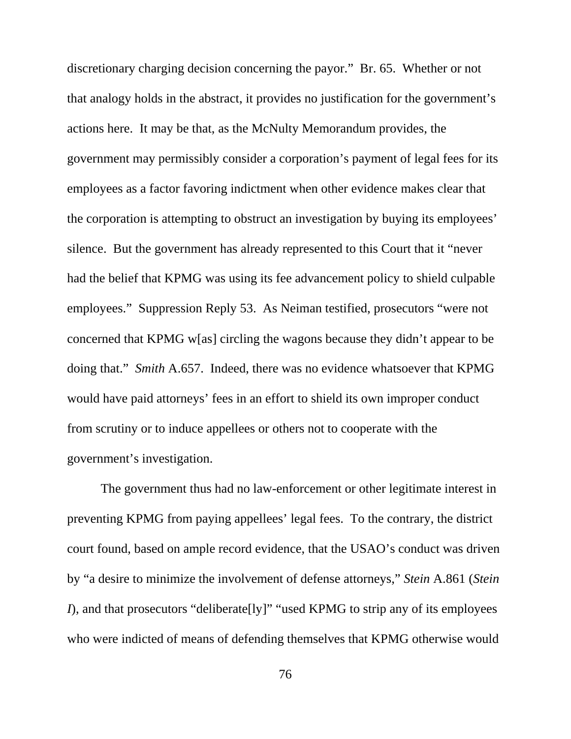discretionary charging decision concerning the payor." Br. 65. Whether or not that analogy holds in the abstract, it provides no justification for the government's actions here. It may be that, as the McNulty Memorandum provides, the government may permissibly consider a corporation's payment of legal fees for its employees as a factor favoring indictment when other evidence makes clear that the corporation is attempting to obstruct an investigation by buying its employees' silence. But the government has already represented to this Court that it "never had the belief that KPMG was using its fee advancement policy to shield culpable employees." Suppression Reply 53. As Neiman testified, prosecutors "were not concerned that KPMG w[as] circling the wagons because they didn't appear to be doing that." *Smith* A.657. Indeed, there was no evidence whatsoever that KPMG would have paid attorneys' fees in an effort to shield its own improper conduct from scrutiny or to induce appellees or others not to cooperate with the government's investigation.

The government thus had no law-enforcement or other legitimate interest in preventing KPMG from paying appellees' legal fees. To the contrary, the district court found, based on ample record evidence, that the USAO's conduct was driven by "a desire to minimize the involvement of defense attorneys," *Stein* A.861 (*Stein I*), and that prosecutors "deliberate<sup>[ly]"</sup> "used KPMG to strip any of its employees who were indicted of means of defending themselves that KPMG otherwise would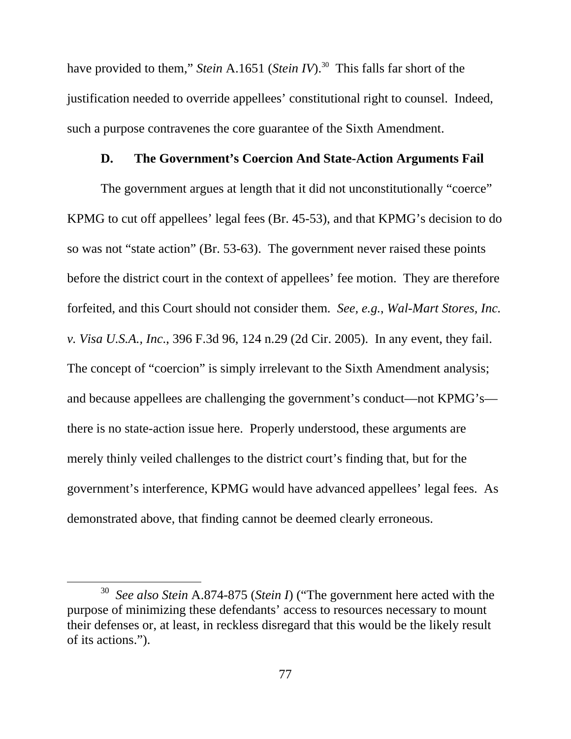have provided to them," *Stein* A.1651 (*Stein IV*).<sup>30</sup> This falls far short of the justification needed to override appellees' constitutional right to counsel. Indeed, such a purpose contravenes the core guarantee of the Sixth Amendment.

#### **D. The Government's Coercion And State-Action Arguments Fail**

The government argues at length that it did not unconstitutionally "coerce" KPMG to cut off appellees' legal fees (Br. 45-53), and that KPMG's decision to do so was not "state action" (Br. 53-63). The government never raised these points before the district court in the context of appellees' fee motion. They are therefore forfeited, and this Court should not consider them. *See, e.g.*, *Wal-Mart Stores, Inc. v. Visa U.S.A., Inc*., 396 F.3d 96, 124 n.29 (2d Cir. 2005). In any event, they fail. The concept of "coercion" is simply irrelevant to the Sixth Amendment analysis; and because appellees are challenging the government's conduct—not KPMG's there is no state-action issue here. Properly understood, these arguments are merely thinly veiled challenges to the district court's finding that, but for the government's interference, KPMG would have advanced appellees' legal fees. As demonstrated above, that finding cannot be deemed clearly erroneous.

 <sup>30</sup> *See also Stein* A.874-875 (*Stein I*) ("The government here acted with the purpose of minimizing these defendants' access to resources necessary to mount their defenses or, at least, in reckless disregard that this would be the likely result of its actions.").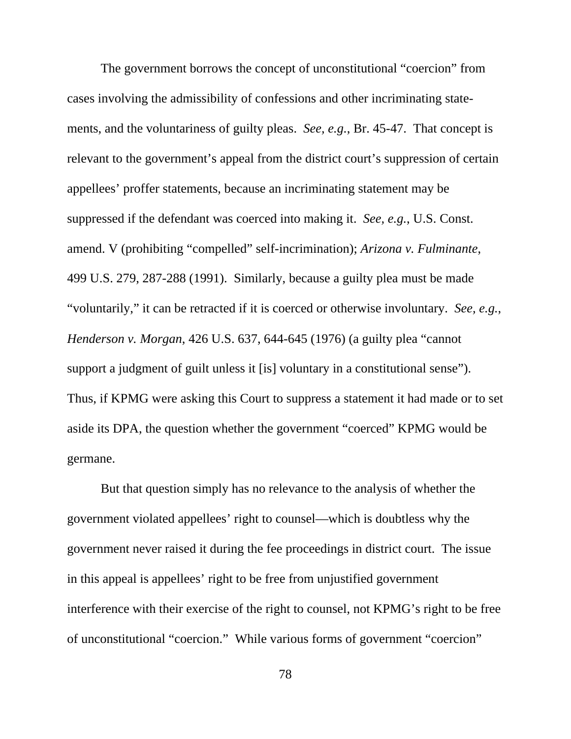The government borrows the concept of unconstitutional "coercion" from cases involving the admissibility of confessions and other incriminating statements, and the voluntariness of guilty pleas. *See, e.g.*, Br. 45-47. That concept is relevant to the government's appeal from the district court's suppression of certain appellees' proffer statements, because an incriminating statement may be suppressed if the defendant was coerced into making it. *See, e.g.*, U.S. Const. amend. V (prohibiting "compelled" self-incrimination); *Arizona v. Fulminante*, 499 U.S. 279, 287-288 (1991). Similarly, because a guilty plea must be made "voluntarily," it can be retracted if it is coerced or otherwise involuntary. *See, e.g.*, *Henderson v. Morgan*, 426 U.S. 637, 644-645 (1976) (a guilty plea "cannot support a judgment of guilt unless it [is] voluntary in a constitutional sense"). Thus, if KPMG were asking this Court to suppress a statement it had made or to set aside its DPA, the question whether the government "coerced" KPMG would be germane.

But that question simply has no relevance to the analysis of whether the government violated appellees' right to counsel—which is doubtless why the government never raised it during the fee proceedings in district court. The issue in this appeal is appellees' right to be free from unjustified government interference with their exercise of the right to counsel, not KPMG's right to be free of unconstitutional "coercion." While various forms of government "coercion"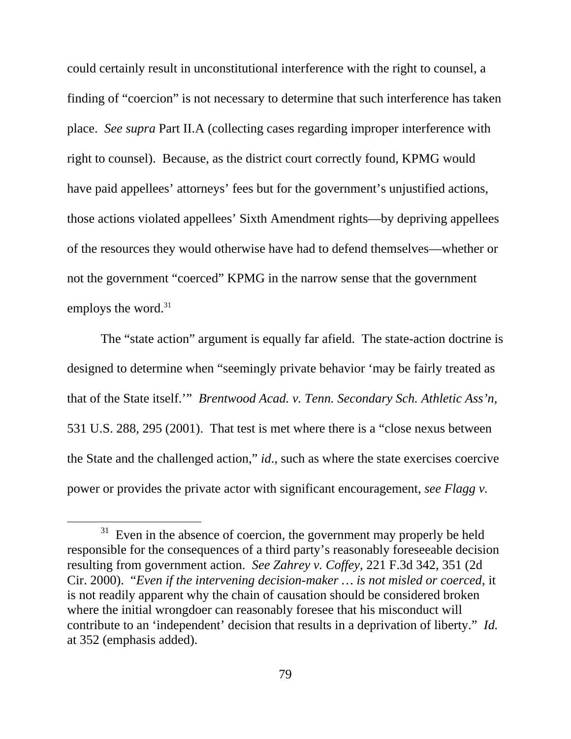could certainly result in unconstitutional interference with the right to counsel, a finding of "coercion" is not necessary to determine that such interference has taken place. *See supra* Part II.A (collecting cases regarding improper interference with right to counsel). Because, as the district court correctly found, KPMG would have paid appellees' attorneys' fees but for the government's unjustified actions, those actions violated appellees' Sixth Amendment rights—by depriving appellees of the resources they would otherwise have had to defend themselves—whether or not the government "coerced" KPMG in the narrow sense that the government employs the word.<sup>31</sup>

The "state action" argument is equally far afield. The state-action doctrine is designed to determine when "seemingly private behavior 'may be fairly treated as that of the State itself.'" *Brentwood Acad. v. Tenn. Secondary Sch. Athletic Ass'n*, 531 U.S. 288, 295 (2001). That test is met where there is a "close nexus between the State and the challenged action," *id*., such as where the state exercises coercive power or provides the private actor with significant encouragement, *see Flagg v.* 

 $31$  Even in the absence of coercion, the government may properly be held responsible for the consequences of a third party's reasonably foreseeable decision resulting from government action. *See Zahrey v. Coffey*, 221 F.3d 342, 351 (2d Cir. 2000). "*Even if the intervening decision-maker … is not misled or coerced*, it is not readily apparent why the chain of causation should be considered broken where the initial wrongdoer can reasonably foresee that his misconduct will contribute to an 'independent' decision that results in a deprivation of liberty." *Id.* at 352 (emphasis added).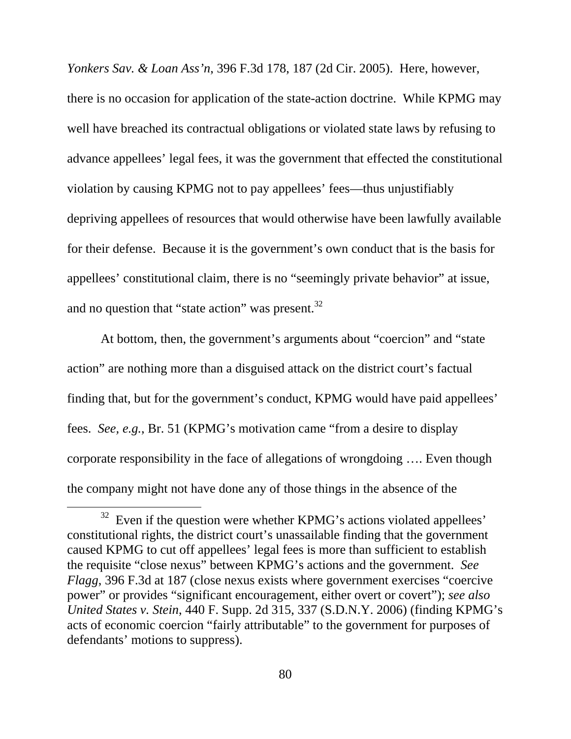*Yonkers Sav. & Loan Ass'n*, 396 F.3d 178, 187 (2d Cir. 2005). Here, however, there is no occasion for application of the state-action doctrine. While KPMG may well have breached its contractual obligations or violated state laws by refusing to advance appellees' legal fees, it was the government that effected the constitutional violation by causing KPMG not to pay appellees' fees—thus unjustifiably depriving appellees of resources that would otherwise have been lawfully available for their defense. Because it is the government's own conduct that is the basis for appellees' constitutional claim, there is no "seemingly private behavior" at issue, and no question that "state action" was present.<sup>32</sup>

At bottom, then, the government's arguments about "coercion" and "state action" are nothing more than a disguised attack on the district court's factual finding that, but for the government's conduct, KPMG would have paid appellees' fees. *See, e.g.*, Br. 51 (KPMG's motivation came "from a desire to display corporate responsibility in the face of allegations of wrongdoing …. Even though the company might not have done any of those things in the absence of the

 $32$  Even if the question were whether KPMG's actions violated appellees' constitutional rights, the district court's unassailable finding that the government caused KPMG to cut off appellees' legal fees is more than sufficient to establish the requisite "close nexus" between KPMG's actions and the government. *See Flagg*, 396 F.3d at 187 (close nexus exists where government exercises "coercive power" or provides "significant encouragement, either overt or covert"); *see also United States v. Stein*, 440 F. Supp. 2d 315, 337 (S.D.N.Y. 2006) (finding KPMG's acts of economic coercion "fairly attributable" to the government for purposes of defendants' motions to suppress).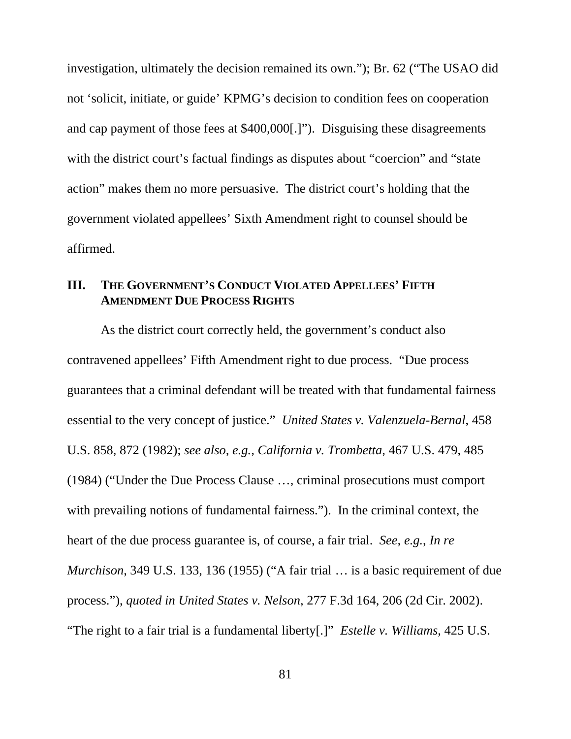investigation, ultimately the decision remained its own."); Br. 62 ("The USAO did not 'solicit, initiate, or guide' KPMG's decision to condition fees on cooperation and cap payment of those fees at \$400,000[.]"). Disguising these disagreements with the district court's factual findings as disputes about "coercion" and "state action" makes them no more persuasive. The district court's holding that the government violated appellees' Sixth Amendment right to counsel should be affirmed.

# **III. THE GOVERNMENT'S CONDUCT VIOLATED APPELLEES' FIFTH AMENDMENT DUE PROCESS RIGHTS**

As the district court correctly held, the government's conduct also contravened appellees' Fifth Amendment right to due process. "Due process guarantees that a criminal defendant will be treated with that fundamental fairness essential to the very concept of justice." *United States v. Valenzuela-Bernal*, 458 U.S. 858, 872 (1982); *see also, e.g.*, *California v. Trombetta*, 467 U.S. 479, 485 (1984) ("Under the Due Process Clause …, criminal prosecutions must comport with prevailing notions of fundamental fairness."). In the criminal context, the heart of the due process guarantee is, of course, a fair trial. *See, e.g.*, *In re Murchison*, 349 U.S. 133, 136 (1955) ("A fair trial … is a basic requirement of due process."), *quoted in United States v. Nelson*, 277 F.3d 164, 206 (2d Cir. 2002). "The right to a fair trial is a fundamental liberty[.]" *Estelle v. Williams*, 425 U.S.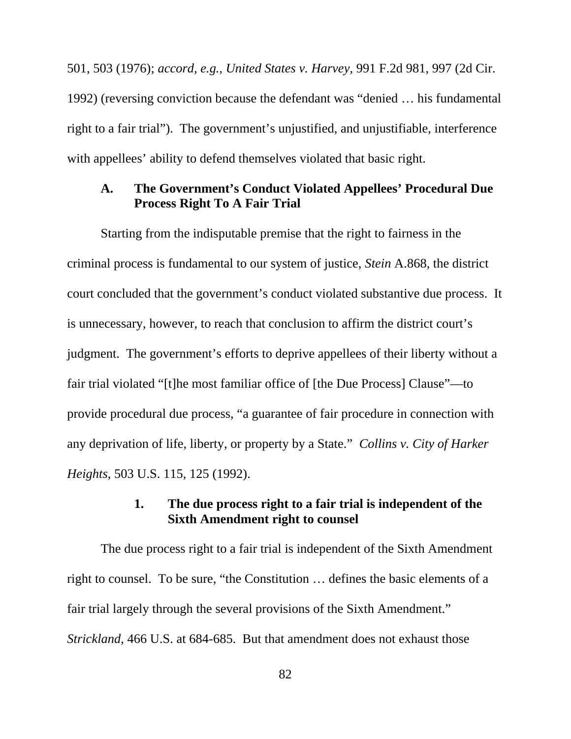501, 503 (1976); *accord, e.g.*, *United States v. Harvey*, 991 F.2d 981, 997 (2d Cir. 1992) (reversing conviction because the defendant was "denied … his fundamental right to a fair trial"). The government's unjustified, and unjustifiable, interference with appellees' ability to defend themselves violated that basic right.

#### **A. The Government's Conduct Violated Appellees' Procedural Due Process Right To A Fair Trial**

Starting from the indisputable premise that the right to fairness in the criminal process is fundamental to our system of justice, *Stein* A.868, the district court concluded that the government's conduct violated substantive due process. It is unnecessary, however, to reach that conclusion to affirm the district court's judgment. The government's efforts to deprive appellees of their liberty without a fair trial violated "[t]he most familiar office of [the Due Process] Clause"—to provide procedural due process, "a guarantee of fair procedure in connection with any deprivation of life, liberty, or property by a State." *Collins v. City of Harker Heights*, 503 U.S. 115, 125 (1992).

### **1. The due process right to a fair trial is independent of the Sixth Amendment right to counsel**

The due process right to a fair trial is independent of the Sixth Amendment right to counsel. To be sure, "the Constitution … defines the basic elements of a fair trial largely through the several provisions of the Sixth Amendment." *Strickland*, 466 U.S. at 684-685. But that amendment does not exhaust those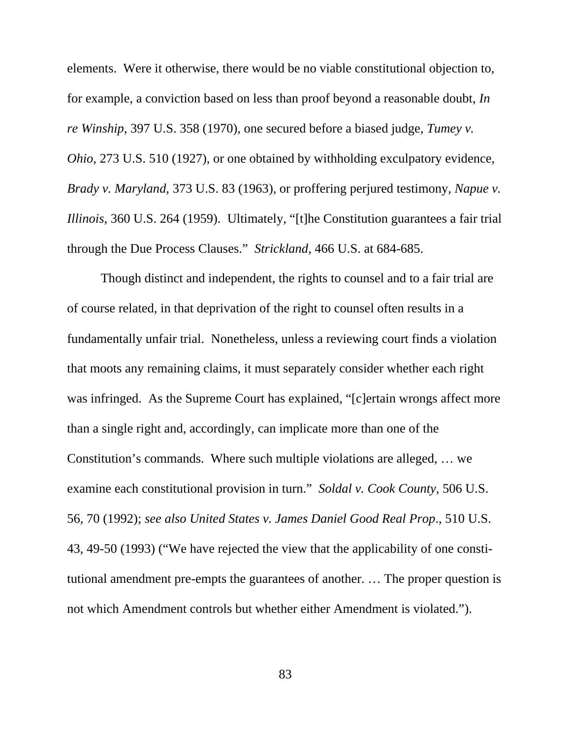elements. Were it otherwise, there would be no viable constitutional objection to, for example, a conviction based on less than proof beyond a reasonable doubt, *In re Winship*, 397 U.S. 358 (1970), one secured before a biased judge, *Tumey v. Ohio*, 273 U.S. 510 (1927), or one obtained by withholding exculpatory evidence, *Brady v. Maryland*, 373 U.S. 83 (1963), or proffering perjured testimony, *Napue v. Illinois*, 360 U.S. 264 (1959). Ultimately, "[t]he Constitution guarantees a fair trial through the Due Process Clauses." *Strickland*, 466 U.S. at 684-685.

Though distinct and independent, the rights to counsel and to a fair trial are of course related, in that deprivation of the right to counsel often results in a fundamentally unfair trial. Nonetheless, unless a reviewing court finds a violation that moots any remaining claims, it must separately consider whether each right was infringed. As the Supreme Court has explained, "[c]ertain wrongs affect more than a single right and, accordingly, can implicate more than one of the Constitution's commands. Where such multiple violations are alleged, … we examine each constitutional provision in turn." *Soldal v. Cook County*, 506 U.S. 56, 70 (1992); *see also United States v. James Daniel Good Real Prop*., 510 U.S. 43, 49-50 (1993) ("We have rejected the view that the applicability of one constitutional amendment pre-empts the guarantees of another. … The proper question is not which Amendment controls but whether either Amendment is violated.").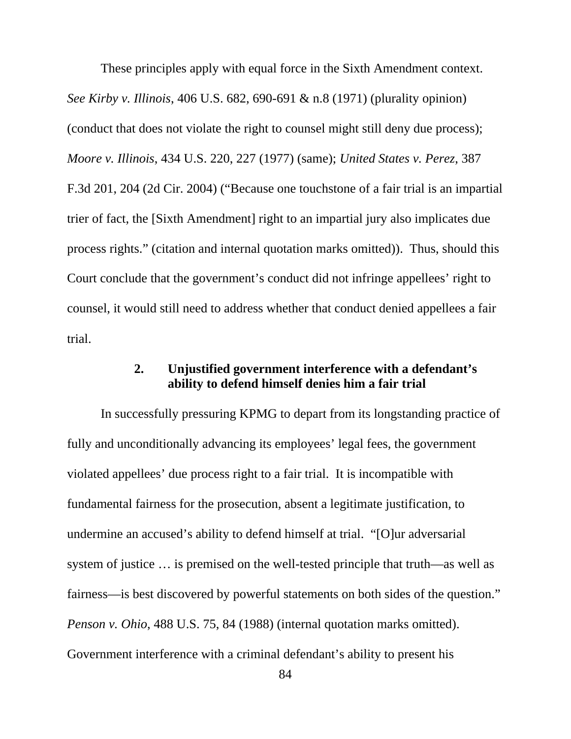These principles apply with equal force in the Sixth Amendment context. *See Kirby v. Illinois*, 406 U.S. 682, 690-691 & n.8 (1971) (plurality opinion) (conduct that does not violate the right to counsel might still deny due process); *Moore v. Illinois*, 434 U.S. 220, 227 (1977) (same); *United States v. Perez*, 387 F.3d 201, 204 (2d Cir. 2004) ("Because one touchstone of a fair trial is an impartial trier of fact, the [Sixth Amendment] right to an impartial jury also implicates due process rights." (citation and internal quotation marks omitted)). Thus, should this Court conclude that the government's conduct did not infringe appellees' right to counsel, it would still need to address whether that conduct denied appellees a fair trial.

# **2. Unjustified government interference with a defendant's ability to defend himself denies him a fair trial**

In successfully pressuring KPMG to depart from its longstanding practice of fully and unconditionally advancing its employees' legal fees, the government violated appellees' due process right to a fair trial. It is incompatible with fundamental fairness for the prosecution, absent a legitimate justification, to undermine an accused's ability to defend himself at trial. "[O]ur adversarial system of justice … is premised on the well-tested principle that truth—as well as fairness—is best discovered by powerful statements on both sides of the question." *Penson v. Ohio*, 488 U.S. 75, 84 (1988) (internal quotation marks omitted). Government interference with a criminal defendant's ability to present his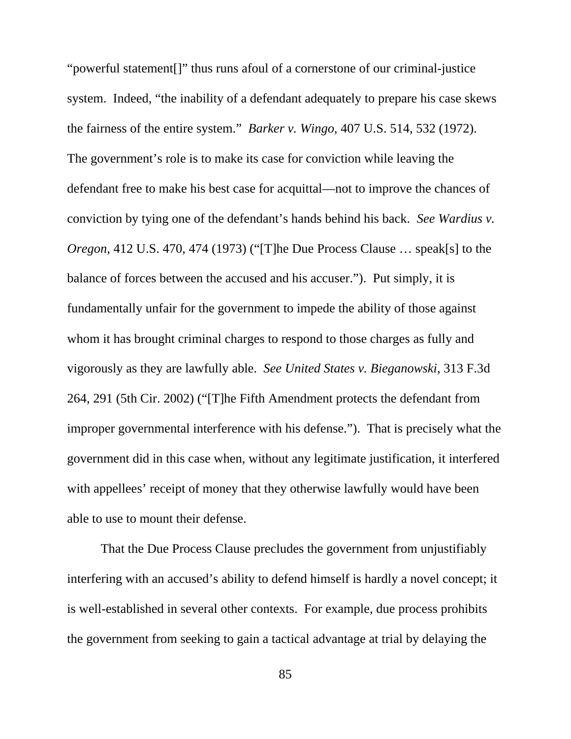"powerful statement[]" thus runs afoul of a cornerstone of our criminal-justice system. Indeed, "the inability of a defendant adequately to prepare his case skews the fairness of the entire system." *Barker v. Wingo*, 407 U.S. 514, 532 (1972). The government's role is to make its case for conviction while leaving the defendant free to make his best case for acquittal—not to improve the chances of conviction by tying one of the defendant's hands behind his back. *See Wardius v. Oregon*, 412 U.S. 470, 474 (1973) ("[T]he Due Process Clause … speak[s] to the balance of forces between the accused and his accuser."). Put simply, it is fundamentally unfair for the government to impede the ability of those against whom it has brought criminal charges to respond to those charges as fully and vigorously as they are lawfully able. *See United States v. Bieganowski*, 313 F.3d 264, 291 (5th Cir. 2002) ("[T]he Fifth Amendment protects the defendant from improper governmental interference with his defense."). That is precisely what the government did in this case when, without any legitimate justification, it interfered with appellees' receipt of money that they otherwise lawfully would have been able to use to mount their defense.

That the Due Process Clause precludes the government from unjustifiably interfering with an accused's ability to defend himself is hardly a novel concept; it is well-established in several other contexts. For example, due process prohibits the government from seeking to gain a tactical advantage at trial by delaying the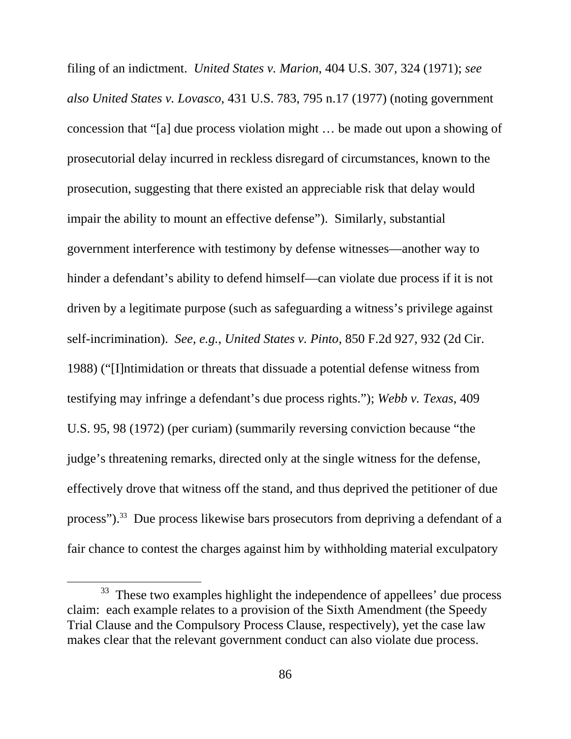filing of an indictment. *United States v. Marion*, 404 U.S. 307, 324 (1971); *see also United States v. Lovasco*, 431 U.S. 783, 795 n.17 (1977) (noting government concession that "[a] due process violation might … be made out upon a showing of prosecutorial delay incurred in reckless disregard of circumstances, known to the prosecution, suggesting that there existed an appreciable risk that delay would impair the ability to mount an effective defense"). Similarly, substantial government interference with testimony by defense witnesses—another way to hinder a defendant's ability to defend himself—can violate due process if it is not driven by a legitimate purpose (such as safeguarding a witness's privilege against self-incrimination). *See, e.g.*, *United States v. Pinto*, 850 F.2d 927, 932 (2d Cir. 1988) ("[I]ntimidation or threats that dissuade a potential defense witness from testifying may infringe a defendant's due process rights."); *Webb v. Texas*, 409 U.S. 95, 98 (1972) (per curiam) (summarily reversing conviction because "the judge's threatening remarks, directed only at the single witness for the defense, effectively drove that witness off the stand, and thus deprived the petitioner of due process").33 Due process likewise bars prosecutors from depriving a defendant of a fair chance to contest the charges against him by withholding material exculpatory

<sup>&</sup>lt;sup>33</sup> These two examples highlight the independence of appellees' due process claim: each example relates to a provision of the Sixth Amendment (the Speedy Trial Clause and the Compulsory Process Clause, respectively), yet the case law makes clear that the relevant government conduct can also violate due process.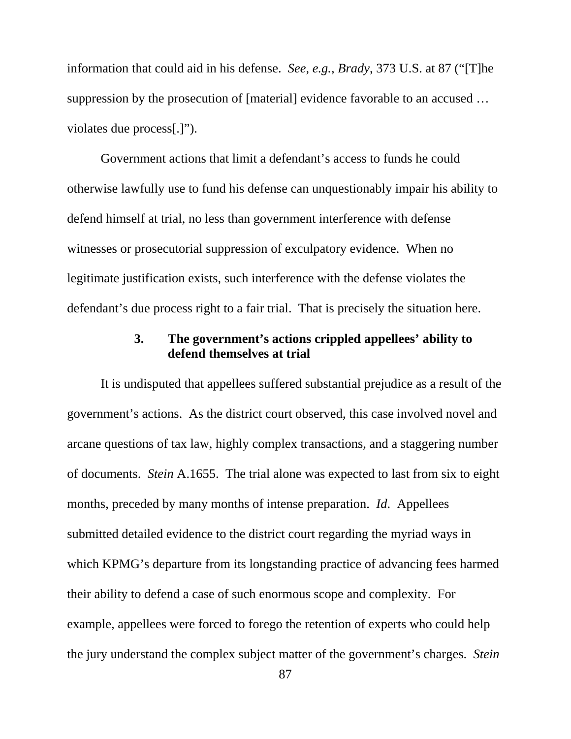information that could aid in his defense. *See, e.g.*, *Brady*, 373 U.S. at 87 ("[T]he suppression by the prosecution of [material] evidence favorable to an accused … violates due process[.]").

Government actions that limit a defendant's access to funds he could otherwise lawfully use to fund his defense can unquestionably impair his ability to defend himself at trial, no less than government interference with defense witnesses or prosecutorial suppression of exculpatory evidence. When no legitimate justification exists, such interference with the defense violates the defendant's due process right to a fair trial. That is precisely the situation here.

# **3. The government's actions crippled appellees' ability to defend themselves at trial**

It is undisputed that appellees suffered substantial prejudice as a result of the government's actions. As the district court observed, this case involved novel and arcane questions of tax law, highly complex transactions, and a staggering number of documents. *Stein* A.1655. The trial alone was expected to last from six to eight months, preceded by many months of intense preparation. *Id*. Appellees submitted detailed evidence to the district court regarding the myriad ways in which KPMG's departure from its longstanding practice of advancing fees harmed their ability to defend a case of such enormous scope and complexity. For example, appellees were forced to forego the retention of experts who could help the jury understand the complex subject matter of the government's charges. *Stein*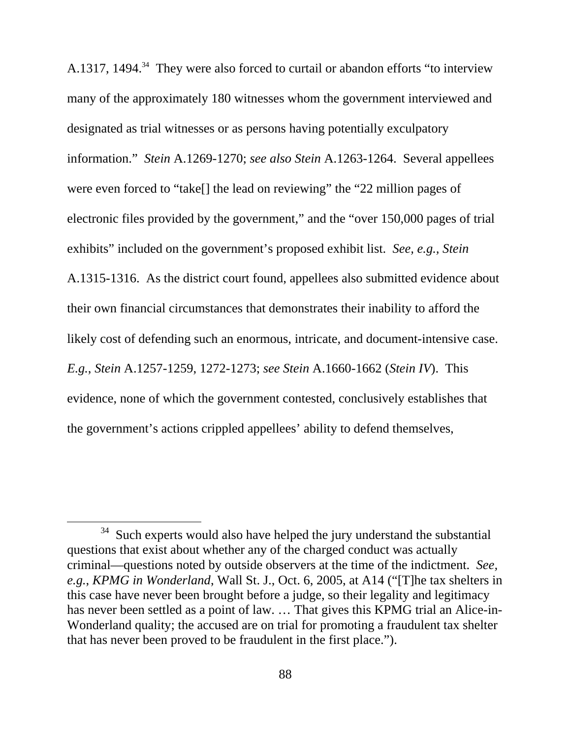A.1317, 1494. $34$  They were also forced to curtail or abandon efforts "to interview many of the approximately 180 witnesses whom the government interviewed and designated as trial witnesses or as persons having potentially exculpatory information." *Stein* A.1269-1270; *see also Stein* A.1263-1264. Several appellees were even forced to "take[] the lead on reviewing" the "22 million pages of electronic files provided by the government," and the "over 150,000 pages of trial exhibits" included on the government's proposed exhibit list. *See, e.g., Stein*  A.1315-1316. As the district court found, appellees also submitted evidence about their own financial circumstances that demonstrates their inability to afford the likely cost of defending such an enormous, intricate, and document-intensive case. *E.g.*, *Stein* A.1257-1259, 1272-1273; *see Stein* A.1660-1662 (*Stein IV*). This evidence, none of which the government contested, conclusively establishes that the government's actions crippled appellees' ability to defend themselves,

<sup>&</sup>lt;sup>34</sup> Such experts would also have helped the jury understand the substantial questions that exist about whether any of the charged conduct was actually criminal—questions noted by outside observers at the time of the indictment. *See, e.g.*, *KPMG in Wonderland*, Wall St. J., Oct. 6, 2005, at A14 ("[T]he tax shelters in this case have never been brought before a judge, so their legality and legitimacy has never been settled as a point of law. … That gives this KPMG trial an Alice-in-Wonderland quality; the accused are on trial for promoting a fraudulent tax shelter that has never been proved to be fraudulent in the first place.").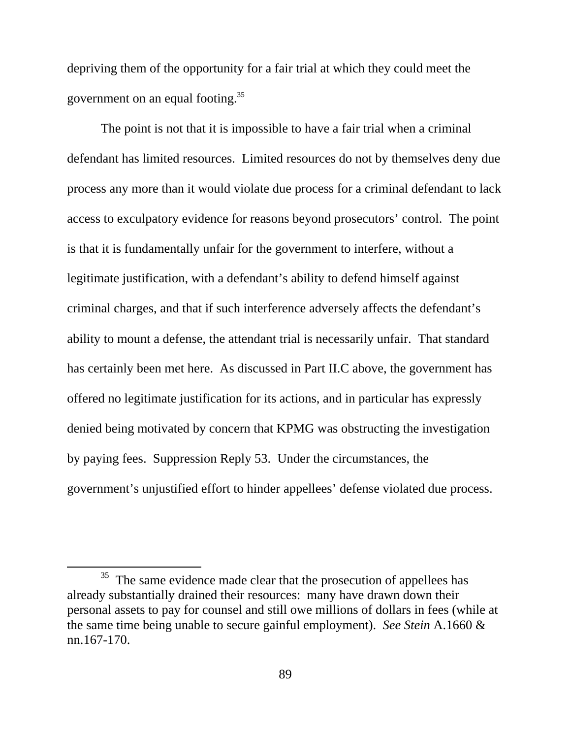depriving them of the opportunity for a fair trial at which they could meet the government on an equal footing.35

The point is not that it is impossible to have a fair trial when a criminal defendant has limited resources. Limited resources do not by themselves deny due process any more than it would violate due process for a criminal defendant to lack access to exculpatory evidence for reasons beyond prosecutors' control. The point is that it is fundamentally unfair for the government to interfere, without a legitimate justification, with a defendant's ability to defend himself against criminal charges, and that if such interference adversely affects the defendant's ability to mount a defense, the attendant trial is necessarily unfair. That standard has certainly been met here. As discussed in Part II.C above, the government has offered no legitimate justification for its actions, and in particular has expressly denied being motivated by concern that KPMG was obstructing the investigation by paying fees. Suppression Reply 53. Under the circumstances, the government's unjustified effort to hinder appellees' defense violated due process.

<sup>&</sup>lt;sup>35</sup> The same evidence made clear that the prosecution of appellees has already substantially drained their resources: many have drawn down their personal assets to pay for counsel and still owe millions of dollars in fees (while at the same time being unable to secure gainful employment). *See Stein* A.1660 & nn.167-170.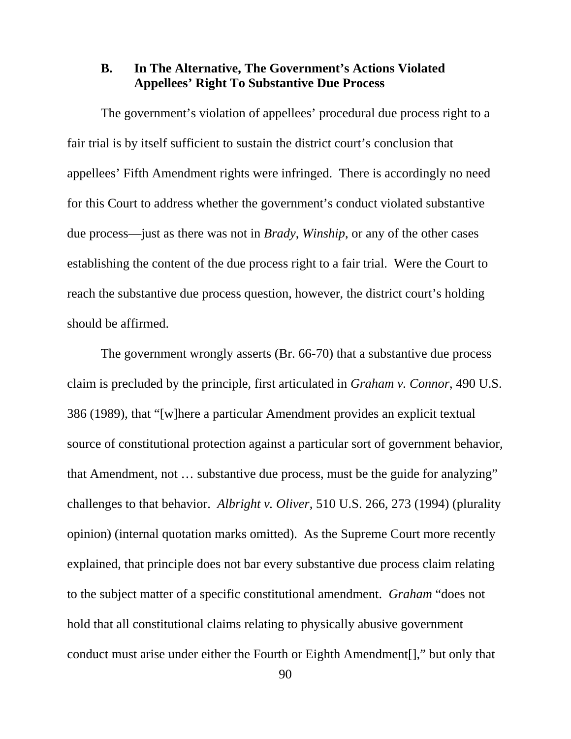### **B. In The Alternative, The Government's Actions Violated Appellees' Right To Substantive Due Process**

The government's violation of appellees' procedural due process right to a fair trial is by itself sufficient to sustain the district court's conclusion that appellees' Fifth Amendment rights were infringed. There is accordingly no need for this Court to address whether the government's conduct violated substantive due process—just as there was not in *Brady*, *Winship*, or any of the other cases establishing the content of the due process right to a fair trial. Were the Court to reach the substantive due process question, however, the district court's holding should be affirmed.

The government wrongly asserts (Br. 66-70) that a substantive due process claim is precluded by the principle, first articulated in *Graham v. Connor*, 490 U.S. 386 (1989), that "[w]here a particular Amendment provides an explicit textual source of constitutional protection against a particular sort of government behavior, that Amendment, not … substantive due process, must be the guide for analyzing" challenges to that behavior. *Albright v. Oliver*, 510 U.S. 266, 273 (1994) (plurality opinion) (internal quotation marks omitted). As the Supreme Court more recently explained, that principle does not bar every substantive due process claim relating to the subject matter of a specific constitutional amendment. *Graham* "does not hold that all constitutional claims relating to physically abusive government conduct must arise under either the Fourth or Eighth Amendment[]," but only that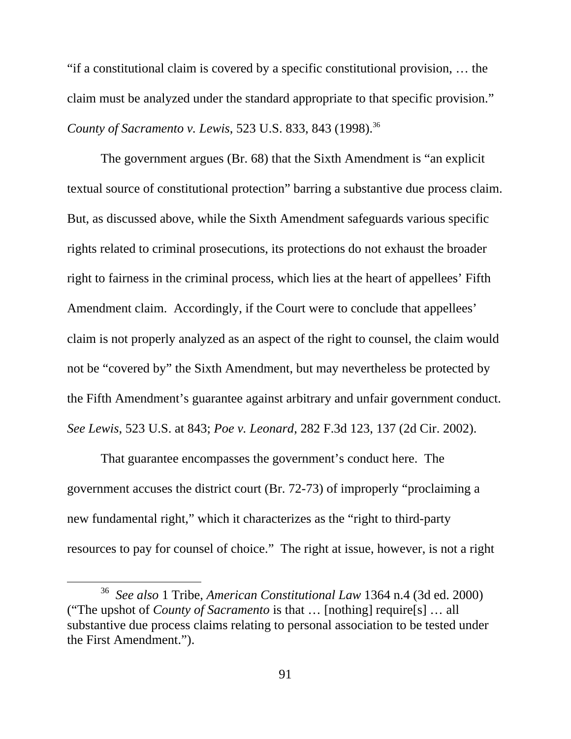"if a constitutional claim is covered by a specific constitutional provision, … the claim must be analyzed under the standard appropriate to that specific provision." *County of Sacramento v. Lewis, 523 U.S. 833, 843 (1998).*<sup>36</sup>

The government argues (Br. 68) that the Sixth Amendment is "an explicit textual source of constitutional protection" barring a substantive due process claim. But, as discussed above, while the Sixth Amendment safeguards various specific rights related to criminal prosecutions, its protections do not exhaust the broader right to fairness in the criminal process, which lies at the heart of appellees' Fifth Amendment claim. Accordingly, if the Court were to conclude that appellees' claim is not properly analyzed as an aspect of the right to counsel, the claim would not be "covered by" the Sixth Amendment, but may nevertheless be protected by the Fifth Amendment's guarantee against arbitrary and unfair government conduct. *See Lewis*, 523 U.S. at 843; *Poe v. Leonard*, 282 F.3d 123, 137 (2d Cir. 2002).

That guarantee encompasses the government's conduct here. The government accuses the district court (Br. 72-73) of improperly "proclaiming a new fundamental right," which it characterizes as the "right to third-party resources to pay for counsel of choice." The right at issue, however, is not a right

 <sup>36</sup> *See also* 1 Tribe, *American Constitutional Law* 1364 n.4 (3d ed. 2000) ("The upshot of *County of Sacramento* is that … [nothing] require[s] … all substantive due process claims relating to personal association to be tested under the First Amendment.").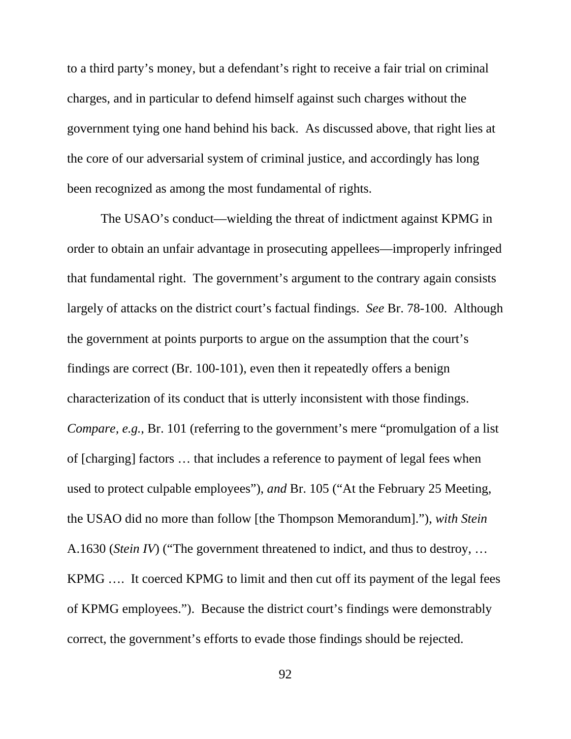to a third party's money, but a defendant's right to receive a fair trial on criminal charges, and in particular to defend himself against such charges without the government tying one hand behind his back. As discussed above, that right lies at the core of our adversarial system of criminal justice, and accordingly has long been recognized as among the most fundamental of rights.

The USAO's conduct—wielding the threat of indictment against KPMG in order to obtain an unfair advantage in prosecuting appellees—improperly infringed that fundamental right. The government's argument to the contrary again consists largely of attacks on the district court's factual findings. *See* Br. 78-100. Although the government at points purports to argue on the assumption that the court's findings are correct (Br. 100-101), even then it repeatedly offers a benign characterization of its conduct that is utterly inconsistent with those findings. *Compare, e.g.*, Br. 101 (referring to the government's mere "promulgation of a list of [charging] factors … that includes a reference to payment of legal fees when used to protect culpable employees"), *and* Br. 105 ("At the February 25 Meeting, the USAO did no more than follow [the Thompson Memorandum]."), *with Stein* A.1630 (*Stein IV*) ("The government threatened to indict, and thus to destroy, … KPMG …. It coerced KPMG to limit and then cut off its payment of the legal fees of KPMG employees."). Because the district court's findings were demonstrably correct, the government's efforts to evade those findings should be rejected.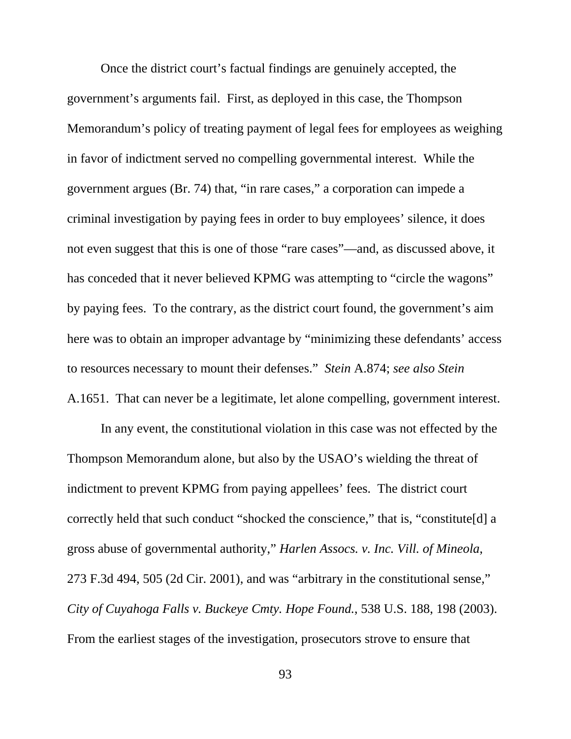Once the district court's factual findings are genuinely accepted, the government's arguments fail. First, as deployed in this case, the Thompson Memorandum's policy of treating payment of legal fees for employees as weighing in favor of indictment served no compelling governmental interest. While the government argues (Br. 74) that, "in rare cases," a corporation can impede a criminal investigation by paying fees in order to buy employees' silence, it does not even suggest that this is one of those "rare cases"—and, as discussed above, it has conceded that it never believed KPMG was attempting to "circle the wagons" by paying fees. To the contrary, as the district court found, the government's aim here was to obtain an improper advantage by "minimizing these defendants' access to resources necessary to mount their defenses." *Stein* A.874; *see also Stein*  A.1651. That can never be a legitimate, let alone compelling, government interest.

In any event, the constitutional violation in this case was not effected by the Thompson Memorandum alone, but also by the USAO's wielding the threat of indictment to prevent KPMG from paying appellees' fees. The district court correctly held that such conduct "shocked the conscience," that is, "constitute[d] a gross abuse of governmental authority," *Harlen Assocs. v. Inc. Vill. of Mineola*, 273 F.3d 494, 505 (2d Cir. 2001), and was "arbitrary in the constitutional sense," *City of Cuyahoga Falls v. Buckeye Cmty. Hope Found.*, 538 U.S. 188, 198 (2003). From the earliest stages of the investigation, prosecutors strove to ensure that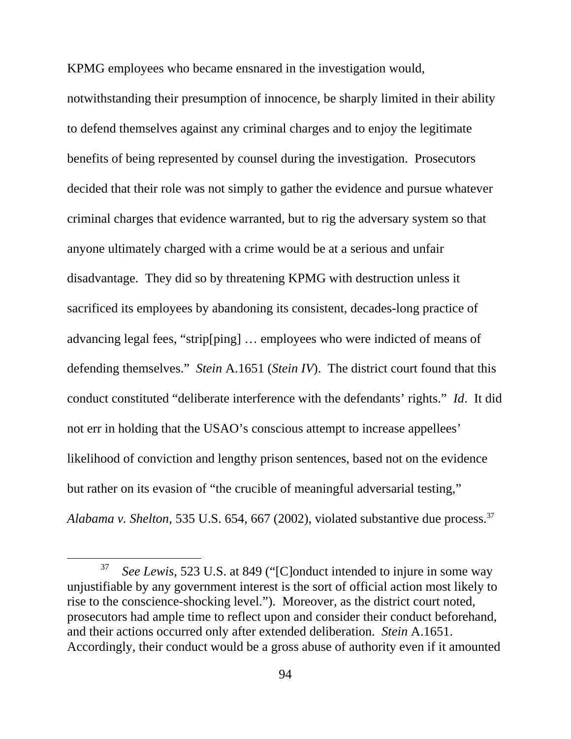KPMG employees who became ensnared in the investigation would,

notwithstanding their presumption of innocence, be sharply limited in their ability to defend themselves against any criminal charges and to enjoy the legitimate benefits of being represented by counsel during the investigation. Prosecutors decided that their role was not simply to gather the evidence and pursue whatever criminal charges that evidence warranted, but to rig the adversary system so that anyone ultimately charged with a crime would be at a serious and unfair disadvantage. They did so by threatening KPMG with destruction unless it sacrificed its employees by abandoning its consistent, decades-long practice of advancing legal fees, "strip[ping] … employees who were indicted of means of defending themselves." *Stein* A.1651 (*Stein IV*). The district court found that this conduct constituted "deliberate interference with the defendants' rights." *Id*. It did not err in holding that the USAO's conscious attempt to increase appellees' likelihood of conviction and lengthy prison sentences, based not on the evidence but rather on its evasion of "the crucible of meaningful adversarial testing," *Alabama v. Shelton*, 535 U.S. 654, 667 (2002), violated substantive due process.37

 <sup>37</sup> *See Lewis*, 523 U.S. at 849 ("[C]onduct intended to injure in some way unjustifiable by any government interest is the sort of official action most likely to rise to the conscience-shocking level."). Moreover, as the district court noted, prosecutors had ample time to reflect upon and consider their conduct beforehand, and their actions occurred only after extended deliberation. *Stein* A.1651. Accordingly, their conduct would be a gross abuse of authority even if it amounted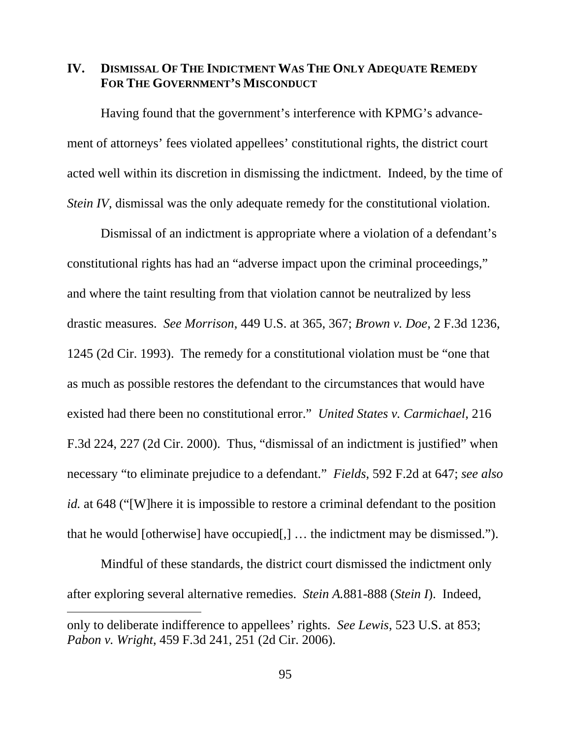### **IV. DISMISSAL OF THE INDICTMENT WAS THE ONLY ADEQUATE REMEDY FOR THE GOVERNMENT'S MISCONDUCT**

Having found that the government's interference with KPMG's advancement of attorneys' fees violated appellees' constitutional rights, the district court acted well within its discretion in dismissing the indictment. Indeed, by the time of *Stein IV*, dismissal was the only adequate remedy for the constitutional violation.

Dismissal of an indictment is appropriate where a violation of a defendant's constitutional rights has had an "adverse impact upon the criminal proceedings," and where the taint resulting from that violation cannot be neutralized by less drastic measures. *See Morrison*, 449 U.S. at 365, 367; *Brown v. Doe*, 2 F.3d 1236, 1245 (2d Cir. 1993). The remedy for a constitutional violation must be "one that as much as possible restores the defendant to the circumstances that would have existed had there been no constitutional error." *United States v. Carmichael*, 216 F.3d 224, 227 (2d Cir. 2000). Thus, "dismissal of an indictment is justified" when necessary "to eliminate prejudice to a defendant." *Fields*, 592 F.2d at 647; *see also id.* at 648 ("[W]here it is impossible to restore a criminal defendant to the position that he would [otherwise] have occupied[,] … the indictment may be dismissed.").

Mindful of these standards, the district court dismissed the indictment only after exploring several alternative remedies. *Stein A.*881-888 (*Stein I*). Indeed,

 $\overline{a}$ 

only to deliberate indifference to appellees' rights. *See Lewis*, 523 U.S. at 853; *Pabon v. Wright*, 459 F.3d 241, 251 (2d Cir. 2006).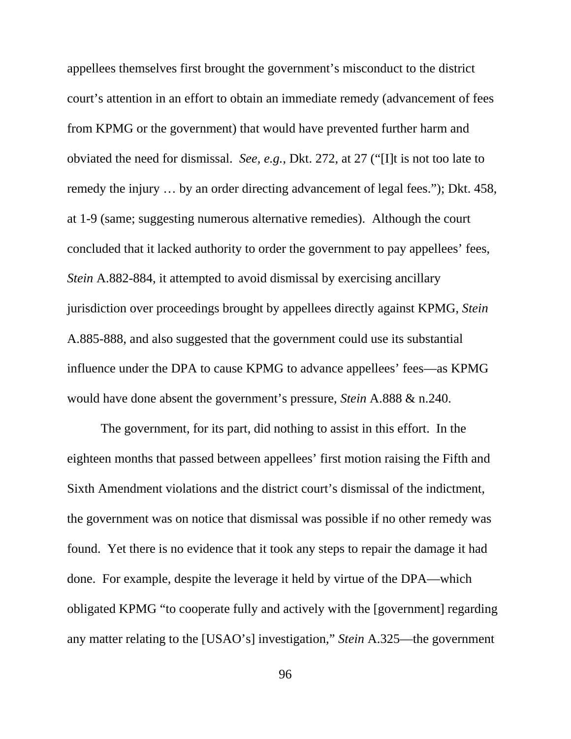appellees themselves first brought the government's misconduct to the district court's attention in an effort to obtain an immediate remedy (advancement of fees from KPMG or the government) that would have prevented further harm and obviated the need for dismissal. *See, e.g.*, Dkt. 272, at 27 ("[I]t is not too late to remedy the injury … by an order directing advancement of legal fees."); Dkt. 458, at 1-9 (same; suggesting numerous alternative remedies). Although the court concluded that it lacked authority to order the government to pay appellees' fees, *Stein* A.882-884, it attempted to avoid dismissal by exercising ancillary jurisdiction over proceedings brought by appellees directly against KPMG, *Stein*  A.885-888, and also suggested that the government could use its substantial influence under the DPA to cause KPMG to advance appellees' fees—as KPMG would have done absent the government's pressure, *Stein* A.888 & n.240.

The government, for its part, did nothing to assist in this effort. In the eighteen months that passed between appellees' first motion raising the Fifth and Sixth Amendment violations and the district court's dismissal of the indictment, the government was on notice that dismissal was possible if no other remedy was found. Yet there is no evidence that it took any steps to repair the damage it had done. For example, despite the leverage it held by virtue of the DPA—which obligated KPMG "to cooperate fully and actively with the [government] regarding any matter relating to the [USAO's] investigation," *Stein* A.325—the government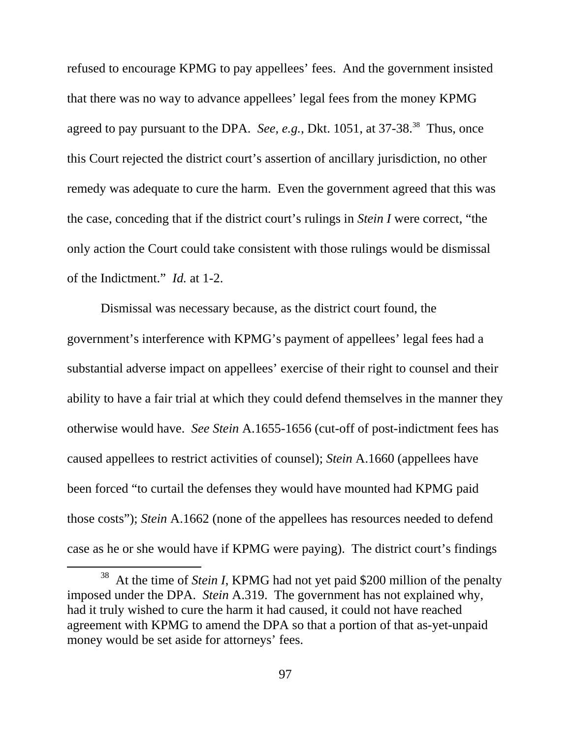refused to encourage KPMG to pay appellees' fees. And the government insisted that there was no way to advance appellees' legal fees from the money KPMG agreed to pay pursuant to the DPA. *See, e.g.*, Dkt. 1051, at 37-38<sup>38</sup> Thus, once this Court rejected the district court's assertion of ancillary jurisdiction, no other remedy was adequate to cure the harm. Even the government agreed that this was the case, conceding that if the district court's rulings in *Stein I* were correct, "the only action the Court could take consistent with those rulings would be dismissal of the Indictment." *Id.* at 1-2.

Dismissal was necessary because, as the district court found, the government's interference with KPMG's payment of appellees' legal fees had a substantial adverse impact on appellees' exercise of their right to counsel and their ability to have a fair trial at which they could defend themselves in the manner they otherwise would have. *See Stein* A.1655-1656 (cut-off of post-indictment fees has caused appellees to restrict activities of counsel); *Stein* A.1660 (appellees have been forced "to curtail the defenses they would have mounted had KPMG paid those costs"); *Stein* A.1662 (none of the appellees has resources needed to defend case as he or she would have if KPMG were paying). The district court's findings

<sup>&</sup>lt;sup>38</sup> At the time of *Stein I*, KPMG had not yet paid \$200 million of the penalty imposed under the DPA. *Stein* A.319. The government has not explained why, had it truly wished to cure the harm it had caused, it could not have reached agreement with KPMG to amend the DPA so that a portion of that as-yet-unpaid money would be set aside for attorneys' fees.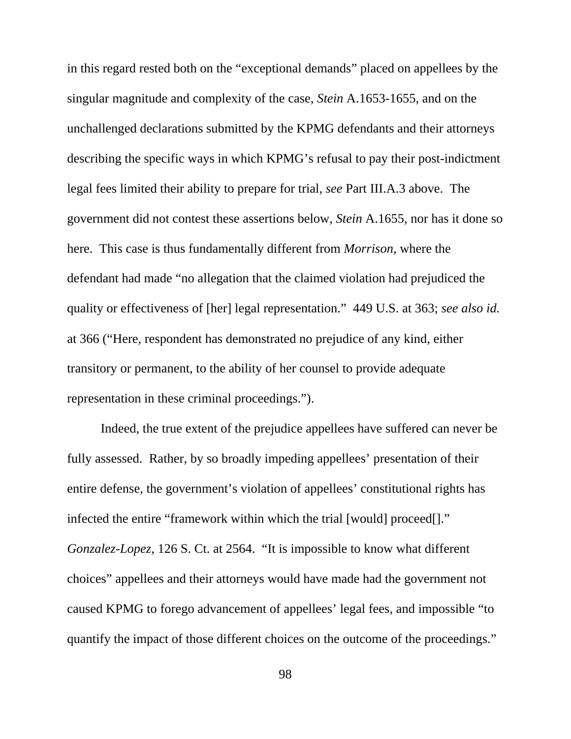in this regard rested both on the "exceptional demands" placed on appellees by the singular magnitude and complexity of the case, *Stein* A.1653-1655, and on the unchallenged declarations submitted by the KPMG defendants and their attorneys describing the specific ways in which KPMG's refusal to pay their post-indictment legal fees limited their ability to prepare for trial, *see* Part III.A.3 above. The government did not contest these assertions below, *Stein* A.1655, nor has it done so here. This case is thus fundamentally different from *Morrison*, where the defendant had made "no allegation that the claimed violation had prejudiced the quality or effectiveness of [her] legal representation." 449 U.S. at 363; *see also id.* at 366 ("Here, respondent has demonstrated no prejudice of any kind, either transitory or permanent, to the ability of her counsel to provide adequate representation in these criminal proceedings.").

Indeed, the true extent of the prejudice appellees have suffered can never be fully assessed. Rather, by so broadly impeding appellees' presentation of their entire defense, the government's violation of appellees' constitutional rights has infected the entire "framework within which the trial [would] proceed[]." *Gonzalez-Lopez*, 126 S. Ct. at 2564. "It is impossible to know what different choices" appellees and their attorneys would have made had the government not caused KPMG to forego advancement of appellees' legal fees, and impossible "to quantify the impact of those different choices on the outcome of the proceedings."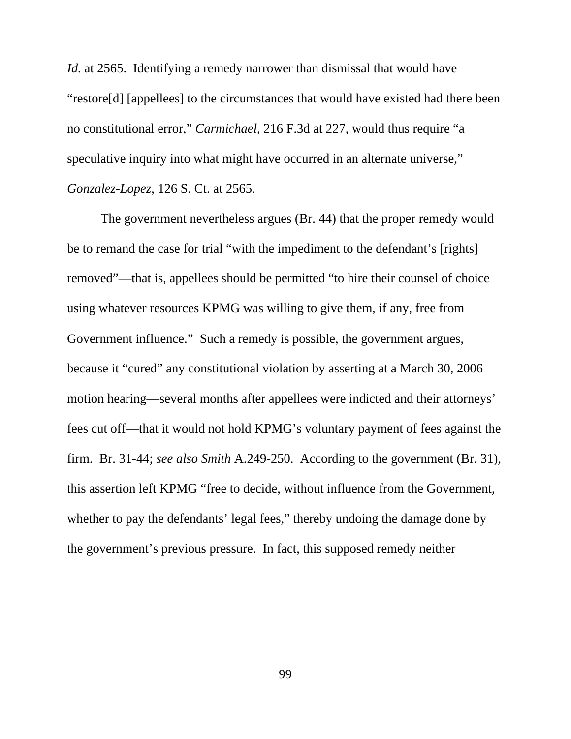*Id.* at 2565. Identifying a remedy narrower than dismissal that would have "restore[d] [appellees] to the circumstances that would have existed had there been no constitutional error," *Carmichael*, 216 F.3d at 227, would thus require "a speculative inquiry into what might have occurred in an alternate universe," *Gonzalez-Lopez*, 126 S. Ct. at 2565.

The government nevertheless argues (Br. 44) that the proper remedy would be to remand the case for trial "with the impediment to the defendant's [rights] removed"—that is, appellees should be permitted "to hire their counsel of choice using whatever resources KPMG was willing to give them, if any, free from Government influence." Such a remedy is possible, the government argues, because it "cured" any constitutional violation by asserting at a March 30, 2006 motion hearing—several months after appellees were indicted and their attorneys' fees cut off—that it would not hold KPMG's voluntary payment of fees against the firm. Br. 31-44; *see also Smith* A.249-250. According to the government (Br. 31), this assertion left KPMG "free to decide, without influence from the Government, whether to pay the defendants' legal fees," thereby undoing the damage done by the government's previous pressure. In fact, this supposed remedy neither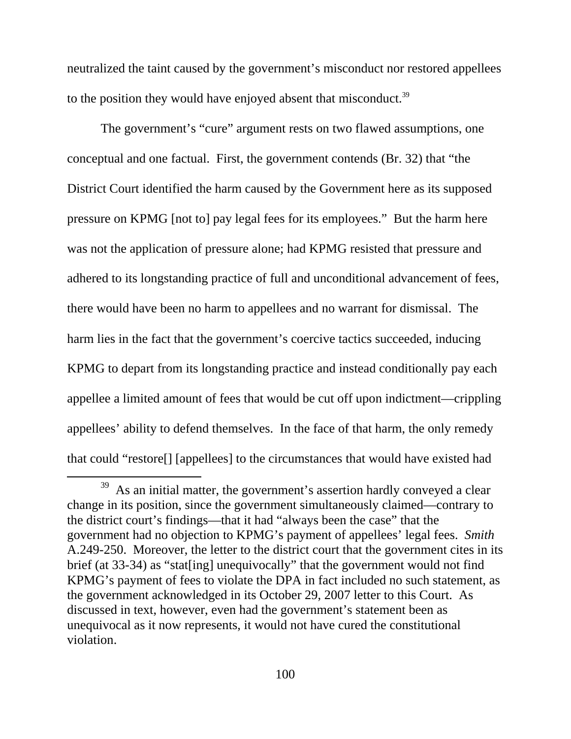neutralized the taint caused by the government's misconduct nor restored appellees to the position they would have enjoyed absent that misconduct.<sup>39</sup>

The government's "cure" argument rests on two flawed assumptions, one conceptual and one factual. First, the government contends (Br. 32) that "the District Court identified the harm caused by the Government here as its supposed pressure on KPMG [not to] pay legal fees for its employees." But the harm here was not the application of pressure alone; had KPMG resisted that pressure and adhered to its longstanding practice of full and unconditional advancement of fees, there would have been no harm to appellees and no warrant for dismissal. The harm lies in the fact that the government's coercive tactics succeeded, inducing KPMG to depart from its longstanding practice and instead conditionally pay each appellee a limited amount of fees that would be cut off upon indictment—crippling appellees' ability to defend themselves. In the face of that harm, the only remedy that could "restore[] [appellees] to the circumstances that would have existed had

 $39$  As an initial matter, the government's assertion hardly conveyed a clear change in its position, since the government simultaneously claimed—contrary to the district court's findings—that it had "always been the case" that the government had no objection to KPMG's payment of appellees' legal fees. *Smith* A.249-250. Moreover, the letter to the district court that the government cites in its brief (at 33-34) as "stat[ing] unequivocally" that the government would not find KPMG's payment of fees to violate the DPA in fact included no such statement, as the government acknowledged in its October 29, 2007 letter to this Court. As discussed in text, however, even had the government's statement been as unequivocal as it now represents, it would not have cured the constitutional violation.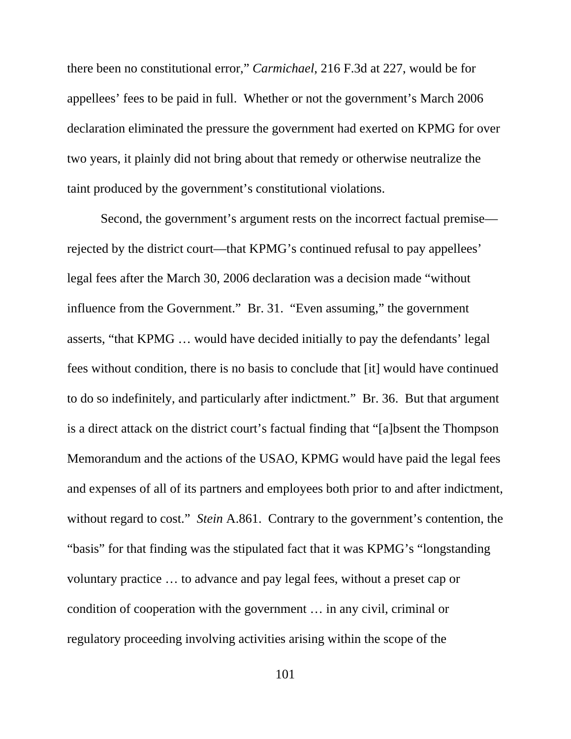there been no constitutional error," *Carmichael*, 216 F.3d at 227, would be for appellees' fees to be paid in full. Whether or not the government's March 2006 declaration eliminated the pressure the government had exerted on KPMG for over two years, it plainly did not bring about that remedy or otherwise neutralize the taint produced by the government's constitutional violations.

Second, the government's argument rests on the incorrect factual premise rejected by the district court—that KPMG's continued refusal to pay appellees' legal fees after the March 30, 2006 declaration was a decision made "without influence from the Government." Br. 31. "Even assuming," the government asserts, "that KPMG … would have decided initially to pay the defendants' legal fees without condition, there is no basis to conclude that [it] would have continued to do so indefinitely, and particularly after indictment." Br. 36. But that argument is a direct attack on the district court's factual finding that "[a]bsent the Thompson Memorandum and the actions of the USAO, KPMG would have paid the legal fees and expenses of all of its partners and employees both prior to and after indictment, without regard to cost." *Stein* A.861. Contrary to the government's contention, the "basis" for that finding was the stipulated fact that it was KPMG's "longstanding voluntary practice … to advance and pay legal fees, without a preset cap or condition of cooperation with the government … in any civil, criminal or regulatory proceeding involving activities arising within the scope of the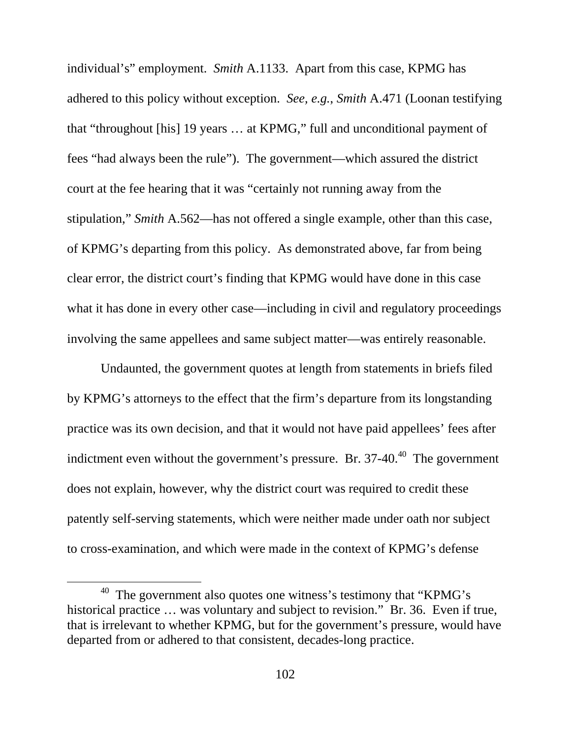individual's" employment. *Smith* A.1133. Apart from this case, KPMG has adhered to this policy without exception. *See, e.g.*, *Smith* A.471 (Loonan testifying that "throughout [his] 19 years … at KPMG," full and unconditional payment of fees "had always been the rule"). The government—which assured the district court at the fee hearing that it was "certainly not running away from the stipulation," *Smith* A.562—has not offered a single example, other than this case, of KPMG's departing from this policy. As demonstrated above, far from being clear error, the district court's finding that KPMG would have done in this case what it has done in every other case—including in civil and regulatory proceedings involving the same appellees and same subject matter—was entirely reasonable.

Undaunted, the government quotes at length from statements in briefs filed by KPMG's attorneys to the effect that the firm's departure from its longstanding practice was its own decision, and that it would not have paid appellees' fees after indictment even without the government's pressure. Br.  $37-40$ .<sup>40</sup> The government does not explain, however, why the district court was required to credit these patently self-serving statements, which were neither made under oath nor subject to cross-examination, and which were made in the context of KPMG's defense

 $40$  The government also quotes one witness's testimony that "KPMG's historical practice ... was voluntary and subject to revision." Br. 36. Even if true, that is irrelevant to whether KPMG, but for the government's pressure, would have departed from or adhered to that consistent, decades-long practice.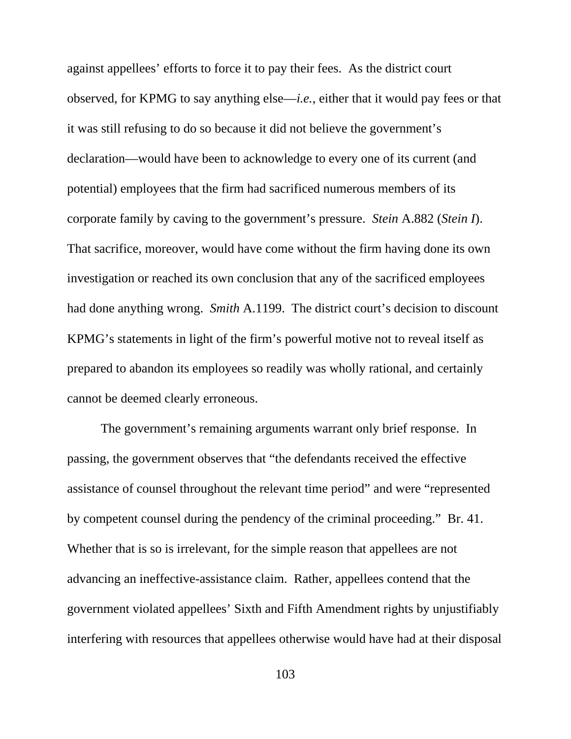against appellees' efforts to force it to pay their fees. As the district court observed, for KPMG to say anything else—*i.e.*, either that it would pay fees or that it was still refusing to do so because it did not believe the government's declaration—would have been to acknowledge to every one of its current (and potential) employees that the firm had sacrificed numerous members of its corporate family by caving to the government's pressure. *Stein* A.882 (*Stein I*). That sacrifice, moreover, would have come without the firm having done its own investigation or reached its own conclusion that any of the sacrificed employees had done anything wrong. *Smith* A.1199. The district court's decision to discount KPMG's statements in light of the firm's powerful motive not to reveal itself as prepared to abandon its employees so readily was wholly rational, and certainly cannot be deemed clearly erroneous.

The government's remaining arguments warrant only brief response. In passing, the government observes that "the defendants received the effective assistance of counsel throughout the relevant time period" and were "represented by competent counsel during the pendency of the criminal proceeding." Br. 41. Whether that is so is irrelevant, for the simple reason that appellees are not advancing an ineffective-assistance claim. Rather, appellees contend that the government violated appellees' Sixth and Fifth Amendment rights by unjustifiably interfering with resources that appellees otherwise would have had at their disposal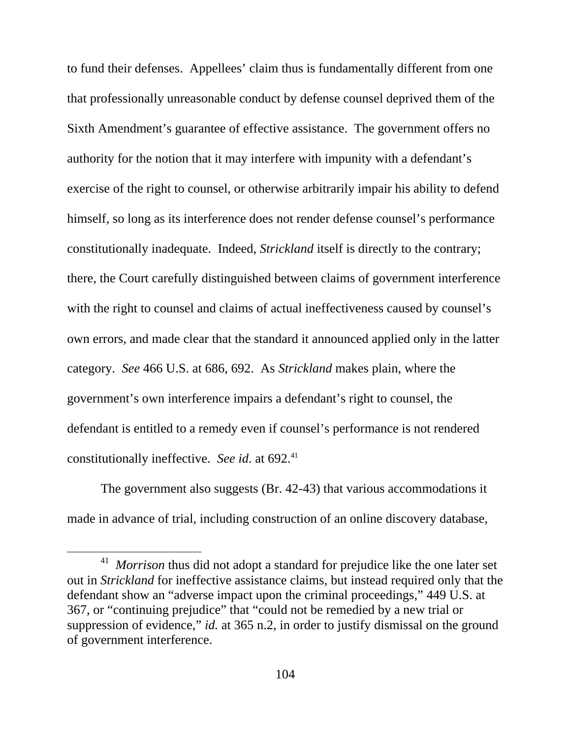to fund their defenses. Appellees' claim thus is fundamentally different from one that professionally unreasonable conduct by defense counsel deprived them of the Sixth Amendment's guarantee of effective assistance. The government offers no authority for the notion that it may interfere with impunity with a defendant's exercise of the right to counsel, or otherwise arbitrarily impair his ability to defend himself, so long as its interference does not render defense counsel's performance constitutionally inadequate. Indeed, *Strickland* itself is directly to the contrary; there, the Court carefully distinguished between claims of government interference with the right to counsel and claims of actual ineffectiveness caused by counsel's own errors, and made clear that the standard it announced applied only in the latter category. *See* 466 U.S. at 686, 692. As *Strickland* makes plain, where the government's own interference impairs a defendant's right to counsel, the defendant is entitled to a remedy even if counsel's performance is not rendered constitutionally ineffective. *See id.* at 692.<sup>41</sup>

The government also suggests (Br. 42-43) that various accommodations it made in advance of trial, including construction of an online discovery database,

<sup>&</sup>lt;sup>41</sup> *Morrison* thus did not adopt a standard for prejudice like the one later set out in *Strickland* for ineffective assistance claims, but instead required only that the defendant show an "adverse impact upon the criminal proceedings," 449 U.S. at 367, or "continuing prejudice" that "could not be remedied by a new trial or suppression of evidence," *id.* at 365 n.2, in order to justify dismissal on the ground of government interference.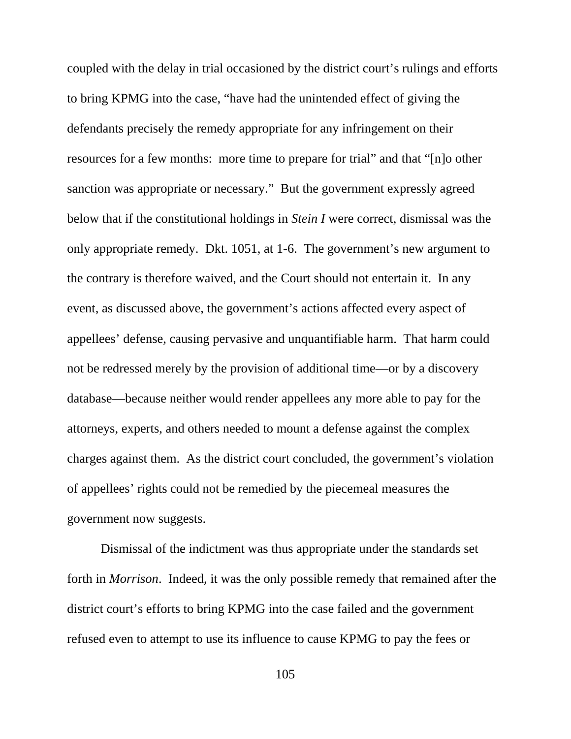coupled with the delay in trial occasioned by the district court's rulings and efforts to bring KPMG into the case, "have had the unintended effect of giving the defendants precisely the remedy appropriate for any infringement on their resources for a few months: more time to prepare for trial" and that "[n]o other sanction was appropriate or necessary." But the government expressly agreed below that if the constitutional holdings in *Stein I* were correct, dismissal was the only appropriate remedy. Dkt. 1051, at 1-6. The government's new argument to the contrary is therefore waived, and the Court should not entertain it. In any event, as discussed above, the government's actions affected every aspect of appellees' defense, causing pervasive and unquantifiable harm. That harm could not be redressed merely by the provision of additional time—or by a discovery database—because neither would render appellees any more able to pay for the attorneys, experts, and others needed to mount a defense against the complex charges against them. As the district court concluded, the government's violation of appellees' rights could not be remedied by the piecemeal measures the government now suggests.

Dismissal of the indictment was thus appropriate under the standards set forth in *Morrison*. Indeed, it was the only possible remedy that remained after the district court's efforts to bring KPMG into the case failed and the government refused even to attempt to use its influence to cause KPMG to pay the fees or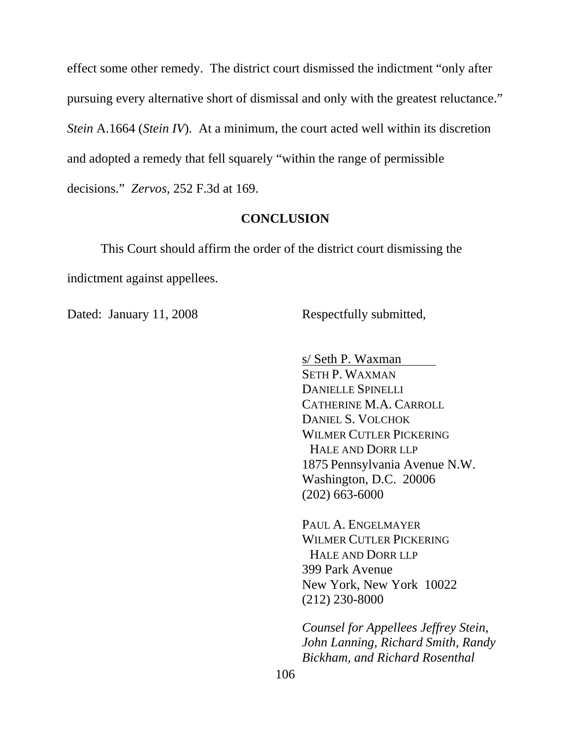effect some other remedy. The district court dismissed the indictment "only after pursuing every alternative short of dismissal and only with the greatest reluctance." *Stein* A.1664 (*Stein IV*). At a minimum, the court acted well within its discretion and adopted a remedy that fell squarely "within the range of permissible decisions." *Zervos*, 252 F.3d at 169.

#### **CONCLUSION**

This Court should affirm the order of the district court dismissing the indictment against appellees.

Dated: January 11, 2008 Respectfully submitted,

s/ Seth P. Waxman SETH P. WAXMAN DANIELLE SPINELLI CATHERINE M.A. CARROLL DANIEL S. VOLCHOK WILMER CUTLER PICKERING HALE AND DORR LLP 1875 Pennsylvania Avenue N.W. Washington, D.C. 20006 (202) 663-6000

PAUL A. ENGELMAYER WILMER CUTLER PICKERING HALE AND DORR LLP 399 Park Avenue New York, New York 10022 (212) 230-8000

*Counsel for Appellees Jeffrey Stein, John Lanning, Richard Smith, Randy Bickham, and Richard Rosenthal*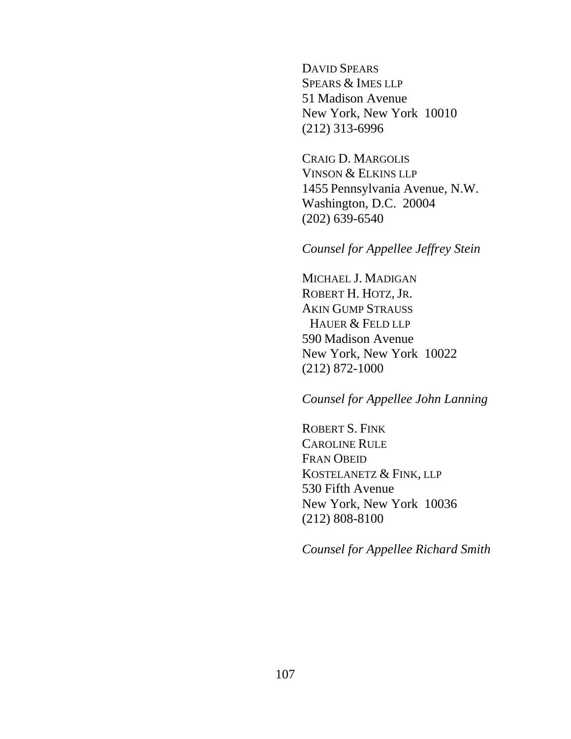DAVID SPEARS SPEARS & IMES LLP 51 Madison Avenue New York, New York 10010 (212) 313-6996

CRAIG D. MARGOLIS VINSON & ELKINS LLP 1455 Pennsylvania Avenue, N.W. Washington, D.C. 20004 (202) 639-6540

*Counsel for Appellee Jeffrey Stein* 

MICHAEL J. MADIGAN ROBERT H. HOTZ, JR. AKIN GUMP STRAUSS HAUER & FELD LLP 590 Madison Avenue New York, New York 10022 (212) 872-1000

### *Counsel for Appellee John Lanning*

ROBERT S. FINK CAROLINE RULE FRAN OBEID KOSTELANETZ & FINK, LLP 530 Fifth Avenue New York, New York 10036 (212) 808-8100

*Counsel for Appellee Richard Smith*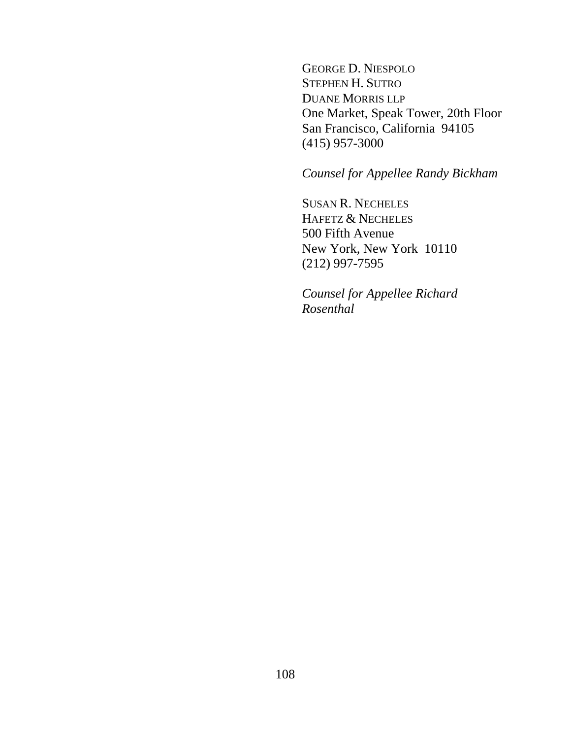GEORGE D. NIESPOLO STEPHEN H. SUTRO DUANE MORRIS LLP One Market, Speak Tower, 20th Floor San Francisco, California 94105 (415) 957-3000

*Counsel for Appellee Randy Bickham*

SUSAN R. NECHELES HAFETZ & NECHELES 500 Fifth Avenue New York, New York 10110 (212) 997-7595

*Counsel for Appellee Richard Rosenthal*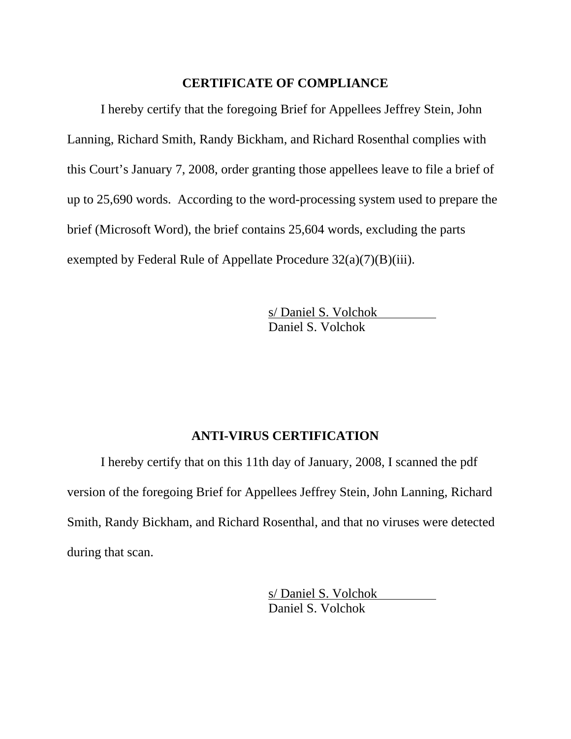#### **CERTIFICATE OF COMPLIANCE**

I hereby certify that the foregoing Brief for Appellees Jeffrey Stein, John Lanning, Richard Smith, Randy Bickham, and Richard Rosenthal complies with this Court's January 7, 2008, order granting those appellees leave to file a brief of up to 25,690 words. According to the word-processing system used to prepare the brief (Microsoft Word), the brief contains 25,604 words, excluding the parts exempted by Federal Rule of Appellate Procedure 32(a)(7)(B)(iii).

> s/ Daniel S. Volchok Daniel S. Volchok

# **ANTI-VIRUS CERTIFICATION**

I hereby certify that on this 11th day of January, 2008, I scanned the pdf version of the foregoing Brief for Appellees Jeffrey Stein, John Lanning, Richard Smith, Randy Bickham, and Richard Rosenthal, and that no viruses were detected during that scan.

> s/ Daniel S. Volchok Daniel S. Volchok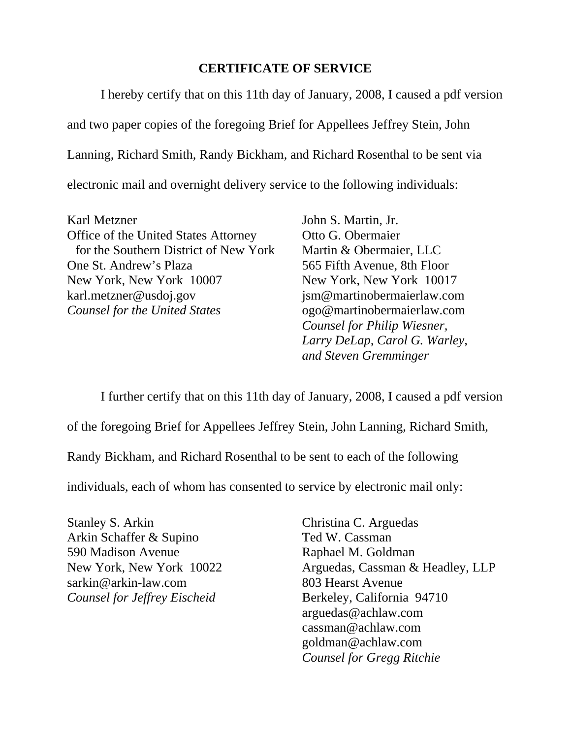## **CERTIFICATE OF SERVICE**

I hereby certify that on this 11th day of January, 2008, I caused a pdf version and two paper copies of the foregoing Brief for Appellees Jeffrey Stein, John Lanning, Richard Smith, Randy Bickham, and Richard Rosenthal to be sent via electronic mail and overnight delivery service to the following individuals:

Karl Metzner John S. Martin, Jr. Office of the United States Attorney Otto G. Obermaier for the Southern District of New York Martin & Obermaier, LLC One St. Andrew's Plaza 565 Fifth Avenue, 8th Floor New York, New York 10007 New York, New York 10017 karl.metzner@usdoj.gov jsm@martinobermaierlaw.com *Counsel for the United States* ogo@martinobermaierlaw.com

*Counsel for Philip Wiesner, Larry DeLap, Carol G. Warley, and Steven Gremminger* 

I further certify that on this 11th day of January, 2008, I caused a pdf version

of the foregoing Brief for Appellees Jeffrey Stein, John Lanning, Richard Smith,

Randy Bickham, and Richard Rosenthal to be sent to each of the following

individuals, each of whom has consented to service by electronic mail only:

Stanley S. Arkin Christina C. Arguedas Arkin Schaffer & Supino Ted W. Cassman 590 Madison Avenue Raphael M. Goldman sarkin@arkin-law.com 803 Hearst Avenue *Counsel for Jeffrey Eischeid* Berkeley, California 94710

New York, New York 10022 Arguedas, Cassman & Headley, LLP arguedas@achlaw.com cassman@achlaw.com goldman@achlaw.com *Counsel for Gregg Ritchie*